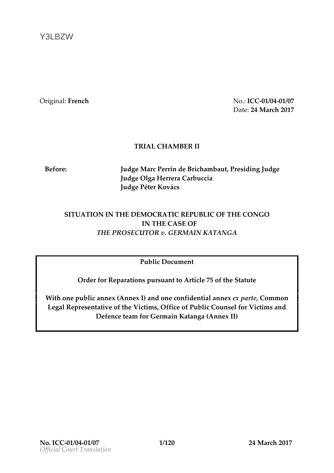Y3LBZW

Originaltench No.:ICG01/0041/  $D$  at  $Q$ : 4M arc $Q$ 0

## TRIAL CHAMBER II

Before: JudgMearc Perrin de Brichhræmsbobing Judge Judg@lga Herrera Carbuccia Judgebeter Kovács

## SITUATION THE DEMOCRATIC REPUBLIC OF THE CONGO IN THE CASE OF THE PROSECUTOCER MAIN KATANGA

Publiccocument

Order Reparations suan Arttoicle of 5th Set atent

Withonepublicanne  $\mathbb A$ n(nek)and one nfidential and ex pa, Gommo Legal Repneiav teof the cV im Osfice of Public Counsel for Victims  $Defen tæam fGærmain Kaf(AngakI)$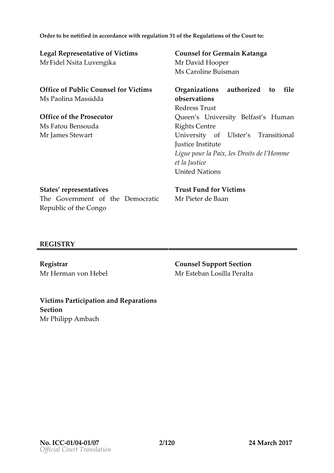Order to be notified in accordance with Regulation b 3d Contucthe Legal Representative of Vi MrFidel Nsita Luvengika Counsel Germain Katanga MrDavid Hooper MsCaroline Buisman Office of Public Counsel  $f(x)$ MsPaolina Massidda Organzaitions haounized to f observations RedreTsrsust Queen s University Belf Rights Centre University of Ulster s Justice Institute Ligue pour la Paix, les  $D_{\perp}$ et la Justice UnitedNations Office of the Prosecutor MsFatou Bensouda  $MrJam$  $S$ stewart States p see nt aves The oGerment of the mateima Republic oCfothoeo Trust FundVitdorms MrPieter de Baan

## REGISTRY

Registrar MrHerman von Hebel Counsel Sußpection  $MrE$ steblam sil $P$ æralta

Victims Participation and I Section MrPhilipp Ambach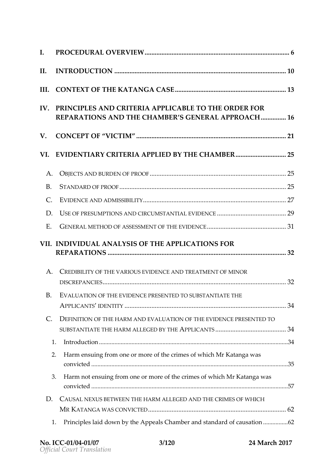| IV. PRINCIPLES AND CRITERIA APPLICABLE TO THE ORDER<br>REPARATIONS AND THE CHAMBER S GENERAL APSPROACH         |  |
|----------------------------------------------------------------------------------------------------------------|--|
|                                                                                                                |  |
| VI. EVIDENTIARY CRITERIA APPLIED BY T.H.E. CHAMBER                                                             |  |
|                                                                                                                |  |
|                                                                                                                |  |
|                                                                                                                |  |
|                                                                                                                |  |
| E. GENERAL METHOD EDSSAMESNT OF THENGENIDE3.1                                                                  |  |
| VII.INDIVIDUAL ANALYSIS OF THE APPLICATIONS FOR                                                                |  |
| A. CREDIBILITY OF RHOEU SAEVIDENCERENDMIENT OF MINOR                                                           |  |
| B. EVALUATION OF TBENECAE PRESENTED STOANSTIATE THE                                                            |  |
| C. DEFINITION OF THIME AHARNE VALUATION ED EVIDENCE PRESTENT<br>SUBSTANTIATE TIMEAHLARGED BYAFFINEICANTS3.43.4 |  |
|                                                                                                                |  |
| 2. Harmensuing from one or more of the crimes of which Mr Katal                                                |  |
| 3. Harm not ensuing from one or mowe hich the Kaitmang ao fwas                                                 |  |
| D. CAUSAL NEXUS BETWE HARM ALLEGEDHÆNDRIMES OF WHICH                                                           |  |
| 1. Principles laid down by the Appeals Chamber and sfandard of                                                 |  |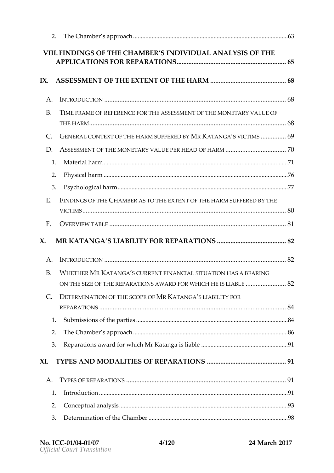| VIIIFINDINGS OF THE CHAMBER S INDIVIDUAL ANALYSIS OF                                                               |  |
|--------------------------------------------------------------------------------------------------------------------|--|
| IX. ASSESSMENT OF THE EXTENT O.F. T.H.E. HAR.M6.8                                                                  |  |
|                                                                                                                    |  |
| B. TIME FREMOF REFERENCHEFFORSESSMENT MOGNIEHTEARY VALUE OF                                                        |  |
| C. GENERAL CONTEXTE OF A RM SUFFERMED KB YANG & CITIMS 6.9                                                         |  |
|                                                                                                                    |  |
|                                                                                                                    |  |
|                                                                                                                    |  |
|                                                                                                                    |  |
| E. FINDINGS OF CHHAEMBER AS TO TENETECKE THE HAREMRSE OF STHE                                                      |  |
|                                                                                                                    |  |
| X. MRKATANGA S LIABILITY FOR REPARATIONS82                                                                         |  |
|                                                                                                                    |  |
| B. WHETHEMER KATANGS CURRENT FINAS UPALTION HAS ANGEAR<br>ON THE SIZE OF PTAHTEARIONS AWARWOH FOR HE IS LIABLE 8.2 |  |
| C. DETERMINATION OF COUPE MAKATANGS LIABILITY FOR                                                                  |  |
|                                                                                                                    |  |
|                                                                                                                    |  |
|                                                                                                                    |  |
| 3. Reparations award for which Mr. Katanga is Liable 201                                                           |  |
|                                                                                                                    |  |
|                                                                                                                    |  |
|                                                                                                                    |  |
|                                                                                                                    |  |
|                                                                                                                    |  |
|                                                                                                                    |  |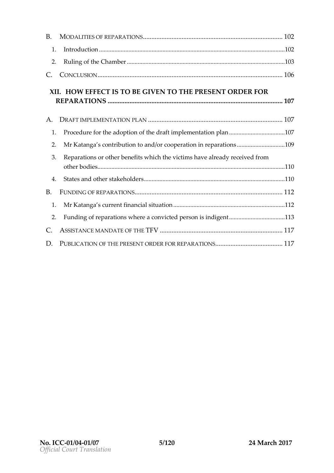| XII.HOW EFFECT IS TO BE GIVEN TO THE PRESENT ORDER                     |  |
|------------------------------------------------------------------------|--|
|                                                                        |  |
| 1. Procedure for the adoption of the draft.im.ple.m.en.t.alto on.plan. |  |
| 2. Mr Katanga s contribution to and/or cooperation.in1.0@paration      |  |
| 3. Reparations or other benefits which the victims have already        |  |
|                                                                        |  |
|                                                                        |  |
|                                                                        |  |
| 2. Funding of reparations where a convicted person.is.113 digent.      |  |
|                                                                        |  |
|                                                                        |  |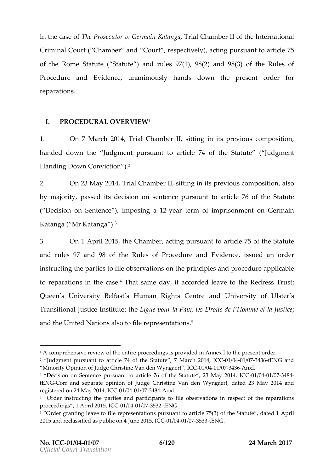Inthe cas Teh  $\Theta$  frosecutor Germain  $K$  Taten  $\Theta$  and  $\Theta$  and  $\Theta$  and  $\Theta$  international Criminal Court ( Chamber and Court, respectively7) 5 acting of the RoSmhaeteut(Stateu)tand rules1), 99(28) ane18(3) of the Rules of Prodeure and Eviduemacreimoushlaynds downhepreentorder for reparations .

I PROFEDURAIOVERVIEW

1. On7 March<sup>2014</sup>, Trial Chamb beint ting in its previous, compos handed dot we Judgment pursuant to article 74 Judghmeen Sttatut HandinDopwn Conviction ).

2. On23May2014Trial Chamilts entring in its previous, aclosmoposition by majo, roitays sed dects sioon sentence pursuant to an $\texttt{Sta}$  the  $\texttt{test}$  of ( Decision m Senten) ciempois ga 12 year term of imponits no Ghermain Katanga ( Mr Katanga ).

3. On1April 2011/56Chamber chang pursum anticle of the Statute and lreus  $9a\pi$  d98of thReules of Procedure andssEuveidd economolone instructing ath the particle servationship of indepeandprocelureapplicable to pearations the casteat same dacycorded lealwered ress Trust Queen s University Belfast s HumaamdRoingibresrsCtogntonfe Ulster s Transitional Justicteh dunigui eupoeur la Paix, lles momme it est de Justic andhe UniNeadio**assico**file e presentations

<sup>1</sup>A comprehensive review of the entire proceedings is provided in Annex I  $2$  Judgment pursuant to article 74 of the Stat0u1t/e0041/703714413am GECNhG20ant4, ICC Minority Opinion of Judge Christine M2a6001d/e0041 We574 3A mext.,

<sup>&</sup>lt;sup>3</sup> Decision on Sentence pursuant to article 76 of the 1 Seount/Le68748 & 423 May tENGCorr and separate opini Charistin den and an Wyngaert, dated 23 May registered on 24 INCaEO 12/00414/03748Anx1.

<sup>&</sup>lt;sup>4</sup> Order instructing the parties and participants to file observations in proceedingAspril 1201105 GO 1 / 0041 / 0375 342 ENG.

<sup>5</sup> Order granting leave to file representation)sopfutrhseu.aShttadtwattoe.dtitclAsp7f5l(3  $\,$ 2015 and reclassified as public CO0 h/0041J/007 5328EDN 6.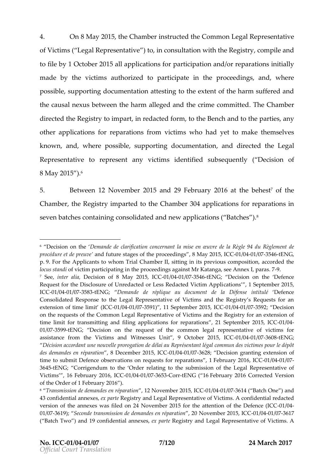4. On8 May 2015he Chambstructled Common Legsed nRiture is of Victism (  $L$  egal Represe) ntuative ansultation with the emped opinatry tofile bl $\varphi$  ctob 2e015allapplication psanforcipation or angenadration initial  $m$  adeby the vicstimabud rzied toparticait per in the execution gas nd where possibslepporting document best to the stepf the harm suffered and the causal between the harm alleged and the crime Committed directed the Region party redacted tothem, Benald to the parties, y otheapplicatifoon resparatis of momvictim wshohad yet to make themselves know, nand, wherpossible, supporting documentation eartied orbelegal Representatoive e psentanyvictimisdentifise od b seque to tD ye cision of  $8M$ a $\sqrt{2}$ 015<sup>6</sup>).

5. Betwee  $\Omega$ Novemb  $\Omega$  015 nd 29 Februar  $\Omega$  16 t the b endest the Chambelme Registry purted hte Chambel applications for reipparation sevebnatchee containing consolidated aanodphi**e**  $\mathsf{w}\mathsf{s}(\mathsf{o}\mathsf{B}\mathsf{a}\mathsf{t}\mathsf{c}\mathsf{h}\mathsf{e}\mathsf{s})$ .

 $6$  Decision on Dethmeande de clarification concernant la mise en Suvre de la procédure et damendoprfoeutuvree sftatghoesporocee,d88nbo1sa.y 201-651/190341C/633754-16ENG, p.9.For the Applicants to whom Trial Chamber II, sitting in its previous o locus stand ictim participating in the proceedings against Mr9 Katanga, see  $7$  Seei,nter a Dieacision of 8 May -02:0/16064,1/08073C4+16ENG; Decision on the Defen Request for the Disclosure of Unredacted or LceasisonRse1daScetpenber Miboetrim 2041p5p, li ICC01/0041/03758 t3ENG; Demande de réplique au document d® efandeé fense Consolidated Response to the Legal Representative of Victims and the extension of time 40th/i90410(PSC5O91), 11 Septembe012000415/e375O9Q2Decision on the requests of the Common Legal Representative of Victims and the time limit for transmitting and filing applicaltions of the molographations in CC 01/03759 t9ENG; Decision on the request of the common legal representat assistance from the Victims and Witnesses Un0t1, 0049 / 4376 008 5 AlrG : 2015, IC Décision accordant une nouvelle prorogtation de odmémiau adue Reproés mentanour des demandes en, r& pDaerateimobner 2-01*5* 604 11 *COBT*6 28 Decision granting extension time to submit Defence observations on redFuedostusantor 20e4064 /8004166073, 1 364 ENG; Corrigendum to the Order relating to the submission of the Leg Victims , 16 Februi 6.69 12 00416 6376 563 or tENG (F166bruary 2016 Corrected Vers of the Order of 1 February 2016 ). 8 Transmission de demand,els2 eNhovépnabrearti2o600115/,9041C/G37614 ( Batch One ) and

<sup>43</sup> confidential eam peakes is try and Legal Representative of Victims. A conf version of the annexes was filed on 24 November 2015 for-0thood attention 01/037619)S; e conde transmission de dema $2n$  od eNovementé per r2s 00111, 2009411, OC 627617 ( Batch Two ) and 19 confid $e$  antipal and  $e$  and  $e$  parte and Legal Representative of Victims. Annexes,  $\alpha$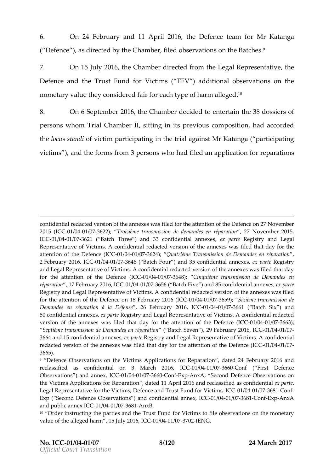6. On 24 February d11A pril 2016 e Defence teMam Kfaotranga (  $D$  of  $e$   $o$ e ), as directed by the fiClehooddomsberevatoion nishBeatch $e$  s.

 $7.$  On15Jul $2016$ he Chamdbie ectferoomtheLegal Represetrhteative Defene and the Trust  $F$ und for V Vaddition which  $\epsilon$  is an sthe monetary **value** con**eidiae** in for each type of iParm alleged

8. On6Septem**20t6**heChambder cided to enthea8t8donssion fs  $p \in S$  osnwhomTrial Chambels itting in its previous, he and pacesciotical  $e$  d thelocus sto an wellic to intricipation the targinal in Most Katan ( participating victim),sandheforms fr $3$ pmersons who hile**ad** application for reparati

confidential redacted version oflet the foarn the exeast was bidin of the Defence on 27 2015 (HOCIC 6041/637622)Troisième transmission de dema 2018 en ambéopar 2001 flo5n, ICC01/0041/037621 (Batch Three ) and 33 confeixdepnal Rabelgiasntnyexead Legal Representatof Victims. A confidential redacted version of the annexes w attention of the De0e1n60041/(CC37C6C24)Quatrième Transmission de Demandes en 2 February 201-061, 1002107 037646 B (at c Fhour) and 35 confidentianck apmarket beageistry and Legal Representative of Victims. A confidential redacted version of t for the attention of the D1e/16841  $t$ 6876 (418C)C inquième transmission de Demar répa panti 17 February 20011/660,411/G602765 (6B atchFive a)nd 85 confidentiael xappanetxees, Registry and Legal Representative of Victims. A confidential redacted ve for the attention of the Defence on C4081 /Fe64 b/06336r5y9  $\hat{\mathcal{B}}_0$ 0x idem(bC transmission de Demandes en réparation  $2614$ Fe $D$ béteamse 2016, 2004 11/0302661 Batc $8$ ix ) and 80confidential aem exactegistry and Legal Representative of Victims. A conf versionthof annexes was filed that day for the atten0t10 60410 6376 663) Defence

Septième transmission de Dem(aBhadtecSheevne pré)2001 Faetbionary 20011/080411/0907 3664 and 15 confidenteixalpaRherequixsetsy, and LegahtRateipvree of Victims. A confider redacted version of the annexes was filed that day for -OMe 024t tention of the 3665).

<sup>9</sup> Defence Observations on the Victims Applic**ataitends 2f4 rF Rhepuar rayti @ 016** and reclassified conafsidential on 3 March-012/080446/, 6376660 Conf ( First Defence Observations ) and  $\omega$ nd  $\omega$ 41, ICCGCGO on ExpAnxA; Second Defence Observations the Victims Applications for Referencial and the politics and reclasts and stiegot rate confident Legal Representative for the Victims, Defence and 17 004 ste Fund to Victims Exp (\$econd Defence Observaatinofindse) htaanld ann0elx( $\beta$ 04107 6376 800 on ExpAnxA and public  $a\text{C}$  and public  $a\text{C}$  and  $a\text{C}$ 

10 Order instructing the parties and the Trust Fund for Victims to file ob value of the alleget of harmlow 2006, 004 0.0377 0.12 ENG.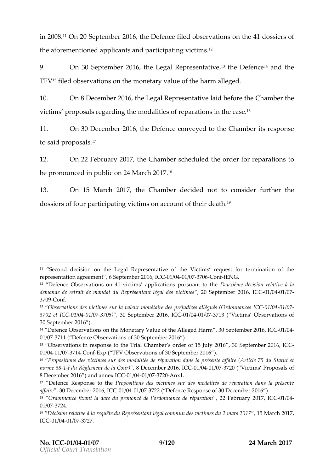in  $20.0$  60 n2 0Septem  $b$  6 of 6 he Defeefiloe od b servatoionn sh4e1dossioenfs th eafore mentiao popeld cosant op a rticipating . Victims .

9. On30Septem bl $\theta$ nfolhelegal Represe<sup>3</sup>nthraeDioefeen<sup>t</sup>caen dthe  $TFVfiledbservatøøntheen monetamyf vheubarm alleged.$ 

10. On8Decemb2@116hdegal Represelation before Chamber victism proposnael grarding mohdealistoi $\epsilon$  pearatisoinn the  $c$ °ase..

11. On 30Decemb 2 $\oplus$ n 6h, befencenved tothe Chamber response tos a i pl r o p o s<sup>1</sup>al I s

12. On 22 Februa 2r0y 1 The Chams bochedule dobrider for repatroations be pronoumic opoulblic 24Marc2h01.17

13. On 15 Marc  $2017$  he Cham obegrid end the consider further the non $d$ ossi $e$  ff $\infty$  uparticipating  $\,$  on action  $\infty$  unt of their death .  $\,$ 

<sup>14</sup> Defence Observations on the Monetary Val,u**e** 0o**fSehpee Amibeege2d0 HeBeArnhCC** 01/03771(1 Defence Observations of 30 September 2016).

<sup>&</sup>lt;sup>11</sup> Second decision on the Legal Representative of the Viccfti**t** he request representation ag66emtemtber 2006, 0040 C0377 06 ontENG.

 $12$  Defence Observations on 41 victims appli $\Omega$ catixoinèsme udréscuias nionto retlhaetive demande de retrait de mandat du Représ 2eschet panet miléegral 2004 04046. COMTes  $3700$  onf.

<sup>&</sup>lt;sup>13</sup> Observations des victimes sur la valeur monétaire des91p/66441Ju617ces allég 3702 et-011C/ 0041 / 0377 05, 30 September -2001 004 11 0372 13 ( Victims Observations 30Septheber 2016).

<sup>&</sup>lt;sup>15</sup> Observations in response to the Trial Chamber3**6 Secoel 2016 61**5-1 **CC**ly 2016 01/0041/0377 1-@ on Exp ( TFV Observations of 30) September 2016

<sup>16</sup> Propositions des victimes sur des modalités de réparation dans la pré norme 138 8 du Règlement de 8 l & Goeurn  $\beta$  e le C200 1 / 63 04 04:07 20 ( Victims Proposals of 8 December 2016 ) an-01a 6041e/x63777C24@nx1.

<sup>&</sup>lt;sup>17</sup> Defence Respons<sup>p</sup>erotpoosihteions des victimes sur des modalités de répa affaire 30 December  $2001$  /  $6041$  /  $6307$  22 ( Defence on sRee of 30 December 2016 ).

<sup>&</sup>lt;sup>18</sup> Ordonnance fixant la date du prononcé de 2l 2onFdeobnnuæurgre 2**04/70,4 pCa C**ation  $01/037724$ .

<sup>&</sup>lt;sup>19</sup> Décision relative à la requête du Représentant légal **t5 mMmau chdê 6**1v7ictim ICC01/0401/037727.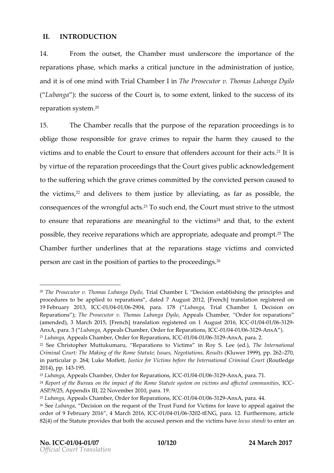#### II. INTRODUCTION

14. From the outhset Chambes underscore the importance of reparatisophas, which marks iticiauln ctuime theadministraotfijouns tice andtis of one whiithTrial Chaminion approsecutTo hromas Lubanga Dyil ( Lubang the success of the Court is, to some extent, linked reparation s<sup>ey</sup>stem

15. The Chamber triecortahidosurpose three paration prociested ings. oblige those responsible eimies to repair the harm they cause victims and to enable the Court to ensure that of the theirs acc by virtoufethreparatpion on ceed tinhoantsheCoutrgives puabolikon ow lemolognet tothe suffew hni**gh**hegraveerimes sommitted boyon the ected poearsi**se**d to thevictim<sup>s</sup> sanddelive tros the imustioneralle viationsq, far as pot show ible consperences on frotheg faud t<sup>2</sup>sto such, tehneld out must strive to the utmos to ensure r**e**chearta tio annsem eaning futlh **e** o vicst<sup>4</sup> annd that the extent possible  $p$ , recent appearations what  $p$  and  $p$  and  $p$ , adequate  $2$   $\overline{a}$  The promp Chambeurther underlines the barber at tions that green convicted persoam cas intheposition poarties to the proficeedings

<sup>&</sup>lt;sup>20</sup>The Prosecutor v. Thoma $\overline{s}$  r Laulb  $\widehat{a}$  magam  $\mathbb{D}$  exilosour establishing the principle and  $\overline{s}$  and  $\overline{s}$  and  $\overline{b}$ procedures to be applied to reparations, dated 7 August 2012, [Frencl 19February 20130, 1/602407 0269 04 para. 17 Bub (ang a Trial Chamber I, Decision Reparationsheed; Prosecutor v. Thomas Alpup becand ga C D & Or hobeer, for reparations (amended), 3 March 2015, [French] translation registe/ree4d / @261249 August Anx A para. L & bang Appeals Chamber, Order floor GR 12/06 2411 at 0363 02 & n x A . )  $^{21}$ Lubang Apppeals Chamber, Order flo $\alpha$ GR1e/p98411 at 6363162.A9.nxApara. 2.

 $22$  SeeChristopher Muttuk Ruenpaarua, tions to Vinic Flonys S. LeeTh (ebnotd,  $\theta$  rnational Criminal Court: The Making of the Rome Statu (Kelulws und 9,9 Negotion) a 216 2 s, R in particular p. 264; LJukseti Meofffeentlyictims before the Internation and  $g \in C$ rimin  $2014$ ), pp. 1.9543

 $^{23}$ Lubang Appeals Chamber, Order flo $\Omega$ GR te/pe2e4 11 al 603631  $\Omega$ Anx Apara. 71.

 $24$ Report of the Bureau on the impact of the Rome Statute system on vic ASP/9/25, Appendix III, 22 November 2010, para. 19.

 $^{25}$ Lubang Appealis mCber, Order for REC @ 00124/004410/963612-89 nx A para. 44.

 $26$ Seeubang Daecision on the request of the Trust Fund for Victims for leave order of 9 Februar4y M218 nlo6h 20-1061/0040302642ENG, para. 12. oFruenthaethncle 82(4) of the Statute provides that both the icatocomuss **bied or pases to an near in to be** and thaven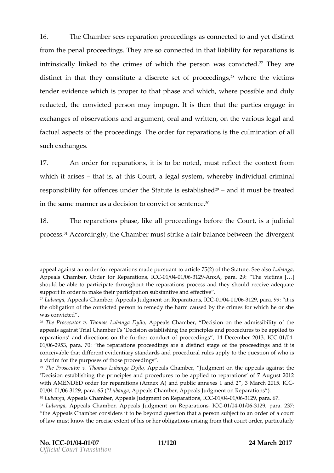16. The Chams beloemse paration proceese **d** innopesc tead not doe to distinct from the enapiroceedings aresoconnection that a bility reparations intrinsically tloinkhecotimeosfwhich the person was  $7$  Tchoenyioatreed distiniont that the yconstriet a discrest net operfoorced in  $g^2$  s where he victims tender evidwehni**ce** pisoper to that anpothwahasie hwherpeossibal nedduly redacteMeconvicted pearsyon mpulotnished thatheparties agage in  $\mathsf{exch}$  asychobservations ondexing ument and written the various and factuans peoptfs thperocetien q.sTheorder for reparation unions in at thiend lof such exchanges

17. An order for repartatisons be mosted flect the context from whichtarisse that  $i$ st, th $\mathbb C$ sourt, a legal swyhseteemini $\psi$  ividucal minal responsity if other a cuensder the Sitsateust babl<sup>eg</sup>'s has not throus three ated in the same manner atsocandweicts of ms  $\mathrm{e}^\alpha$  and the new sensor  $\mathrm{e}^\alpha$ 

18. The reparation slikpental speroceedings bole of outries the ejudicial  $\mathsf{proc} \, \mathscr{C}$  s.  $\mathsf{Acc} \, \mathsf{ord}$  in the Chamber estrail fair balance bediween gethed

appeal against an order for reparations made pursuant to **hutiahed**  $\overline{a}$  5(2) of Appeals Chamberf, or OrRdeeparatico 600s1, / 6041 / 6361 2 A9 n x A para. 29: The victims [ & should be able to participate throughout the reparations process and the support in order to make their participation substantive and effective .  $27$ LubangAppeals Chamber, Appeals Judgment  $-0$ ni/8044 p/6365  $\hat{x}$  popmsa, ISCSC it is the obligation of the convicted person to remedy the harm caused by the was convicted .

 $28$ The Prosecutor v. ThomasAp $\mu$ puebælis gno $\Omega$ bh@hay $\rho$ leogision on the admissibility of appeals against Trial Chamber I's Decision establishing the principles a reparations and directions on the further , col rad Dicete outh boer to  $2004$  the  $9.6$  C  $0.1$  / 0269 5  $\hat{\phi}$ , ara. 70: the reparations parodoine beta dicarding stage of the a prodocte eisstings conceivable ithearte nt evidentiary standards and proctehdeur quale sutions apply tho is a victim for the purposes of those proceedings .

 $29$ The Prosecut Tohomas Luba Anga pe Dolysil Ghamble and the appeals against Decision establishing the principles and procedures to be applied to re with AMENDED order for reparations (Annex A) and 3Mp abothc 250mm me xes 1 and 01/0041/036129 para. L605 b ang Aappeals Chamber, Appeals Judgment on Reparation 30Lubang Appeals Chamber, Appeals Judgment 06 heORMe positions, 6ITC.C

 $31$  Lubang  $A$ ppeals Chamber, Appeals Reinal contrs Conn<sup>1</sup> 6040 / 0361 2  $\Phi$ , ara. 237:

the Appeals Chamber considers it to be beyond question that a person s of law must know the precise extent of his or her obligations arising from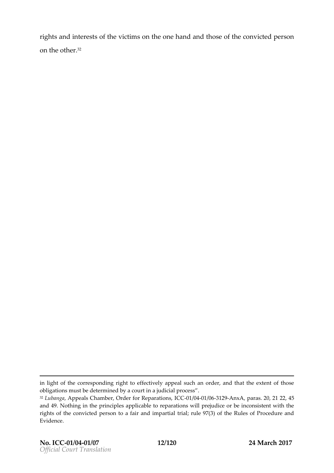rights and isnot entehositic tism on tohneehand athobiscef those nvicted person on the o<sup>3</sup>fher

inlight of the corresponding right to effectively appeal such an order, a obligations must be determined by a court in a judicial process .  $32L$ ubang  $Rap$  peals Chamber, Order fb $C$ GR te $p$ GB4 14 60661  $R$   $Rq$ , nx Aparas. 202, 245 and 49. Nothing in the principles applicable to reparations will prejudice rights of the convicted person to a fair and impartial trial; rule 97(3) o Evidence.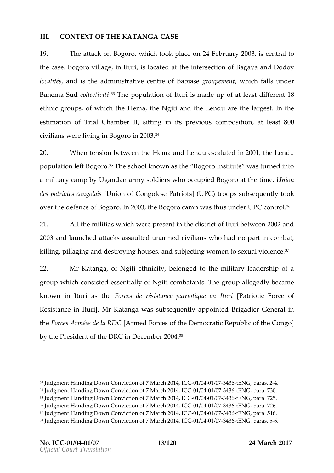### III. CONTEXOTE THAEA TANG GASE

19. The attack on Bologobrotook on a 4Fee brua 2roy Q 3s central the ca $\texttt{B}$  egoro villang ottustilocated at the intEe ange optention of  $\delta y$ localités administrative c**e abias e**of upe mewnitich falls under Bahema Souldect<sup>3</sup>i<sup>3</sup>vTiht**é** populat**io**un riismínade up ato fleadsift er ent8t ethnig coups of whith the Hemath endurch the notatre the large that is estimation ricalChambelr, sitting in its previous, at me aBSO fuon civiial na wer bi vingin Bogorno 2003°3

20. When tension between the Hema and 2004 nd uhees deelmaded population Bolog fot and into the chool known as the Bogoro Institute was a military camp by Ugandan wanom oy c**sedB**oloiegnos ro at the bintime . des patriotes [conjous of Congolese UP @ trooptos] subsequently ovetrhed efe ove o fBogorlo. 2008, eBogo coamp was thusU BroCocbentr<sup>3</sup>ôl

21. All the miwinias were sent in the district of Ituri betwee 2003 and launched attacks assaulted unarmed civilians who killing, pillaging and destroying houses, and subjecting wome

22. Mr Kata, nogfa Ngiti eth biediot ng ed to the military leadership of any denoted and a military deadership of any metallong and a military leadership of any metallong and a military deadership of any metallong and a mi group which coenssisentiation of Nigitoion that an Tshe group allegedly became known in Ituri Fassrdes de résistance patPizottnique en Ituri en Ituri Force de Thorlderiof Resistance ]i.mMilt Krantgaawas subsequently  $\delta$ ppointed General in the Forces Armées  $d$  arm the  $dR$   $D$   $C$  rces of the Democratic Republic of by thPerseident thDeRCinDecemb2e0n034.

 $33J$ udgment Handing Dowom Coofn $\overline{v}$ ilodarch 20011/400,411/CGCZ43+6ENG, pa2+4as.  $34$ Judgment Handing Down Conviction of 07/6044a  $t$ 63774  $20E$ TM4G, ICC 638.0.. 35 Judgment Handing Down Conviction of 0 7/60244 1 63574 286E1N4G, I C 625. 36 Judgment HagnoDown Conviction of 7 M-8 1d 8042 00374 3-168EONOG, pa72a6..  $37J$ udgment Handing Down Conviction of 07/6044at63774  $3210E$ TN4G, ICO 651166.. 38 Judgment Handing Down Conviction of 07/0444 1 @374 210E1N4G, ICC & F& s.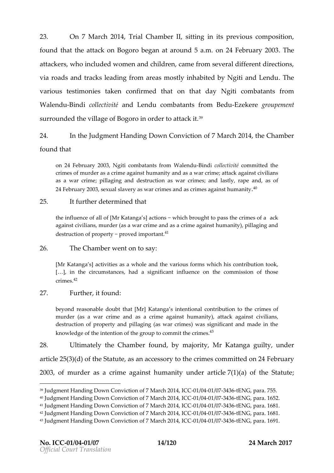23. On7 Marc 201, A Trial Chamb beint ing in its previous, compos found hat the attack on Bogoro began at around 5. Tahen. on 2 attackers, who included women and children, came from seve via roads and tracks leading from areas mostly inhabited by various testimhan hei**e**s confirmed in the hat day the combatants from WalendBuind  $\dot{\bf c}$  ollectiavnitié Lendu combatants -Ef ${\bf z}$ ekne groupement surrounded the village of Bogoro<sup>3P</sup>n order to attack it.

24. In the Jament Handing Down of C7d March2l Doin #he Chamber fountchat

on 24 February 2003, Ngiti combat-Binni skio from the Wolandmendu ed the crimes of murder as a crime against humanity and as a war crime; attack and as a war crime; pillaging and desitmuecst; io annobslaws alry, rape and, as of  $24$ February 2003, sexual slavery as war crimes an $\mathcal{A}^{0}$  as crimes against

#### $25.$  Itfurther determined

the influence of all of [Mr K"atwahigcah sb]reagint to pass than excrimes of a against civilipotes, mas a war crime and as a crime against humanity), polarization and and and and and and an destruction of propose of important.

 $26.$  The Chamwheen rt borsay:

[Mr Katanga s] activities as a whole and the various forms which his  $[8]$ , in the cumstances, had a significal he indefinition in those  $c$  r i m  $\AA$  s.

#### 27. Furthettfound

beyond reasonable doubtattahragta [Mri]ntentional contribution to the crim murder (as a war crime and as a crime against chwinhian  $\mathsf{dist}(y)$ , attack destruction of property and pillaging (as war crimes) was significan knowledge of the intention of the groud<sup>3</sup> to commit the crimes.

28. Ultimatelhye Chamfboeum, dby majo Minty Katanggualtyunder

 $artic 26(3)(d)$  of tuhte, Sata an accessory to the crimes transmitted

 $2003$  fmurder as a crime against human  $\frac{1}{10}$  (uan) def tahregic Steatute

<sup>39</sup>Judgment Handing Down Conviction of 07/6044af63774 3266E1N4G, ICC 655. 40 Judgment Handing Down Conviction of 0 7/06/44 / 6374 32 t6 E1N4 G, I C 6 6 5.2.  $41$  Judgment Handing Down Conviction of  $7/$  6044  $t$  6374  $2$  t6274  $6$ , parallel 31. 42 Judgment Handing Down Conviction of 07/60244 61374 3216E1N4G, ICC 638.1. 43 Judgment Handing Down Conviction of 0 7/0604 at 6374 2005 1N4G, IC 6629.1.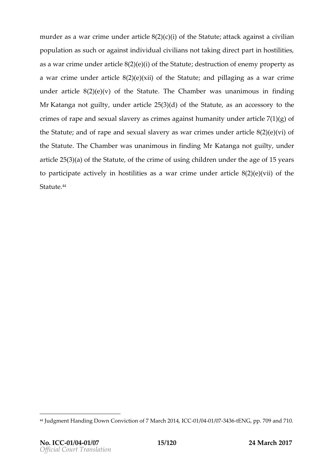murder as a war crime  $\mathcal{B} \phi(\mathcal{D})$  and  $\mathcal{C}$  in the stature statual gainst a civiliant particle and  $\mathcal{D}$ population as  $\argmin$  or individual civilians not taking direct part in  $\log n$ as a war crime under article  $8(2)$ d(ees) ((ni)  $\alpha$  foth eof Setanteunthey propert a war crime under article  $8(2)$  (e)( $\alpha$  hindlilolagting as a butwe ar crime under arti $(2)$ e(e8 $(v)$  of the TSS of Culten molones sunanimoiuns finding MrKatang at quility der article  $25(3)(d)$  of the Statude, heas an crimes rappe and sexual slavery as crimes agains  $\overline{I}$  ( $\overline{I}$ ) ( $\overline{q}$ ) of  $q$ )  $\overline{q}$  of  $\overline{q}$   $\overline{q}$ the Statunte of pe and sexual slavery as war crimes under art the StatTulte Chambers unanimous in MirinKdaing montaguilty noter article  $25(3)(a)$  of the Statuute, ng for thied cermender the age of 1 to participatey aintibus tilities as a war crime under article 8  $Stattte$ 

<sup>44</sup> Judgment Handing Down Conviction Co30 70 40 a / 63574 3216E1N4Gp,p. 709 and 710.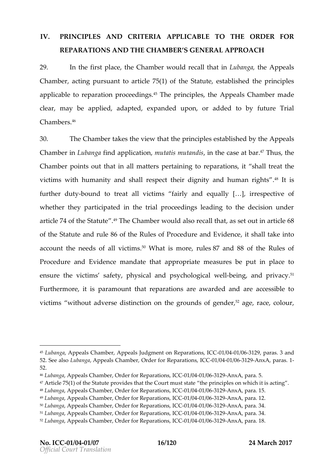# IV. PRINCUPS AND CRITERARPLICABLE THEORDER FOR REPARATIONNSDTHE CHAMBS GENERAL APPROACH

29. In the first hote a Cothambio puld recall nthat an that Appeals Chamber acting pursuant to article  $75$  $\text{\textcircled{\textsf{}}\$}$  the principal theorem statute,  $\text{C}$ applicatbolree paration proc^te™Endoening ssincitphloeAsp,peals Chammabober cleamay bæpplied, adapted, expanded upon, or added to b  $C$  h a m b  $A^{6}$ r s.

30. TheChambtearkes the vietw eptrinatiepse stablished Appyptehaels Chambien Lubanfojnad applic, antuiotontis mutantchies case.<sup>47</sup> Thtub,sohne  $Chambp$  points bhuat in all mpætittearishing pear arteiointies, hall treat the victims whith hanity and shall respect their dignit<sup>4</sup>y lainsd huma further ebuoty nd tho eaall vicstifinairly and e $\phi \otimes \phi$ lliy respective of whether they participated in the trial proceedings leading article 74 of the<sup>9</sup>TShteatQuibeamwoboeurId also reçaaslistehtabounttiionle 68 of the Setateuat not ule 80of the Pules of Procedure and Envadue hackee into account the needs of  $0$  Mall mations immortance  $\frac{1}{2}$  and  $\frac{1}{2}$  and  $\frac{1}{2}$  and  $\frac{1}{2}$  and  $\frac{1}{2}$  and  $\frac{1}{2}$  and  $\frac{1}{2}$  and  $\frac{1}{2}$  and  $\frac{1}{2}$  and  $\frac{1}{2}$  and  $\frac{1}{2}$  and  $\frac{1}{2}$  and  $\frac{$ Procedure and Emaided made that approprimate easur be es put in plotace ensurtehevictimssafetyr, hysical and psychol-boging galnolwepultiv<sup>s</sup>åcy Furthmeor, e it pisar a mouth tat praeratio annessa warded aneaticcessible victim we ithout adverse disttine to ground sof<sup>52</sup> gangered erace, colour,

<sup>45</sup> Lubang Aappeals Chamber, Appeals Judgment 001 n/04 Reparass, ISC Cand 52.See alsuban Anapeals Chamber, Order folr CROe1p/a044 # 1966 n 349 n x Aparas. 1 52.

<sup>46</sup>LubangAappeals Chamber, Order floGroBetpO62411 at @3630 o2.A9.nx Apara. 5. 47Article 75(1) of the Statute provides that the Court must state the princ  $48L$ ubang $4$ appeals Chamber, Order flo $\alpha$ GRte/p $\alpha$ 2414 al $\alpha$ 3063  $\alpha$ AnxA para. 15. 49Lubang Appeals Chamber, Order floor OR 12/06 24 06 06 24 anx Apara. 12.  $50L$ ubang Appeals Chamber, Order flo $\alpha$ GRte/pe2e411 at @3631 o2.AnxA para. 34.  $51$ Lubang Appeals Chamber, Order flo $\alpha$ GRte/pe2e411 al@3631 o2AnxA para. 34.  $52L$ uban $A$ apeals Chamber, Order foli**C BO**eip'a04 at  $0.06$ h $2A$ nx $A$  para. 18.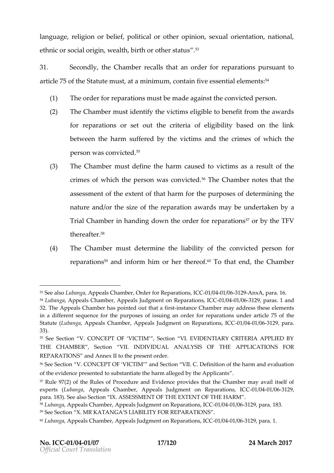language, religion or belief, political or other opinion, sexual ethnic or social origin, wealth, birth or other status

31. Secon, ot the Cham the crattles at an oter for pareatisophur sutant of article 75 Sot fatenteust, at a mincion mutualive essential felements

- $(1)$  The order for reparations must be made against the co
- $(2)$  The Chammbuest identify the victims eligible to benefit from for reparations or set out the criteria of eligibility between the harm suffered by the vicolimabical mothtene cr person was co<sup>5</sup>ñvicted
- $(3)$  The Chammo ustatione the harm caused to victims as a crime of which the person was<sup>6</sup>The convicted that the assessmethteexttent that harth orthoposes of determining the nature antoh/esize to the eparation awards e unable en aby Trial Chamhobeanding down theorder for reparation the TFV therea.fiter
- $(4)$  The Chammobes determ it the eliability of othe conversion reparatisfo<sup>o</sup> mand inform him or h<sup>6</sup>ee To the neemodithe Chamber

 $53$ See allsobanga peals Chamber, Order foli**C B**Oe1p'a04 at  $0.0616$   $R$ ganx  $A$  para. 16.

<sup>54</sup> Lubang Aappeals Chambels, JAupd poperaent on Repar0a1t/60041s/,0361C2OB aras. 1 and 32. The Appeals Chamber has pointed anout that mabein smay address these e in a different sequence for the purposes of issuing an orderther repara Statute ubang & ppeals Chamber, Appeals Judgment -001n'e Office of 2 for an ICC 33).

<sup>55</sup> See Section V. CONCEPT OF VICTIM, Section VI. EVIDENTIARY C THE CHAMBERS ection VII. INDIVIDUAL ANALYAGRISLICCENTIONNES FOR REPARATIONS Annex II to the present order.

<sup>56</sup>See Section V. CONCEPT OF VICTIM and Section VII. C. Definition of the evidence presented to substantiate the harm alleged by the Applicants . 57 Rule 9 70 (f2) the Rules of Procedure and Evidence provides that the Cham experts ubang & ppeals Chamber, Appeals Judgment on / 084 \$  $\epsilon$  be  $\Omega$  -3129  $\epsilon$  -026 -01/05 -01/06 -3129 -01/06 -01/06 -3129 -01/04 -3129 -01/04 -3129 -01 para. 83). See also SeatS SESSMENT OF THE EXTENT OF THE HARM. 58Luban Appeals Chamber, Appeals Judgment 00 heORMe positions, 118C3C 59See Section X. MR KATANGA S LIABILITY FOR REPARATIONS . 60Lubang Apppeals Chamber, Appeals Judgment 06 heORMe positiappiant as, 11.CC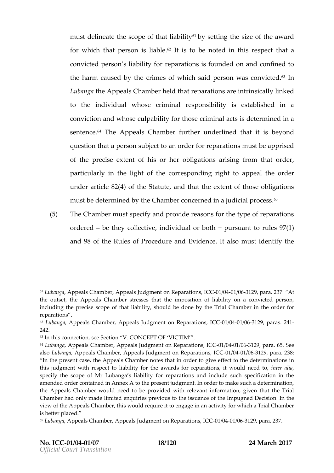musd eline ahies copoef that a bility setting the of the award for whitch tat perisson lia. Billet is to be noted in the instructional respect convicted peliability for eparations founded on and confined the harm causedcrbmy eddshewhis baipplerson was co<sup>6</sup>ñi**l**nicted Lubanton a Appeals Chamber the heat than  $\dot{\mathbf{r}}$  are  $\dot{\mathbf{r}}$  are  $\dot{\mathbf{r}}$  are  $\dot{\mathbf{r}}$  and  $\dot{\mathbf{r}}$  are  $\dot{\mathbf{r}}$ to the individual whosees coroimm similal is it we stablished in a conviction d whose culpability for thioss dedeimminal daints a senten<sup>4</sup> TeheAppeals Chambtehrer underlined bleapthid is question that a persoan os dibject to the parm as blown sapprised ofthe precise extent of his or her obligations arising particularly in the lights poot nothing index the appeal right of the correct particularly undearticle 4) $\delta$ 2 (heState, and that the extent of those obligations) must be determined by the Chamber concerthed in a jud

 $(5)$  The Chammbuest specify and provide reasons for the type ordered be the  $\phi$  llective, individual or  $\phi$  under the  $97(1)$  es and  $98$  of Ruthes of Procedure and  $\triangle$  is independentify the

 $61$ Lubang  $A$ appea Chamber, Appeals Judgment on OR  $\epsilon$ 004  $a$  / 60361  $\alpha$  phsp, rd C C 37: At the outset, the Appeals Chamber stresses that the imposition of liabil including the precise scope of that liability, shound be beind bhoe donydethe for Tri reparations 62 Lubang Aappeals Chamber, Appeals Judgment-Oo1n/09741e/p03661 2a ppi, anas. IC4C1 242. 63In this connection, see Section V. CONCEPT OF VICTIM

<sup>64</sup> Lubang Aappeals Chamber, Appeals Judgment 0dm 60741e/p03661r2a pliaonnes, 615CC See alsbubangAappeals Chamber, Appeals Judgment-Ooln/e0741e/p0261f21.paras., 213836:

In the present case, the Appeals Chamber not the ost that him doe the riminative se this judgment with respect to liability for the awards fornteparations, i specify the scope of Mr Lubanga s liability for reparations and include amended order connex A to the present judgment. In order to make such the Appeals Chamber would need to be provided with relevant informat Chamber had only made limited enquiries previous to the inssumanthe of the view of the Appeals Chamber, this would require it to engage in an activi is better placed.

 $65$ Lubang Appeals Chamber, Appeals Judgment 0 of  $0.06$ 11/29  $\mu$ ops, al $C$   $237$ .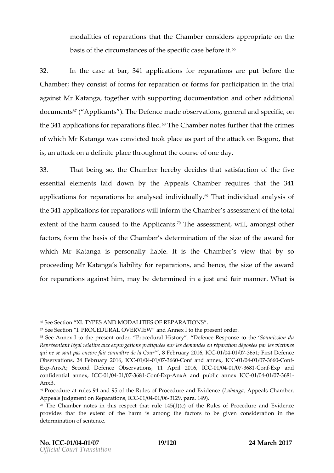$m$  odalities of reparathie constant the theories approprimente on basist be circumstances of the before for it. cas

32. In the caatseb, a 341a pplications for reapraempratione the Chambelne  $\mathfrak v$  on sigs form forms  $\mathfrak o$  aration forms for articipation he trial again Met Katantop angether with rtsing polocumentatoible and ditional do cuments  $\theta$   $\eta$  (t  $\theta$  plican). The Defermacole obsers, general d specific the34  $a$  pplications for réiple. $d$  and  $f$  is not a multiplets further the crimes of whild in Katanwopas convitootoeld plase parthoef attack on, that go ro is, an attac  $\alpha$  denote a definition and the of course  $\alpha$  ay

 $33.$  That being the  $oC$  ham the cree by ciddenthatsatisfactor of the five essent eatement asid down thow Appeals Chame band res that the 341 applications for rebpeanaantaiolynssed ind.fVTholaunbanlbyividua.an.la.liyssof the34  $\frac{4}{10}$  plications for rewphelr antioning Chambases enses nt to high to tal exte**nf** thhearm cautsoneholeApplic**a**?n°lTheassessm,wein1,tamongst other factoformthebasis of C the embedetermantion of stibe of at what d for whichMr Katanigspersonallilay blet ishe Chamber is the  $v$ so  $p \rhd c$  eiengodMr Katansg aliabifloity poetratispann dhentoheesize of atwhaterd for prearationargeainst, hnionary beloe terminine dajust and mfainme-What is

66See SecMb.nTYPES AND MUNIES OF REPARATIONS

 $67$ See Section I. PROCEDURA $\Delta$ n @ VA En RNe k E W to the present order. 68 See Annex I to the present order, PDI of tead out alk elsipsolon sSpeo.utom itshsoion du Représentant légal relative aux exples galeimonas opersation déposées sation déposées qui ne se sont pas encore fait, coor Freebîntume rode 20041/600,441L/020267651; First Defence  $Ob$ servations, 24 Februa0rt/ $\frac{1}{2}$ 04  $\frac{1}{2}$   $\frac{1}{2}$   $\frac{1}{2}$   $\frac{1}{2}$   $\frac{1}{2}$   $\frac{1}{2}$   $\frac{1}{2}$   $\frac{1}{2}$   $\frac{1}{2}$   $\frac{1}{2}$   $\frac{1}{2}$   $\frac{1}{2}$   $\frac{1}{2}$   $\frac{1}{2}$   $\frac{1}{2}$   $\frac{1}{2}$   $\frac{1}{2}$   $\frac{1}{2}$  ExpAnxA;Second Defence Observations, 11-01A/p0041I/0327608106o,nElxCpC and confidential ann@c1x/,00411C/032768Clon-ExpAnxA and public an0n1e/x00411C03768-1 AnxB.

 $69$ Procedure at rules 94 and 95 of the Rules o(LuPoraconstancion on ChEavindo-oenrice Appeals Judgment on RepCa1r 6004 0 /n9861 2 GC para. 149).

<sup>&</sup>lt;sup>70</sup> The Chamber notes in this respect that rule  $145(1)(c)$  of the Rules of provides that the extent of the harm is among the factors to be giv determination of sentence.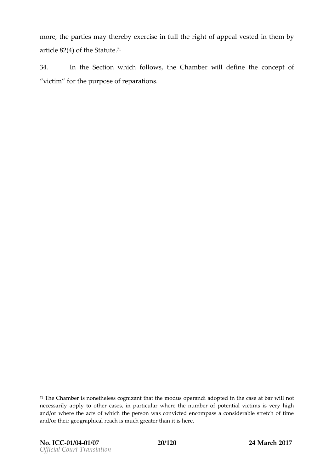mor, ethepartiensay the reexbey rcinse fut the right popeted vested in them by  $a$ rticle 4) $\delta a$  (thSet a te.7.1

34. In th $\texttt{\$}$ ection which follows Chamwhiddefineheconcept victim for the puppiors ations.

 $71$ The Chamber is nonetheless cognizant that the modus operandi adopted necessarily apply to otheenticulatens, where the number of potential victims and/or where the acts of which the person was convicted encompass a and/or their geographical reach is much greater than it is here.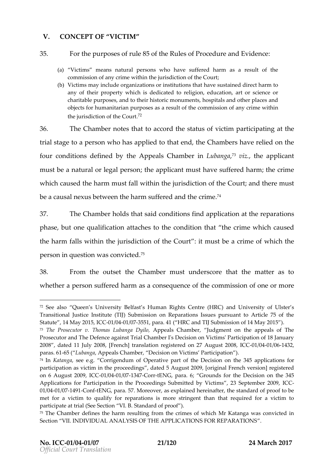## V. CONCEPT ØFCTIM

#### 35. For the purporse s&off the Reules of Procedure and Evidence

- (a) Victims means natural persons who have suffered harm as a commission of any crime within the jurisdiction of the Court ;
- (b) Victims may include organizations or institutions that have sustain any of their property which is dedicated to religion, education, charitable purposes, and to their historic monuments, hospitals ar obects for humanitarians paur peossuels of the commission of any crime w the jurisdiction of  $7^2$  the Court

36. The Chambo ethatto accord bestatu ovfictionarticionage at the trial sttape  $\rho$  ersownho has applited to the toth that m behave relied on the fourconditiodnesfineboly the Appeals Chaim bebanga you iz. theapplicant

must be a natural or; it enge a appein some and have suffer tended in  $\mathbf{r}$  and  $\mathbf{r}$ which caused the ustaffed in within the higher of the determinant which caused the ust be a causal nexus between the hærminn seuffered and the

 $37.$  The Chamber distinguished individured application part at the negation  $\frac{37}{4}$ . phaseutone qualificatia attache condihitation crime which caused the harm falls wjithing the interest Court the content of the the persom question was c<sup>5</sup>onvicted

 $38.$  From the ouhtee Chamminest understhat the mattes to wheth  $a$  rpersson fifered haas ma consequidence commonission of or more

 $72$  See al Queen s Univerfsast  $\frac{1}{2}$  Be Human Rights Centre (HRC) and University Transitional Justice Institute (TIJ) Submission on Reparations Issues pur Statute 4May 2015,  $\frac{10C10041}{0.07555}$  para4.1 ( HRC and TIJ Submission of 14 May 2  $73$  The Prosecutor v. Thomas Appubeal hag a Chamber , The appeals of The appeals of The appeals of The appeals of The  $3$ Prosecutor and The Defence against Trial Chamber I's Decision on Victim 2008 dated 11 July 2008, [French] translation regiGE@e1e@041d@1642372 August : paras. 651 Lubanga peals Chamble eision on Victims Participation )

 $74$ InKatangsaee eCoprrigendum of Operative part of the aDepolisizations flow  $34$ participation as victim in thed aptreocce of diungusst 2009, [original French version] on 6 August 20009/,0041C/01734 CortENG, paraGrounds for the Decision on the Applications for Participation and im gtshess uptr mitted by 23V isseeigntheam being 2009,

<sup>01/0041/0174 90</sup> ont ENG, para. 57. Moreover, as explained hereinafter, the st met for a victim to qualify for reparations is more stringent than that participate at trial (See Standard of 1) p Boof

 $75$ The Chamber defines the harm resulting from the crimes of which Mr  $\mu$ Section II. INDIVIDUAL ANALYSIS OF THE APPLICATIONS FOR REPARATIO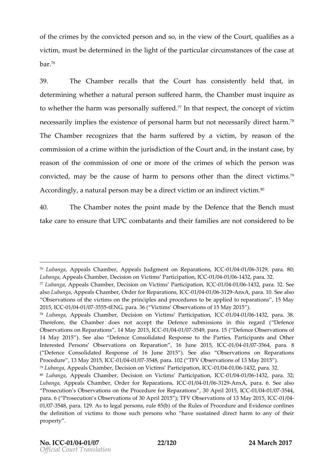of the crimetary the convicted pearsdosho, in the view or funchiefies and so, a victim, whict be determined in the light of the poafritike laas ceinstum b a. $\tilde{f}^6$ 

39. The Chamber call shat the Court has consitst that held determin mow hether a natural person, stou efeCrhead minhosoninguire as tow hether htahnennwaspersonhyaslu ffer<sup>z</sup>ēlch that re,**stp.ecoc**ncepotfvictim nece ssiby implie se xtihsele not opersonal hanromh ebouets sadriining cth7a°rm. The Chambee  $\sigma$  ogensithathe harm sufferae diction by reason of the commission commission of acritation the jurisdic  $\Omega$  ord raomfolithed he instant case , by case , reason of the commonsession molore confinited which the persown as convic, tendaybe those us oefharm to persons other than tshi<sup>s</sup>e direct A c c o r d i n, ag I ny a t upre his orma ybeadire vert c t im o in nadinirevoit til th

40. The Chambo the point matchee bDye fet matche Benchust take care to ensur**e othat tenented** heifmamine sare not considered to b

<sup>&</sup>lt;sup>76</sup> Lubang Appeals Chamber, Appeals Judgment -001n/0641e/p9361t at the analygic C LubangAppeals Chamber, Decision on Victimost/0994th/m21664 Bp@ antiman, 32°CC  $77$ Lubang  $A$ appeals Chamber, Decision on Victimos /  $004$ at/o11634 Bo $2$ paation., 3 $20$ 6 $\epsilon$ alsbubanga peals Chamber, Order foli**c R**oenp'anna teas harger and . 10. See also Observations of the victims on the principles and procedures to be app 2015, ICC 02041/03755 5 EENG, para. 36 ( Victims Observations of 15 May 2015) 78 Lubang Appeals Chamber ision on Victims Parodic/iop041 tied64,324,63 Ca..38 Therefore, the Chamber does not accept the Defence Debemissions in Observations on Reparation 2015, 14 May 2015 49, pasa. Defence Observations of 14 May 20\$5e). also efence Consolidated Response to the Parties, Partic Interested Persons Observations 166n JRtepar2a0t-1051 plot -014 C/CG37564, pa8ra. (  $Defence$   $Consolidated$  Response  $o\$ e $\geq 6$  also  $o$ be $\geq 200$   $o$   $s$ ). On Reparations Procedure May 2015, 010  $\frac{0.0041}{0.007548}$ , para. 102 (TFV Observations of 13 May <sup>79</sup> Lubang Appeals Chamber, Decision on Victimos / 0094 a/re116 os Bpapatrian, 32 CC 80 Lubang Alppeals Chamber, Dectismis n Poanrt Moilco at-Do1n/00411 CO0643 2p, ara. 32; LubangAppeals Chamber, Order fol*C*GRepeard text next, paraSe 6.also Prosecution s Observations on the Procedura profit Reports (read 10 April 2023/544, para. ( Prosecution s Observations of 30 April 2015 ); TFV @bs@4vations 01/037548, para. 129. As to legal persons, rule 85(b) of the Rules of Proc the definition of victims to those suchusptearisnoends dwinheoct hhaavrem sto any of t property .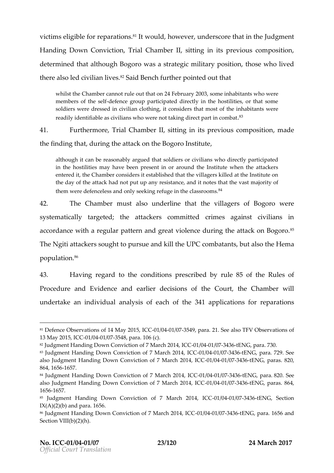victismeligib floe rreparatio<sup>s</sup>'nl ts wou hob we v,eanders core thaultu ding nhheon t Handing Down Co,nTvnicalCothambelr, sitting in its previous, compos determinied talthoBuogho was a strantidia prosition ose who lived there also led civ<sup>3</sup> Siaaind IB wen as h puorithteerd out that

whilsthe Chamber cannot rule out that on 24 February 2003, some inha members of the fenct group participated directly in the hostilities, or soldiers were dressed in civilian clothing, it considewresrethat most of readily identifiable as civilians who were not fåking direct part in cor

41. Furtherm  $\overline{\Phi}$  real hamble sitting in its previous, manual position

the finding duhrant the attack on the Bogoro Institute

although it can be reasdhably old gared or civilians who directly partici in the hostilities may have been present in or around the Institute entered it, the Chamber considers it established that the villagers ki the day of the and that put up any resistance, and it notes that the vast them were defenceless and only seeking  $4\epsilon$  fuge in the classrooms.

42. The Chammbust also underlthe thiblagers of webogoro systematically tahrgetætotackers ecolomminentst against civilians i accordance with a regular pattern and great violenc<sup>e</sup> during TheN gitait toake rssoughtopursuaend kill UtPIGcombatantotus tathsekele ma populat¶on

43. Havinge gard to commeditions preeds dorwile 85 of Rules of Procedure and Eavindencle electricianshed Coutrine Chamber will undertake an indainvaid yusails of eacl846fatphpelications for reparat

<sup>81</sup>Defence Observations of 140 M/a0412 @B7554, 9 | CpCara. 21. See also TFV Observ 13 May 2015, 1/1904 037548, para. 106 (c).

<sup>82</sup> Judgment Handing Down Conviction of 0 70 40 a 1 6374 32 to E1 N4G, I C & B a.

<sup>83</sup> Judgment Handing Down Conviction of 071 / 9004 7 @ 674 216 E1 N4 G, I Co 67 2c2. See alsoludgment Handing Down Conviction of-071 / NO44 r/e0574 2-10E1 N4 G, I Co 68 28 0,  $864, 166557.$ 

<sup>84</sup> Judgment Handwing CD onviction of 7 Mar-011/202011/4037413366ENG, p882a0.. See alsoludgment Handing Down Conviction of-07 / NO44 r/e0574 2-16E1N4G, ICQ88 64, 1656657.

<sup>85</sup> Judgment Handing Down Conviction of CG01 MB 241 & B3742366EE Al GSection  $IX(A)(2)(b)$  and  $\delta$   $\delta$   $a$  r a.

<sup>86</sup> Judgment Handing Down Conviction of 07/00041 03574 3:16E1 N4G, ICO 665.6 and Section VIII(b)(2)(h).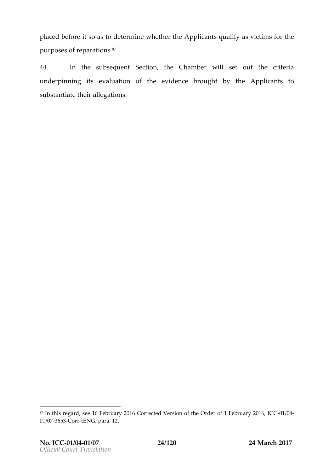placed befsooreasidetermine wheAtphpelrictshooptualify as syficationhe purposes poafrarei o<sup>s z</sup>ns.

44. In the subse&eucetinotnthe Chambveiriset outhecrietia underpinning eviat bu a tion theef evidence coughoty theApplicant to substantiheet erlegations.

<sup>87</sup>In this regand6, Fsee beruary 2016 Corrected Version of the Ord end Of 4 1 February 2016 01/03653 or  $t \in N$ G, para. 12.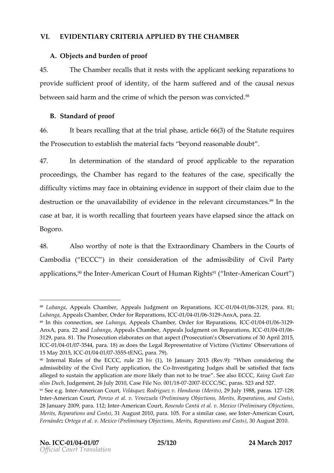### VI. EVIDENTRIA CRITERA APPLEIDBYTHE CHAMBER

A. O bjetsandburdenf proof

45. The Chamber alls that it rtehsetps apply it dosmete king a rations of  $p \cdot r$  ovide sufficient proof to the heid hearm that y suffered the harm and  $s$  and  $s$   $u$  s betwe**sa**idarm and the cef whitch the person was c<sup>o</sup>nvicted

B.Standard of proof

 $46.$  It bears retolation the htat is a rtigs loefthese taten the quires theProseciounto establish the mabeery ioan of arcetassonable doubt

47. In determinatibestoandard of appropolitie to the reparation proceed, in has Chamber eqard to fet a buroe fission case cifically by difficulty victims may face in obtaining evidence in support of destructiontho-eoorn a vailability of ioenvitohnooen le-ovacnit cumsta $^{\circ}$ ñ lone sthe case atibisworthecalling that teen years have ethaepseet das in coen Bogoro .

48. Also worthny obeisthathe Extraord Chamybosein the Courts of Cambod(ia ECCC in) theiconsidion of the admissibility of Civil P applicat<sup>q</sup> the Inter eric Coutof Human R<sup>ights be American Court</sup>

<sup>88</sup> Lubang Appeals Chamber, Appeals Judgment -00 h/06941e/p9361f and prosarat C O31; LubangAppeals Chamber, Order floGroBothanGoGoBoneAnn, para. 22. 89 In this connectLi**on** ansgesseppeals m**Cha**, Order for RepCaCCat*l* 6041s/,03612-9 AnxA, para. 220 beam, chappeals Chamber, Appeals Judgment Od n 0041e pot ations, 312para. 81 Prosecution elaborates on that aspect (Prosecution s Observations) ICE01/0041/037544, para. 18) as does the Legal Representative of Victims ( 15 May 201-01, 1 400-400 / 0375 5 t5 ENG, para. 79).

<sup>90</sup> Internal Ruile beo ECCC, robuils 4, 2136 January 2015 W Rem. 9: ansidering the admissibility of the Civil Party alppleistigating heudges shall be satisfied alleged to sustain the application are more. IB keed you hEaD hCan impute  $\bf{G}$  beek the use  $\bf{G}$ alias  $D$  udahd gement, 26  $Q$  a set  $T$  100, No. 0 1220010/ $\overline{a}$  8 CC/S  $\Omega$  aras. 523 and 527.  $91$ See e.g. -Almmteerrican CVoleulrásquez Rodrigue $\zeta$ Mverhts $2$ n9dulruals; 1988, -p $2$ 8as. 127 InteAmerican C<sub>re</sub> et al. v. Venezuela (Preliminary Objections, Merits, Reparations, Merits, Reparations, and Co 28January , 2009a. 1124; minteran CRoustendo Cant Mexico. (Preliminary Objections, Merits, Reparation, \$1 anAdug Colosist 16), para. 105. Foo as asseiem l-Phanne erican Court, Fernández Ortega eť Parlelivmi Marexyic Orbjections, Merits, R3e (pra Aruagiuos rts 20010). Cost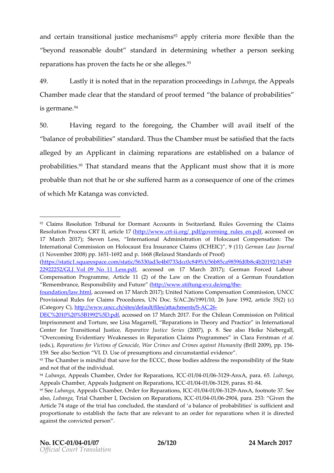andcertatin asition aulstichee chan<sup>p</sup>s and plustiteria more fleximibille than the same of the solution and the t beyond reasonablestand outbook determining thearpersouseeking reparation has proven the factes of the search she

49. Lastly it is the auterion attion prociented bragges phaseAppeals Chambre ade cltehaart tshteandard of proofthetermant and the probabilities is germ<sup>9</sup>ane

 $50.$  Havinge gard to the fortego  $C$  man will avail itself he of balance of probabaihid  $\vec{r}$  and  $\vec{r}$  hamber ust be satisfied that the that the that that the  $\vec{r}$ alleged abnyApplicaimtclaiming parations establoshheodalance of probabil it The sastandard meants e Applican muss how that smibre probablhean notobat he ossusfineerhead rmas a consequoemeceofodthienes of whild in Katanwas convicted

 $(<https://static1.squarespace.com/static/56330ad3e4b0733dcc0c8495/t/56b>$ 22922252/GLJ Vol 09 No\_aldcelsessed pobin 17 March 2017e)d Gaebronuam Ford Compensation Programme, Article 11 (2) of the Law on the Creation of RemembraRhoeseponsibaint of Futur on the trum of the steft undge / eng/the

foundatiba w.html cessed on 17 March 2017); United Nations Compensation Provisional Rules for Claims Procedures, UN Doc. S/AC.26/1991/10, 26  $(CateqG\phi\phi ttp://www.uncc.ch/sites/default/ACe26a ttachments/S)$ 

[DEC%2010%20%5B19](http://www.uncc.ch/sites/default/files/attachments/S-AC.26-DEC%2010%20%5B1992%5D.pdf)92% CEDSS med for March 2017 The Chilean Commission on Po Imprisonment and Torture, see Lisa Magah beoldy anebep araticios inn Internati Center for Transition Replaumsatice be Justate Justice See also Heike Niebergall, Overcoming Evidentiary Weaknesses in Reparation Claims Proaglammes (eds, R)eparatio Visc tfioms of Genocide, War Crimes and (**Grim**e2s:0**8.** 913x5-6qps.pt. Human

159. See also SecWisoenopinNelsul Ch.p shann obircumstantial evidence

93The Chamber is mindful that save for the ECCC, those bodies address t and not that of the individual.

94 Lubang Aappeals Chamber, Order fol CGR te healend al 2036dn2-499,nx Apara. L60 55 ang a AppeaCshamber, Appeals Judgment on -0R1e/p02441 A00360 29 SpalnCaG8 48.1

 $92$  Claims Resolution Tribunal for Dormant AcRcouerGs powern Sinwojtztehela Goldaims Resolution Process CRThttp: at twing weicht the differenting rudeses sed doin 17 March 2017); Steven Less, InternationalcaAudsminCiosntrpateinosmatioofn: HoThole International Commission on Holocaust Era Insurance ernotaanimus wil CobluErlnCa) ,  $(1No$  vemb $2e$ 0r0 $8$  p.1651169 $2n$  pp.166 $(8e$ elax $8$  tlandao dFsroof

<sup>&</sup>lt;sup>95</sup>SebubangAppeals Chamber, Order f**bG GR**12*h*96441a 606d or and footnote 37. See alsoL, ubang Tarial Chamber I, Decision on OR e @044 r/a026900, pasarat CC2 53: Given the Article 74 stage of the trial has concluded, the standard of a balance o proportionate to establish the facts that are relevant to an order for re against the conevison the d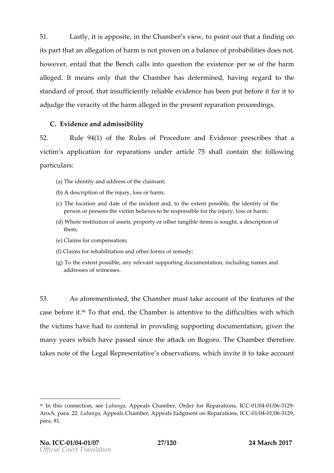51. Last, littis apposite, in the Chat **o**rphoeints ownie awily fant ding on its part that  $q$  and  $q$  and  $r$  m not proven balance of probability in  $\bf e$  is howe veem, tail that the aBles not into quelection steps of the arm alleged meaonsly that the Chamber determinate and relation the  $\lambda$ standard of that insufficient able evidence has been put beforted it for adjudgheeve racity of the harm alles generate prant and in one roceedings.

C. Evidence and modissibility

52. Rule941) of thReules of Procedure and reEsveird bloaste a victimas plication reparations under article 75 shall contain particulars :

- $(a)$ The identity and address ; of the claimant
- (b)A description of the injury, loss or harm
- $(c)$ The location and date of the threcied vet neth and, stoble, the identity of the  $i$ person or persons the victim believes to be responsible for the inju
- (d)Where restitution of assets, property or other tangible items is sou them;
- $(e)$ Claims for compensation
- (f)Claims for rehabilitation and other forms of remedy
- $(q)$ To the extent possible, any relevant supporting documentation, inc addresses of witnesses .

53. As aforementione entioned a montheastial kend count feature modes the features of the features of the features of the features of the features of the features of the features of the features of the features of the feat  $\mathtt{case}$  for  $\mathtt{e^6}$  T to thatend the Chamibe attent to vehe difficulties which thevictismhavehadto contend in prosouvpipoloimiging documentation entre the mentation of the mental supportion  $\mathbf{g}$  in  $\mathbf{g}$  $m$  any ye vahisch ave asses dinctene attack on. Blog  $\infty$  b and  $b$  erefore takes note LoefgtaRepresentactive ervative mischnyetit totake account

<sup>96</sup> In this connectLi**on**, a pages peals Chamber, Order fo**r C-061**  $\pm$  peak next,  $\pm$ Anx A para L D B an g Appeals Chamber, Appeals Judgment 0d n 60 Rt e 606 r 2 9 ions, IC +  $p$ ar $\boldsymbol{\hat{\textbf{a}}}$ . 1.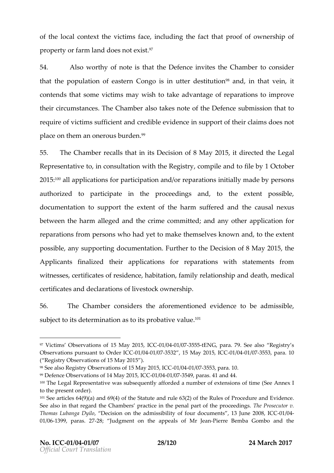of the calcontext villed in face including fact pthead fof ownership of properotnyfarm ladnodes not.<sup>9</sup>ēxist

54. Also worthy of that the is Defeing estelled Chamber on sider thathe population of Cenagioserim utter de<sup>s</sup>the in that vietin contentohsastom  $e$  icit ims may wish to take adv $p$  at agied noosfime prove their circumsTanneceCshamablestoakes noofthee Defesnuchem is stiho anto requirfe victims suffaincide nothing let  $v$  idenicies uppoof rith och and so enso t placcenthem an obn**erole°s** 

55. The Chamber alls that Dencistis on of 8 Miatyli 2e0ent15 the egal Represent tagtin  $\epsilon$  onsult avtitudent he Regiosn the pyinded of illeby 1 Octobe 2015°al bapplication psanticipation rangencontrosion it il ay l made p by psons auhtoried toparticipate in the proonconeteredintonse extent possible documentattoisupportheextenot the harm suffetheed a ansual nexus betweehne harm alalenged be crime comanniditaendy applipeircation for reparatifor**os** persows how had yet to make themss needy etso ktholowen xtent possibal **e**ysupport drog umental Fiuorn ther to Det biesion of 8 Mitchye 2015 Applicant in a bed the application s reptent ration stow ith statements from witnes  $s$ ces tificatresside of n**be** bitation  $\mathbf{m}$  ily relationship and heldical certoi biets anddeclaration in we sof oo owknership

56. The Chamdocerrsid  $\texttt{4}$  hseaforementione identce be admissible subjecitt sckæterm in aat sio holsprobative .Value

- <sup>98</sup> See a Rseagistry Observations of 150 M 8041 20375 5  $\beta$  at CaC. 10
- 99Defence Observations of 140 M/a0041 24057554,9 l Op Caras. 41 and 44.

<sup>&</sup>lt;sup>97</sup> Victims Observations of IC5 20M1 A 2024 121 0377555, ISENG, paraSe Te9 al Registry s Observations pursuant  $t@1$   $00041 \notin 6375$   $C$   $C$  15 May 201051,  $10001$   $C$   $0375$  53, para. 10 ( Registry Observations of 15 May 2015 ) .

 $100$ The Legal Representative was subsequently afforded  $a$  number  $a$  fiexters to the present order).

 $101S$ ee articles 64(9)( $\omega$ f) tahned  $S\delta$ t $\omega$ tute and rule 63(2) of the Rules of Proced See also in that regard the Chambers practice in the heee  $\mathsf{Pa}$  b speed ruttof the Thomas Lubanga D D gistoon on the admissibility of four 2 @ 0 & unt 0 a 6 0 s4, 13 June 01/016399, para2s8; 27Judgment on the appealPhiserorfe MBrendlean Gombo and the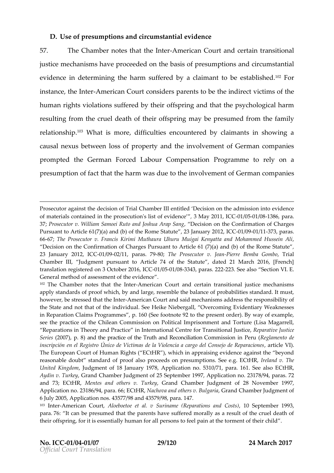D. Use opfresumption on the product antial evidence

57. The Chamboetes tthat the American Canudricertain transitional justims echanisms proceed end the basise souf mpsize ond ircumstantial evidenione determining the harm assulation and to  $\bullet$  sabsine 'd'? For instant the  $\theta$  nteArmerican Cconunsteidsparent tos be the involcit eimonstitute  $\theta$ human rights atissus fered by offsepiring and that the psychologic resuintg frotime cruel **dé**attheir offsmparykoneg presumed thefoammily relation.<sup>§</sup> Phip hat is mobificulties encountered by claimants in causal nexus besweem opean wtheinvolvement of German compa promptet de German Forced Labour Poomgreams tanseionely on a  $presum$  presum pto for fat that the hardhu et vortune involvem  $Ge$  at mo-th on panies

Prosecutor against the decision of Trial Chamber III entitled Decision o of materials contained in the opfroesviedcent boom/layli2s 011001/0063/01838 ptara. 37Prosecutor v. William Samoei Ruto **aedisioshoa Ahap C Sanig mation of Ch** Pursuant to Article  $61(7)(a)$  and (b) of the Rome  $-81a0001e4317233$  ratanuary 20 6667, The Prosecutor v. Francis Kirimi Muthaura Uhuru Muigai Kenyatta a Decision on the Confirmation of Charges Pursuant to Article  $6,1$  (7)(a) and  $R$ 23 January 20-02/60992/01, par-8:9.;The roP secutor +P.ie Jean Bemba Grainalbo Chamber III, Judgment pursuant to Article 74 of the Statute, dated translation registered on 3 GOcto60664 692684 3, baCa 23252 42e a Ssection EVI. Generad throodfassessment of the evidence

 $102$ The Chamber notes tham the alm terrout and certain transitional justice apply standards with porto, oby and large, resemble the balance of probabiliti however, be stressed -Amaeriban Court and said mechanisms address the responsibility of the State and not that of the einkobi WideulastgSade, Oleerdentiangy Weaknesses in Reparation Claims Pro $\log 6$  am  $\log 2$  to  $\log 2$  to the present order). By way of example. see the practice of the Chilean Commission on Political Imprisonment a Reparations in Theory and ternation and refor Transition at rule of ustice Seri(e2s007), pand8 the practice of the Truth GlondhrRiescscinon ilia-RiBognihaum (ento de inscripción en el Registro Único de Víctimas de la Violeanctia la Valgo de The European Court of Human Rights ( ECtHR ), which in appraising evid reasonable doubt standard of proof also proceeds on Ipreesum putioThise Se United King duodrog ment of 18 Januairoya thi 0 n8no App 310/71, paraECt HR, See al Aydin Twrk, Gyrand Chamber Judgment of 25 Septembel 31197937/p9a4A, pplication n and 73;  $ECM$  Mehates and other keev Garand Chamber Jud2  $\beta$  me Not ovem ber 1997, Applicatio @ 3ml 68964/para. EG t H R achova and others Gyra Bould a being ber Judgment of 6 July 2005, Application nos. 43577/98 and 43579/98, para. 147.  $103$ InteAtmerican CAluorte, boetoe et al. v Suriname (RepQar**Steiphesmberd 10909s31**s) para.6: dan be presumed that the parents have suffered morally as a res their offspring, for it is essentially human for all persons to feel pain at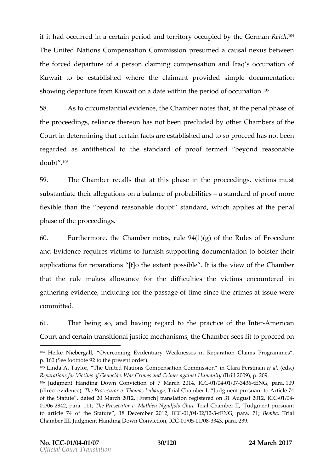if it hoaodcurrienoalce rtaioeri**o** oa note rrityo opccupied bGyentnhoeRne i*t*c애n The UntiedNations Compensation Commission is the acausal between the forced depatapuerreson claiming compensation and cupation Kuwaitto bestablishedwher the claimant ovidesd mple document show indegparture Khuowmation datweithitch operiod onctupation .  $\blacksquare$ 

58. As topircumstantial ethiedeOnhcaemmbo ethe ithen and phase of theproceedingulsiance thereon has not beenhed theorendered the proceedingular center the chambers of the Chamberson Coutrindetermining had ertain tspare establashed by so celeals not been  $regarded$  anded a  $a$  beithetic athestandard of termore  $\phi$  beyond reasonable  $d$  o u b $.1^{\circ}$   $\circ$ 

59. The Chamber calls that this phase in the proceeding in the proceedings substantlihaeter **aldteions halance of probadsitlanide serd** of mporpeof flexible than betyhoend reasonablest adroduabowtch ich applies paethathe phase the poceedings

60. Furthermoune, Champeotsterule  $914 (q)$  of the Rules of Procedure and Evidere gees rvictims futonisshup porting docum teorbitoaltsituenhe in applications  $p$  and  $q$  at  $\infty$   $p$  for the exptes  $s$  ible is the view  $C$  b amber that the rule makes allowance for the evolution the unit coush temmed  $g$  atherien gidencienclud fion gthpessaogfeimesinctehecrimeastiss wueere committed .

 $61.$  That being ansolation of regard ration etholf the eAmerican Courat not ertatima nsitional justice , the exhCalma sustements the to ceed on

<sup>&</sup>lt;sup>104</sup> Heike Niebergall, Overcoming Evidentiaray ra Wienankn Celsasienss i Pro <del>R</del>ogerpammes p.160 (See folled a othe present order).

<sup>105</sup> Linda A. Taylor, The United Nations Compienns Cala Froenrs Clonosantmed bestiso.n) Reparations for Victims of Genocide, War Crim(Bsibln200290, p. against Hum 106 Judgment Handing Down Conviction of -071 Ma0241 640374 23-66131 MG, ICpC a 0:29. (direct evid Tehnee  $\Theta$ );  $\circ$  secutor w.b a Thiop anial Chamber of giment pursuant to Article of the Statd aded 20 March 2012, [French] translation regis-0elr/@4 on 31  $\mu$ 01/026842, paraTh te 1 PP rosecutor v. MatChhieu TNiga ud Ciobla comber II, pul unsulguament to article 74 of the Statute , 18 Doede042b1e32tE2N0312,palCaDBe7m1,b,Tarial  $Chamber III, Judgment H & modining t  $DmQm1/0051/038343$ , p2a38.$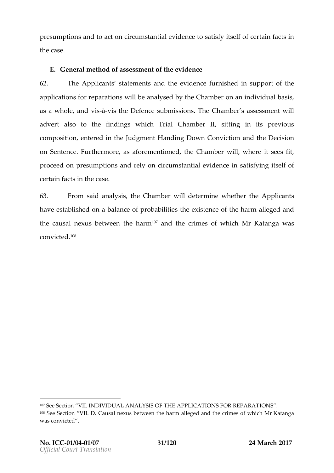presumptionass d tacotoncircum stantial otovaid beinsofy its ceel fit on facts in the case

E.Generathmomtassessment of the evidence

62. TheApplicant statemands the eviduermoishiend supporttheof applications for rewpiblington any steed he Chamber enim dividual basis as a whootheet isà-visthe Defesnucberm is s.iofheChambears os as mweihlt advert also ton dinnegoushichTriaChambel; sitting in its previous composite on the rend theJudgment Handing Down aCondrin velocation on onSentenFcuerthmecorreas aforementioned amwhichend it sees fit, proceed poensum pstizon nd y eo Incircum stantial einsidaet insidinggitself of certaid stathe case

63. Fromsaidanaly, stils e Cham ubield etermine whet **Applibent** havestablished on a balance toh feepxri**s bearto fethie** sharm alleged an the causal nexus thologhtawrologiend the cimeosf whioMhr Katanwo,aas  $\texttt{convic.1@d}$ 

<sup>107</sup>See Section VII. INDIVIDUAL ANALYSIS OF THE APPLOCATIONS FOR R  $108S$ ee Section CValuisaD. nexus betweean letgeneta ninal himerrimeosf whild InfKatanga was convicted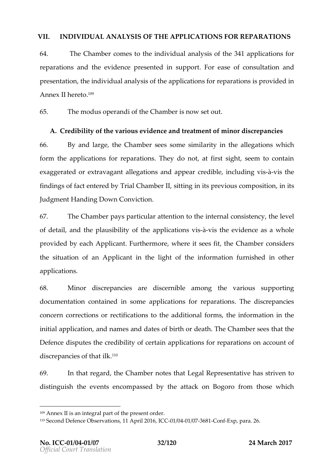VII. INDIVIDUAL MANALYISS OF TAHTEPLICATIONS FOR REPARATIONS

64. The Chamber comes to intohieviduanally sis of the deplications for reparations the evidence reent in suppoFrot rease of consual ridion presentathoen individual analyapsio attibers for respapmant viodinesd AnnelxIhert**e**d.<sup>09</sup>

65. Themodus operoefintchie Chainshotoewset out

A. Credibiliotfy the arious vidence at the sent of mental individual conductions 66. By and latingee Chamsbeeers some arsiting itilineallegations which form the plications for replaculations mot, at first sight, seem to  $\mathsf{ex}$  a g g e r a teed trosag a ratile g a tions a papeard credible n cluding  $\mathsf{ex}$ -visthe findings of fact eThrtiente Cohbayth betating in its previous in ombsosition , its previous composition , in the manner of the metal of the metal of the metal of the metal of the metal of the metal  $\alpha$ Judgment Handing Down Conviction .

67. The Champbaey particulature ntion tion tehrenal consituate intervel of detainid the plauspifbithidepy plicastion solistheevidencese a whole  $p \cdot r$  ovided by Agpardincal Finderm of the registion set of  $C$  the motoponsiders thesituation aApplicant the light onffothmeation furnished in otherwish applicasion

68. Minor discrepæmeiesiscernainblong the rioussupporting documentadion cained in applications for replacea diosorsepancies conce  $\alpha$  arrections  $\alpha$  ctification the additional height forms ation in the initial pplicat  $i$  and name as ades f birth decath he Chams be eenth at the Defendie sputes the credibilial polications for reparations to f discrepancies l **k**f<sup>o</sup>that

69. In that reghaerd Chambo ethale gal Representative iven to distinguti**she** veet sencompasts yet the attack on fBrognon tohose which

<sup>109</sup>Annex II is an integral part of the present order.

 $11\%$  econd Defence Observation $\leq$   $\frac{31}{804}$   $\frac{1}{8040}$   $\frac{1}{10076}$   $\frac{36}{80}$  6  $\frac{6}{9}$   $\frac{1}{5}$  x pp ara. 26.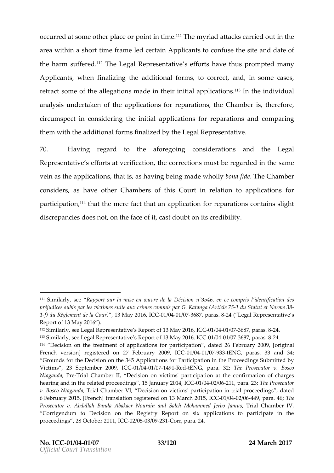occurred at some other inplit in them yrian that conservied in utthe are writhin a short timbeed ferratman Applicas not confushe site and date of the harm su<sup>1</sup>ffo**e** heelde gal Represesntoenflicheatsrehuspromptendany Applicas, nwhen fizialgi the eddition formal forms, to correct and, in some cases, retract scofm tehaelelg ations ade in theira propiliticaal t.1 o° hmstheindividual analy suirs dertaken in the applications for retunder a  $\Omega$  hoams is entherefore, circum spiecton siderting inital applications epforations domparing themwiththead ditionfoarlm form a zetid by the Legal Representative

70. Having regard to the aforemeatiinognement belogal Representative rts weartification or rections the quantitive same veinastheapplicas, ict in a taiss, having being matchean avhibit bey Chamber considers have  $\alpha$ chamberts ibCoutrinrelationappolications for participa," If that the mere faent at phypaltication for repopenent and shops ht discrepancies does not, on the facies contrait bility chast doubt on

<sup>111</sup>Similarly, Resepeport sur la mise en Suvre de la Décision n°3546, en ce préjudiscuobsis par les victimes suite aux crimes cō551 mdis §taatGet eKtaNaonromae (3A8 -1-f) du Règlement de l3 a M Cagu 2 0 1061, *I*OC 0376 87, p & 24s ( Legal Representative Report of 13 May 2016 ).

<sup>112</sup>SimilarlyLesgeael Resopmetative s Report of ITC3GOM at 0042.06376 8,7par 8-24.

<sup>113</sup>SimilarlyLesgeael Representative s ReportIC @011/8041M/a037762807pl**6**r8-24.

 $114$  Decision on the treatment of applications for participation ginalated 2 French version] registered on 27 FOelble 04 a  $h$  and  $34$ ; Grounds for the Decision on the 345 Applications for Participation in th Victims, 23 Septembe<sub>1</sub>012 00019 0174 GRC ed ENG, para.Th 3e2; Prosecutor v. Bosc Ntagan@ a Frial Chambele blision on victims' participation at the confirmat hearing and in the related proceedings 0,11 BO4 21/aD2604 tary p 2087 14 e IP Cr 6 secutor v. Boscga Nta Trial Chamber VI, Decision on victims' participation in tria 6February 2015, [French] translation register@ett/ 0042 / 0484 9M, ap cahra 72 h041 65; ICC Prosecutor v. Abdallah Banda Abakaer No**ulearino alpadhin Ssale Chimin ber min** Yed Corrigendum to Decision on the Registry Report on six applications proceedings, 28 Octob0e2r/@0563140293HCoOrr, para. 24.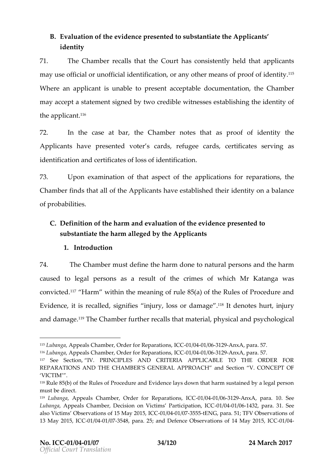B. Evalua not the evidence resent to substanthineAppe licants identity

 $71.$  The Chamber calls tha $\Omega$  outh the as consistently appelled cosmout may use official or unofficial identification poofridatenyy id ther mea Wheran applicainst unable ressent ceptadodeum entition the Chamber  $m$  a vacce apts tatems  $\dot{e}$  orentightly two credible what brings has not also the identity of theapplic.a<sup>1</sup>nt

 $72.$  In the cantstea, rthe Chamboetee than ts proof of identity Applicant tavepreseend tvoters cared agee cared stifis as teen ving as identificaatrich actrification identification

73. Upon examinattibonation of theapplications for retyhaerations  $C$ hambfeindtshat all of Alpoplicant avest absine the indentityon balance of probabilities .

C. Definition ftheharm ane whalu anto of the evid perme useen chosen  $\alpha$ substantibate harm albley the eduplicant

1.Introduction

74. The Chammbuest folmethe harm donneetural peasnoch sharm caused to legal peassonas resutheofimessf which Mr Katan was as convicted Harm within the meamuineg and the theoles of Procedure and Eviden, icte inse called gnifiens jury, loss or 1d%elnndægneoteus rthin jury anddam a g1e°The Chamfbuerther recalls thlatphynastiaenada sycholoagii

 $115L$ ubang Appeals Chamber, Order flo $\alpha$ GR 18/06  $\alpha$ 14 at  $\alpha$ 636 $\alpha$ -204  $\alpha$ nx Apara. 57.

 $116$ Lubang Appeals Chamber, Order flo $\alpha$ GR 1e/peaunt al 6066  $\alpha$ Anx Apara. 57.

<sup>117</sup> See Sectliwn, PRINCIPLES AND CRITERIA APPLICABLE TO THE O REPARATIONS AND THE CHAMBER S GENERALS ARPIRING ANO ANGEPT OF VICTIM .

<sup>118</sup>Rule 85(b) of the Rules of Procedure and Evidence lays down that harm must be direct.

<sup>119</sup> Lubang Appeals Chamber, Order for R04 p60041a/tG361n2s9, nx BC Opara. 10. See Lubang&appeals Chamber, Decision on VictimOs1/GB4atOfGei3p2atiparalC3C1. See als Victims Observations of 150 M/a0941 24937555; tENG, para. F V1Observations of 13 May 20150, 1 A \$04 02 / 0375 48, para. 25; and Defense of Dister May 2001/90, 4 ICC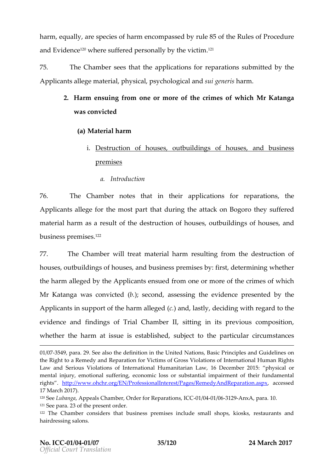harme qual by sspecies framencompassed by of thReules of Procedure and Evid<sup>1</sup>e°Novchee rseu ffered paelnlsyo.bory vtihcoti.1m?<sup>1</sup>

75. The Chamsbeeers thataptopleications for respundementations the Applicant sume mater, ia physis , psychology call generins have  $\alpha$ 

- 2. Harm ensuing of moemor moofretheerime osf whicMhr Katanga wasconvicted
	- $(a)$  Materlihaarm
		- i. Destructoofn house  $\boldsymbol{s}$  to uildsing house  $\boldsymbol{s}$  dousiness premises
			- a. Introduction

76. The Chambetes that inappelications for replacations Applicanallege the mosth pardurtime attack on the gos offered material has are man sult the fed estructor the mous, easy the uilds ion for house ensed, business prė̃?mises

77. The Cham we intreant a terial hraensmoint g from the destruction of hous.epsutbuilds infigured by: siness proper infigured etermining whether theharmalel ged by Atphoelicaenth sudefromone or modirehcerim ones which Mr Katan  $u$ gas convi $(bt)$ esde conads, sesstinnene videnponee seendt b $t$ yhe Applicant suppoof ft the  $am$  allegene diastly, deciding quantith to the evidenaned finding Esrief Chamb, ertting in its previous, compos whetheline harm at issest about be depended and incurrent ances

01/037549, para. 29. See also the definition in the United Nations, Basic the Right to a Remedy and Reparation for Victims of Gross Violations of Law and Seriouison's iod fat international Humanitarian Law, physicandember 2015 mental injury, emotional suffering, economic loss or substantial impair rightshttp://www.ohchr.org/EN/ProfessionalInterest/Pages/Ræmcest & Add Rep 17 March 2017).  $12\%$ ebubang Appeals Chamber, Order for -0R12/p98411 a  $0.030$  a  $\Omega$  para.  $121S$ ee p $2r3$ of the present order. 122The Chamber considers that business premises include small shops, hairdressing salons.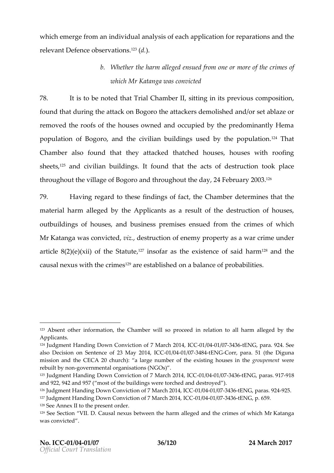which emerge finod mixido and an individual constraints in for repond that is not relevaDnetfenocloeservat<sup>i</sup>i<sup>2</sup>oî(**d**.)s.

# b. Whether the leth generod missulferomone or onforthe eimer is whid Mr Katawa gaovnicted

78. It is ton obtee that rial Cham, boeit till nig in its previous, compos found t**dat**ing the at**Bacckothe** attackers demolished and/or set removed the roofs of the houses owned and occupied by the population of Baongobbroec,iviialn buildingsbyustehde popu<sup>li2</sup>alTihoant Chambalso found the attacked that ouses, houses with roofing  $s$ heet $t$ s and ciav nil buildintg on tund that atoste of  $d$ estructtion on koplace throughout the o $\rm\Psi$  iBloa**ge** nod thrown thhe d2a4F,e brua2n0y013.<sup>6</sup>

 $79.$  Having regard to the se finituden  $6$ shaon for befact the asthenden the  $\frac{1}{10}$  $m$  a derial harm alleby ed hAepplicant saresuloff the destruction on soe fs outbuildsi**o**fg houseensdbusiness preemissueefsdom the eimeosf which  $M$ r $K$  atan $\bm{w}$  as convicted iz destruction meoming roperats a war crime under articl(22)(83)(xi)i of t\$steate).??insofar asextihsele.noofesaid h^a8armd the causal nexus wiith the creas his ound alance of probabilities

 $123A$ bsent other information, the Chamber relation pooneled arm alleged by Applicants.

<sup>124</sup> Judgment Handing Down Conviction of 07 / 8004 0 6374 316 E1 N4 G, I C + 284. See als Decision on Sent @ Bc May 20 1041, / 0040 C0374 8 HEN Corr, pa5r1a. (the Diguna mission an  $\mathbb C$  EtGe4 20 church): a large number of the gerosing terming eximite uses in rebuilt bygovernmental organisations (NGOs).

 $125$ Judgment Handing Down Conviction of  $07/$  Manation  $40.0774$   $3.002$   $10^{10}$   $6.02$   $3.38$   $1.8$ and  $922$ ,  $942$  and  $95$   $\frac{1}{2}$  and  $95$   $\frac{1}{2}$  the building is were torched and destroyed ).  $126$ Judgment Handing Down Conviction of  $7/604$ af  $6374$   $316E1N4G$ ,  $1662$   $24925$ . 127Judgment Handing Down Conviction Co30 7/804 at 6374 286 E1N4 G p. 659.  $128S$ ee Annex II to tbedpresent

 $129S$ ee Section CValuisaDi.nexus betweean letuyabela ninabumacrimeosf whitMhrKatanga was convicted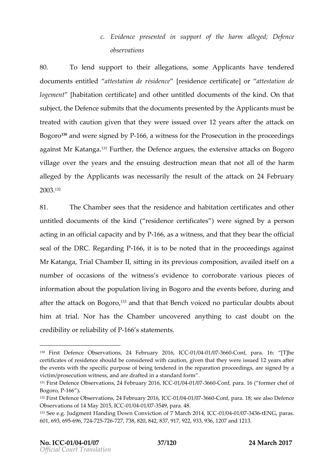## c. Evidence  $\epsilon$  set on ith support the band form all  $\epsilon$  defect on ce observations

80. To lend suppolinteito galle ionssom eApplicant have tendered do cume ne that it lead ttestation de [rréssiddeemcoeertificantea ttestadieon logeme [habitaticoem tificanted othuen titled of cume of stehkind On that subjet the Defesnut demitths at the documents each the Applicannust be treated with caution given that they were istshuee  $d$  t to  $2y$  of Bogo<sup>re</sup> Cand were sloye R-66, 6 awitness for the osecution he proceedings againMelt Kata.h<sup>3</sup>gFaurth,othe Defeanrogeu,etshe extensive aBtoagotosoon villagoever the years and toheesternuscuminoegan that adf thhearm alleged by Appleicanwith necessarily the reastual to  $\alpha$  4 Fine of ruary  $200^{13^2}$ 

81. The Champber sthat estingle nata chabitation antificated so the r untitled of cume not fis the k(ined sidence of tifis  $\lambda$  wee resignedby a person acting an offdapaalcity a P-d 66,6ays a wit,manensis that they bear the offi sead f thDeRC.Regardin1g6, GPt is to noblee to hat in the proceedings aga MrKatangTarial Chamberting in its previous avail polosition and  $\alpha$  and  $\alpha$ number of occasticens with the existent corroborate prizercies is of inform atabout phoepulation inigh  $B$  ogorand the events before, during aftetnhe attack on,13Baongoolrtohtahtat Bench wooriopeadrticoluolan**is**tabout himat trialorhasthe Chamber over dranything to cast doubt on credibiolity reliaboifP-11y66s stmatents

 $130$  First Defence Obs $\mathcal Q$  Alval Fiedborsu, ary 2006/004107 037660 on fpara. 16: [T]he certificates of residence showlidhbean obinomidenied and that they were issued 12 the events with the specific purpose of being tendered is ig the droparation victim/prosecution witness, and are drafted in a standard form . 131First Defence Observations, 24 February 2016, ICC -01/04 -01/07 -3660 -Conf ,para. 16 ( former chef of  $Bogorof66$ .  $132$ First Defence Observations, 243 GDF tebGO4u1a/  $6376$  26 Opto 6, para. 8 see ald Desedence

Observations of 14 Ma0y1/2004156637543 pCara4.8

<sup>133</sup>See e.g. undgment Handing Down Conviction of 07/004 763574 3t6E1N4G, ICP & ras. 601, 6936 9669 577  $24727$ , 7388 4822, 0837, 917, 922, 933, 936, 1207 and 1213.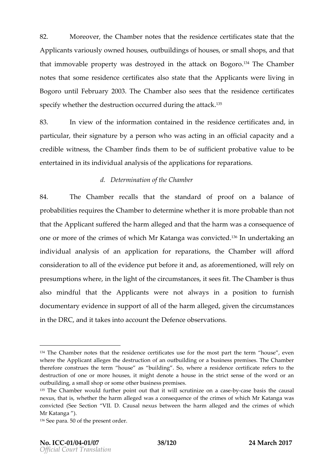82. Moreover  $\epsilon$ Chambre of that relation  $\epsilon$  extriss that the the theorem  $\epsilon$  $A$ pplicant arious by  $n$ uthouse s,eoutbuildsion for hous orses,  $m$  all sshop pot that thatm movable prowpeesdteys troyedhen attack on 13BTo by oer Cohamber notsethatomes idence rtificates state that this the reliving in Bogorum tiffebrua $2003$ .he Chamable post the residence ettificates specify whehtedestruction ourred durintome k"hise a

83. In view though information contaries and the reservation of the reservation of the results and the reservation of the reservation of the reservation of the reservation of the results and the reservation of the reservat particularin signatur bey a person who was acting an in an original capacity and an official  $c$ rediblowitness be Chamibredshem to be sufficient ipeobalue to be entertained in its and insidufath polications pfaorrations

d. Determinathe Chamber

84. The Chambeegalls the anstandard of proobabance of probabilitei**e** sintehse Chamt beote rminwehethietrins or probablhean not that the plicas nuffered the hard hand let get the wharm consequence of one or morecorfmtk**oos** whiMchr Katanwgaas convi<sup>n</sup>ĉ<sup>o</sup>nt**e**dundertaakning indivially analysiss no application for reparaCthean mew elrafford consideration fto hall evident close fore it and, as a for it help equitioned  $p$  resumps in other , in the light coinfuctor is the centum of  $\epsilon$  is the Teh set of the chamilist tehn us also mdful that Applicante not always in a position to f do cumenteaving eniges uppo at lboff the armalleged ven thie cusmtances in thDBRC, and ttakes into atchoal **endemorations**.

 $136S$ ee pa5 $r$ Oaf the present order.

 $134$ The Chamber notes that the residence certificates use for the most p where the Applicant alleges the destruction of an outbuilding or a busin therefore consthe term house as building . So, where a residence ce destruction of one or more houses, it might denote a house in the stri outbuilding, a small shop or some other business premises.  $135$ The Chamber would further point out that it -by-viclaser behasing ethen can ucseasle nexus, that is, whether the harm alleged was a consequence of the crim convicted  $\Im$  Secteion VICIauDs.ane xus between the hadedgehodax mondthecrim ecsf which MrKatang)a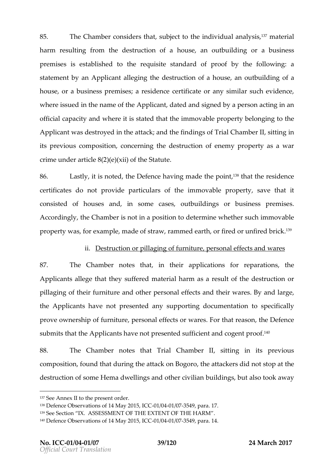85. The Chamber considelerie ctthhaein dsiviallu anal  $\psi$  smisa, te tia harmresuihtgfrom the destruction houstigan outbuild in ragbusiness premisiesse stablished to the requisite stbayntothaerdfold follow.painrogo f statem by national and teqing duch set of ion of four sensitivity of gated statements  $\frac{1}{2}$ house rabusiness preaminsseiedse n**ce**rtificoartea nswimil**a**uche vidence where issued nammehtehteApplicadhatetdandsigned of persoancting in an officicaal pacity wan hedriet isstaetd that timmem ovable probereiong ing to the Applicannats drecosved in ttthack;aandthefindingsTroital Chambs oitrildig in its previcocums positicoom cerning dets teruction of enemy property as crime under article  $8(2)(e)$  $(x)$ i) of the Statut

86. Lastliyt, insotde,the Defehnacveinnogade tphoein,1 ≹<sup>8</sup>that trheesidence certificad to es not provid pearticulars of  $m \bmod p$  and  $p \bmod p$  erts vave thitat conseist to f houses and, in somount bounds of interesting to a premises Accordinghige Chamber is not in dae peorsmition beaution movable property, fwo.anesxam plem, a de of stravamvm, e d e **a**rftihred or unbfriroelk b

### ii. Destruction lag op ffurnitumersonal effects and wares

87. The Chamberes that the applications for replacations Applicant lege that they missuited material dhas are mate sult of the densituation pillagionfg their fur**a** into troet pothers alreffescathd their wBay reas nd large, the Applican haven otpresentaendy supporting documentation to have any  $\frac{1}{2}$ proveownershipu onfitup ersonal effects Foorr what est the ondefence sub mits theApphiecamhave pportes oendssufficient and proon of  $\theta$  at

88. The Chambers thattrial Chamber it tilling in its previous composition and that into the attack on, the agent to ackers did tho et stop at the attack on  $f$ destructifos to mede mad wellings and othebruid id vin ling as nt also took away

 $138D$  efence Observations of 140 M/a0441  $2407554, p$  aCaC. 17.

<sup>137</sup>See Annex II to the present order.

<sup>139</sup>Se Sectid K. ASSESSMENT OF THE EXTENT OF THE HARM.

 $14^{\circ}$ Defence Observations of 140 M/a0441 20037554, 9pl 62 Ga. 14.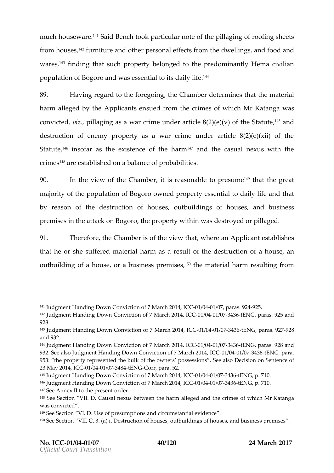much house WS aried. Bentocol particulare of ptihleaning of roofing sheets fromhous,& forniture and other personaldew fology psychomod than during the during state of the and ware, the manningthat such propeney to the opthe edominantly Hema civiliantly ware, the prediction of the manning of  $\mathbf{F}$ population of Bogoreos **aendtiwaa**lsto its <sup>14</sup>daily life

89. Having regard to the thier Communicum the assumed material harmalleged byApt**he** caent sodefrom t**o** reim eosf whilMr Katanwopass conicte dizpillaging as a war crime under article  $\mathcal{B}^t(\mathbf{\hat{z}})$  (e)(v) of destruction of enemy property as a war crime under artic  $Sta$  tet  $f<sup>6</sup>$  insofar as  $x$  the  $s$  of  $e$  he harm<sup>7</sup> and the casual nexus with crimes are establish bead admice of probabilities

90. In the view **Chame** eit is reasona**blem** teathparte to pree at  $m$ ajoriot $\#$ he populat $B$ ong on $6$ ownepdroperety seantito daily litheatand by reason odesthe uctoon houses south disn of hous as dousiness premisi**e**nthe attack on,tBhogogroompoewniy thiwasdestroyepdilolane.god

91. The reforme  $\bf C$  ham be  $\bf c$  is the view whele  $\bf r$  and  $\bf A$  polical ensume is here. that he or she maatterial has man as ult of the destation is an of outbuild onfiga ho, wo stae business pre<sup>s</sup>minsee smaterial rehsaur**int**o from

 $141$ Judgment Handing Down Conviction CoGO  $V/$  6044  $t$  0  $\bar{r}$   $\rho$  and  $\alpha$ 1041549  $924$ .

<sup>142</sup>Judgment Handing Down Conviction of 07/0044 60574 2HOENNG, ICQ 69 215 and 928.

<sup>143</sup>Judgment Handing Down Conviction of 07/0044 / 60374 3:16E1 N4G, IQ 69 21-828 and 932.

<sup>144</sup>Judgment Handing Down Conviction of 07/0044 # 63574 3:16E1 N4G, IQ 69 28 8 . and 932. See Juadlsgoment Handing Down Conviction lo 30007/004 at 63774 3216E1NG, para. 953: the property represented the bulk of the ownecisiomosaeSentes ceSee 23 May 201-01, 1 ACCAC / 0374 8 HENGCorr, p 5 2a.

<sup>&</sup>lt;sup>145</sup>Judgment Handing Down Conviction Coord 7/6024a/n0e31h4 32160E1N4Gp. 710.  $146$  Judgment Handing Down Conviction CoEO  $7/904$  at  $6374$   $310E1N4$  GeT  $\sim$  710.

<sup>147</sup>See Annex II to the present order.

 $148$ See Section CValuisad nexus betwee an let under hand mention on sof while MrKatanga was convicted

<sup>&</sup>lt;sup>149</sup>See Section U<sub>S</sub>. **OD**esumption tircumstantial evidence

 $15\%$  ee Soencti VII. C. 3De  $(\frac{4}{3}\pi)^2$  uiction for house and build signified house and pusiness premises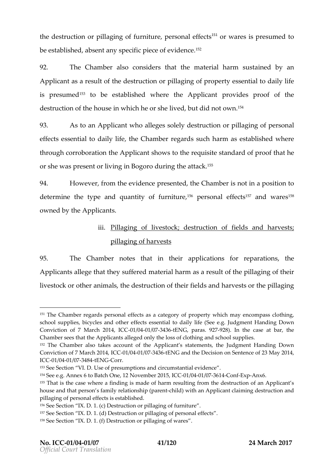the destruction of the ging up fit up  $e$  rs and effect wares presumed beestabs!he,oalbsent any spoi**ec**eficif ev.1<sup>5</sup>cfence

92. The Chamables not on sidely satthe material shuas tanined nby a Applicanst rae sult tho ted estructoin porillaing op fproperety sential to daily life is presumedo bestablished tehe Applicparnot vides proof of the destruction of the house in liwing the the identical method  $\mathbf{w}$  and  $\mathbf{v}$ 

93. A stoan Applicann hto allsesgoele dye structoin on illaing q opfers on a l effecets sential to dahiby Cimfae motegrands charmases tablished where through corrobtchreatAppplishion wist housing equisite standard hat proof or she purassender livin  $\beta$  or godouring the attack.

94. Howeverg of the evidence redt, the Chamber insa position to determintehetypeandquan $\psi$ itoffurnitu<sup>s re</sup>ep, ersonal ef<sup>7</sup>fænc of vare<sup>5</sup> s<sup>of</sup> owned by Atchpelicant

# iii. <u>Pillaging livoésto dokstructioofnfield osn dharves</u>; st pillagin**g ao** fuest

95. The Chambetes that inappelications for replacations Applicanallege that them astue friendelond as roman result politial moment their livestocor cheen indig thedestruction of the light day of a right the illaging

153See Section UsVel. p. Desumpsiannotircumstantial evidence

 $157S$ ee Section IXDeDstruic (odr) illaging eorts on al effects

 $151$ The Chamber regards personal effectus peasty a workaited may vote not ompass clother school supplies, bicycles and other effecSseeesesi**g dig**imalent to Holaanibly inlojfeDo(wn Conviction of 7 March  $0.2$   $0.0044$   $/$   $0.0374$   $0.306$  ENG, pa $9.28$   $0.28$  at he case at bar, the Chamber sees Applichants alleged only the loss of clothing and school sup  $152$ The Chamber also takes account of the Applluid gentes at sitheat need in a gits  $\Omega$  owthre Conviction of 7 March 2014, ICC-01/04 -01/07 -3436 -tENGand the Decision on Sentence of 23 May 2014, ICC01/0041/0374 8 t4 ENGC orr.

 $154S$ ee e.g. Annex 6 nteo, Bl $2t$  oNhow O ember -2001 435041 1 435376 1-42 o n-Exp-Anx6.

 $155$ That is the case where a finding is made of harm resulting from the destruction of an Applicant summer summer  $15$ house and that person s family rehatdonwontip appropulicant claimaind destruction and Applicant claiming destruc pillaging of personal effects is established.

 $156S$  ee Section IXD eDs.tr1 to on  $\frac{1}{10}$  on  $\frac{1}{10}$  and  $\frac{1}{10}$  of  $\frac{1}{10}$  iture.

<sup>&</sup>lt;sup>158</sup>See Section IXDeDstruction the ging a cries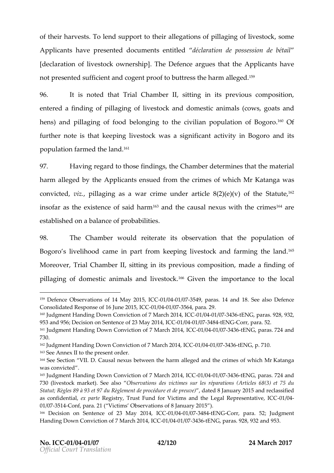ofthe intarves ofto lend supportatione gland in position for independence of the intervention of stock and con Applicamhav present document entitled déclaration de possession d  $\lceil$  delaratioof hivestock own.eTrhstenipD efean reques the Applicant ave notpreseemoolsufficient and proong febohuottret shsoen armaldege d<sup>159</sup>

96. It is otde thatTrial Chambert tihign its previous composition entered a finophinilgagping iveofstocan koldomestianima (colow, sqoatasnd hens)andpillaging food dobelonging choil fips op ulation for go. 160 Of further nottheakseeping livews as coloristication its in Bogoroandits populat**ia**nmed the <sup>16</sup> land

97. Having regard fon thing the Chamdbeaterminheathe material harmalleged by Apthe icaent sudefromthecrimens whilm Katanwga as convicted by pillagor as a cwimeunderarticle  $\mathcal{Q}$ )( $\mathcal{Q}$ )( $\mathcal{Q}$ ) of the Statut  $\mathcal{P}^2$ insouf as toboeistenote said h $6a$  and the causal nexucs invarient the  $\epsilon$ establishe**d** ad a nace of probabilities

 $98.$  The Chamwer uld reiteitades ervation at he population for  $\theta$ Bogorsdiveliho coadme pinart from the pinic westoack d farming the land. Moreov $\bar{x}$ rial Chambseitting in its previous moamolo $\bar{p}$  os ition ding of pillaging doomfiestic anainmodilsestof©f&siven tihmeportantorehe local

<sup>159</sup> Defence Observations of 14-0MM *hanne 12* 0837554, 9 phoaCas. 14 and 180 efSeenecealso Consolidated Response of 1-01/0044e/02745654pdCaC 29.

<sup>160</sup>Judgment Handin Go Dhovicortion of 7 Marc-10 12/00414/, 0374C336ENG, pa9 2a 8, 932,

<sup>953</sup> and D9656i;sion on Soeth 12e3noMbay 20-04/0040 C0374 8+4ENGCorr, p5i2a.

<sup>161</sup>Judgment Handing Down Conviction of 07/0044 / 63774 3:16E1 N4G, ICO 677 24 and 730.

<sup>162</sup>Judgment Handing Down Conviction Co30 7/8044 + 60374 3210E1N4Gp, 710.

<sup>163</sup>See Annex II to the present order.

 $164S$ ee Section CValul sa $D$ . nexus betwee an letge deal mod hearrimee of while MrKatanga was convicted

<sup>165</sup>Judgment Handing Down Conviction of 07/0044 60574 2816E1N4G, ICQ 677 24s.and 730 (livestock market $\Phi$ .b Seerovaalions des victéipmaersatisounslo(Articles 68(3) et Statut; Règles 89 à 93 et 97 du Règlemend ad eulpa Boucaéroju 2016 ta dred prreeculva es sifi as confide entiapla Rteegistry, Trust Fund for Victims and the Le0g1a/D4Representative and the Lengal D4Representative 01/03751-Gonf, para. 21 ( Victims Observations of 8 January 2015 ). 166 Decision on Soenfite2n3ceMay 201-04-1,/90A31C69374-8+4 ENGCorr, pa5r2a;Judgment Handing Down Conviction of 7 401 a/620#1 /20574 346 ENGC, pa9r 28, 932 a.nd 953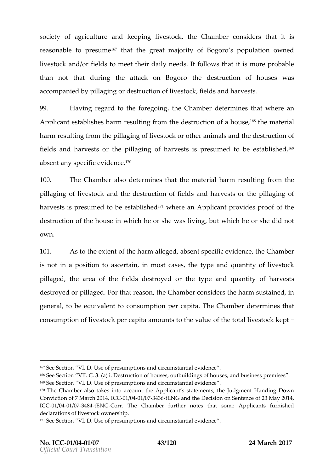society agricultured keeping vestoch ke Chamber sidel heat it is reasonable to  $167$ rtehsautinniegreantiajoritov $f$ Bogorso population omed livestoan kolorfields met their daily needs lows it his to more probable than nothatduring the attack ontheBodgeospruction ofwares was accompaniep dilbayging oru ochte in hiovfe stofockel dash ofharvesst

99. Having regard to the the reConceinneobeet reminines at where Applicaenst tablishes rehsaur into frot medestructaio hous<sup>168</sup>thematerial harmesuihtq frothmepillaing q bifvestocor choen rimals and the estructoinfon field as ndharvesto the pillaging harvests presumtoed beets a belof  $\frac{9}{5}$ a b s e n t sapney cioé ivoide n1 t<sup>o g</sup>e

100. The Chamedendeterminine athe materration resulting from pillagion fotivesto and the structoi of thields andharves to the pillaging of harves is presumbed to be been been applicant provides proof of the destruction of the house in which hebuothischhe hwe assolient heacort own.

101. As to the eat the harm ad besogned specific to the I dCe has not be r is not in a posai**siccentaion** most cabses peand quiaty divestock pillaget the area of fine  $ed$  destroyend they peandquantity harves st destroyed iblege. For that retaso  $6$  ham choensiders has onstained generad be equivalent to ption per the pCtha and beatermines that consumptoin to a stopoek capain to a untrost he value of the tothed plivestock

<sup>&</sup>lt;sup>167</sup>See Section U<sub>S</sub>. **OD**esumption tircumstantial evidence  $168$ Se Section VII. CD e3s. tr(uad) bifo nhou, so eust buildsion for house ansubusiness premises. 169See Section UsVel. on The sumpsis annotingum stantial evidence  $170$ The Chamber also takes into account the Appliquicant interacted in European Disowthe Conviction of 7 Mal Co 2012 00414/, 0374 316 EN Cand the cision on Sent 12e3 nd Neay 2014, ICC01/0041/0374 8th Corr The Chamber further notes that some Applicant declarations of livestock ownership.

<sup>&</sup>lt;sup>171</sup>See Section U<sub>S</sub>./elle sumptime ircumstantial evidence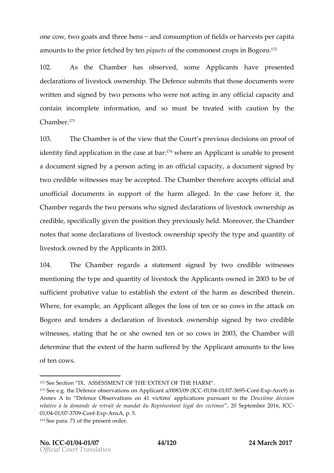onecow,two goats an**d**etrhis ane end onsumption in the lobs harves put capital a mounttos thp eric fee tched tebny iques fisthce mmonest ps Biong o .1 $76$ 

102. As the Chamber has obtome  $\theta$  and  $\theta$  and tay epiesend the  $\theta$ declarations **sestock on the Defence submits that the state** of undents were writteam osigend btywoperso who were not acting in any official ca contain incomplete indipodmatiomust be treated with caution  $C$  h a m b<sup>1</sup> $e^{3}$ r

103. The Chamiss ext the thiæt with e Court s previous rolecoffisions on identity find application in<sup>17</sup>the becraensAeppatidbaans tunableer ot on t adocum esnigned by a petrison and official doup an einty signed two credwhitees sneasy be accoeptee oChamtherefoancecespotfficiaanId unoffic dad cuments support of that the allegene dthe ase befot be it Chambre ergards two persons who cstagnet eight we stock are related to change of months of the change of hands cretible pecifically gipuoesnition the previous. My one boly tehre Chamber not set hastom dee clarations  $\epsilon$  of the soft obtained specifity of y period u antitud f livestocowkned by Atchpelicaimt 2003

104. The Chamber egrards statement  $g$  and by two coefiblewitnesse  $m$ entionihetypeandquan $\psi$ itolfivestot b $\mathbb R$ Applicaont w ned i 200 $\alpha$  boef sufficip not bative value to the term of the hard mess csribte desin Where, efourn plean Applicant te gtehse losse of or so cowattacth on Bogoram dtendersdeaclaration iveositocomk nershsippend by two roedible witnes, seet sating that he ownnedsheen or so  $2000$   $8$  by ein Cham which in determinet tenetent the harm suffer@ephbixent micount to the loss of ten cows .

<sup>172</sup>See Section ASSESSMENT OF THE EXTENT OF THE HARM  $173S$ ee e.g. the Defence observations on AOp1p/190341a/n03376a9/6300n81E3x/p0A9nx/900Gn Annex A to Defence Obse4Matvicontisms' applications puensuation détorision relative à la demande de retrait de mandat du RêpSépéemabet lêgab, dé C 01/0041/037709 on ExpAnxA, p. 5.  $174S$ ee parant the present order.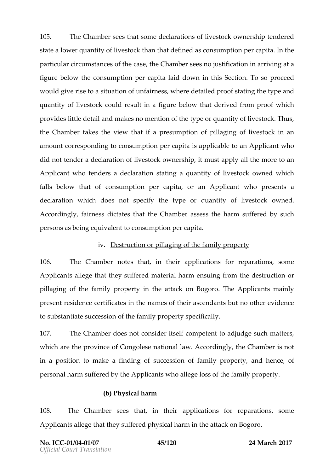105. The Chams beeth as ome declarations uses of cook nership podered state a lower  $q$   $\theta$  iavnet stot  $\theta$  is a that  $\theta$  denotes the fine of the theories state a . particular comes tances of the cotase  $C$  ham subsect not in the case frame  $r$  in arriving at a figurbeelowtheconsumption pertaceapd bayon the SectioTro so proceed wouldive risæs to tuation fairness, due their heard of tain othely pand quantit of ivestocould desultainique bethounderive folomproof which providle is tle detain dakneds no mention poem to hue antitive of to Tchku, s the Chamber the thise that  $\mathbf x$  resumptoion illaging iversion change in an analyzed in an analyzed in an analyzed in an analyzed in an analyzed in an analyzed in an analyzed in an analyzed in an analyzed in an analyzed a mounch crespondionoon stot mption per cappoities a bank of policaving of did not the deude claration of topowing rship must apply the minor manuscule of  $\alpha$ Applica whole nde as steed aratisot raint gaquantity live  $\epsilon$  stocowk new hich fall below that consumption per camp a Applican hop resenats declaration hich dones tspecition etype r quantity flives to ock ned Accordingly, fairness  $d$ hieta $d$  be amber and  $s$ s the harm sustificating by person sheeting may ulval total to the sumption per capital .

### $iv$ . Destruction in loarging thefamy property

106. The Chammetres that theapplications for reparmentions Applicanallege that the mastue frienche desargonum ing furhoushes tructoin no pillaging theef fampily peritry the attack on . Elbey-Approplicantainly present residence et ificant et she names as stehned about toso other evidence tos ubstants at  $c$  es spifo that  $e$  mily propersty ecifically

107. The Chamdbo eers not consider meet sentif to adjudge such matt which are the province  $\omega$  at Coorhac was esending the Chamber of in a position rakted a findishung coefs so ib nfamily opertay ndhence f personal harm suffeArpepolitocy and alleggees tohefelamily roperty.

## (b)  $Phy\sin harn$

108. The Chambeeshatin the applications for reparations Applicant lege that they phy sfice addinart that tack on Bogoro

No.ICC01/0041/07 45120 24Marc20017 Official Court Translation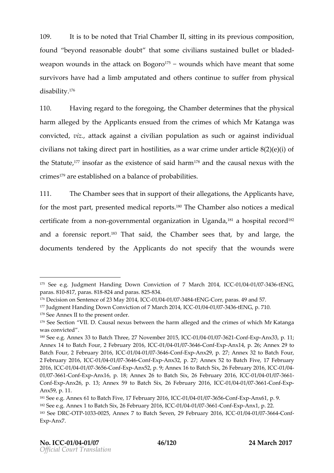109. It is ton obtee that rial Cham, boe it till night in its previous, composition , that is to move in that i found beyond reasonablehad tous bot that is sustain bead let or bladed weapowno unsdinthe attack on<sup>17</sup> Bowgoour polyshich have meant that some survivors have had a limb amput  $\boldsymbol{a}$  het dn  $\boldsymbol{a}$  esuff to the from physical disability . 176

110. Havinge gard to the fotheegoCilmagnoutheeterminte ast tohey sall harm alleged Aby pthosene in sudefrom the crims enf whilm in Katanwopas convicted , attack against a civilian population as such or a civilians not taking traine bostilities, as a war crime under article 8(2) the Sta<sup>t r</sup>dit resofar as the existenc<sup>e s</sup>aon folshind baumsal nexus with crimes are established amce of probabilities

111. The Chams been sthat in support ablisions of polical have for the mospreesnet nd mediclare po<sup>18</sup>t Tshe Chamable **poticas and ical** certific aft**e** m a +**goor**ve rn me **ot g** bazoaitio im Ugand'& <sup>1</sup>a ho spitraelc o<sup>1</sup>r<sup>8</sup> el and faorensic roe<sup>3</sup>pTohratt s,atihde Chamsboeers thbayt, anlobargethe document endered the applicand to not specify that sthwee revound

<sup>&</sup>lt;sup>175</sup> See eJgdgment Handing Down Conviction of -01 March 206274 23 668 M G, ICC para \$14817, para-\$248 1a 8nd par-8\$4.825

 $176D$  ecision on Soemi 2e3xao oMe 2014, INCOCA1/03748+4ENGCorr, pa4r9a sand 57. <sup>177</sup>Judgment Handing Down Conviction Coord 7/60243t6626744 32166E1N4Gp. 710.

<sup>178</sup>See Annex II to the present order.

 $179S$ ee Section CValul sa $D$ . nexus betweean letgeleda nheal hencrimeesf while MrKatanga was convicted

 $180S$ ee e.g. Annex 33 to Batch Three, 2-071 NG 044  $\neq$  6376  $\neq$  C  $\alpha$ n  $E1\times5p$ Ank $S33$ , p. 11; Annex 14 atch B Four, 2 Februar 012 00416 0376 G O n E x p Anx14, p. 26; Annex 29 to Batch Four, 2 Februar0y1 20041 66376 6660 nExpAnx29, p. 27; Annex 32 to Batch  $2February$   $200061/0041/037646$  on  $E \times pA$  n  $x32$ , p. 27; Annet  $x$  h5  $\overline{x}$  it of  $\overline{x}$ ,  $E$  as bruary 2016C = 001/0041/0376 566 on ExpAnx52, p. 9; Annex 16 2to Beatch a Syl  $\mathcal{R}$  = 0116  $\uprho$  4 01/0376600 on ExpAnx16, p. 18; Annex 26 2160 Beablocha SyikQ2 000116/,0041/03766-1  $\blacksquare$ Con $\mathbb E$ xp $\mathsf A$ nx26, p. 13; Annex $\mathsf h$ 5 $\mathbb S$ i $\mathbb Z$ c $\mathsf G$  Beabruary 1 $\mathsf Q$ 00116/,0041 /0376 6 $\mathsf G$ on $\mathbb E$ xp Anx59, p. 11.

 $181$ See  $\Theta$ Angnex to $\theta$ BatchFive, 17 February 0210/60061, /603766566 on Exp-Anx61, p. 9.  $182S$ ee  $\Theta$  gnex 1 to Ba 26 hFS bx, u ary 200116,  $6041C$   $63766C$  on  $E \times pA$  n x 1,  $2p$ . 183See D-ROUT P103 C3025, AnnexBa7tcBroeve299 February 200116/,0041C/03376643 onf  $ExpA n x 7$ .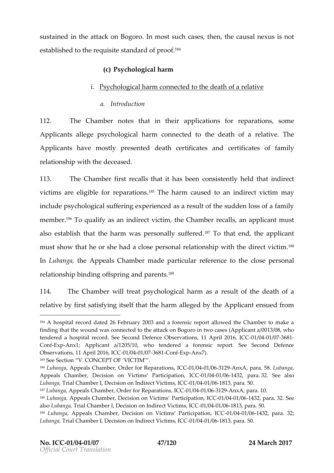sustainethe in attack on Bogoro .In such the steps causal insegus established to the tam oplusion for  $f$ <sup>8.4</sup>

(c) Psychological harm

i. Psychologia crandonnected to the robed a thy of a

a.Introduction

112. The Chambert inat inautherions for reparations and the Chambert of the interest in the control of the some  $\frac{1}{2}$ Applican antile goesychological cohnammencted to the dreeal tahtivoTehea Applicant that  $v$  empostly resented eath certif anonal to easy tificate for monofy relationswhip the deceased

113. The Chamfties rtecal tills at it has been consistentlily enceld the victimasreeligib**fo**r proaratio<sup>n</sup>ning heharmcausetol aim direvcitc timmay include psychological sufferaisgaenes a restative sudden loss of memb.& for qualify iansoliare ct vitchtoim Chamber or lahos applicam tus t also estatthla**sth**e harm was pe**sso**ffread1817**gT**o that, oelmoeapplicant must show that he or she had a close persodinized cteviel of the must show that he or she had a close persodinized In LubanghaeAppeals Chamable rparticular retoe theodose erpsonal relation **b** hnipd ino offspring paannel n<sup>op o</sup>s

114. TheChambwer iltreat sychological a shanen sult of dehath of a relatiby vefirs statising its elf thims at harm allofog tendelepplic aemts od of rom

185Se Section V. CONCEPT OF VICTIM

186LubangAappeals Chamber, Order folCGRte/pG6441a/6066dn2x&9,nxA, paraLu**58**anga Appeals Chamber, Decision on Victims 01 FO 2411 tie064p3a2pjaoa32IC See also Luban Traial Chamber I, Decision on IndDiteCC441 VG1168t1, pharalCSC0  $187$ Lubang Appeals Chamber, Order flo $\Omega$ GR1e/po 2441 al 6363 o2Anx Apara. 10. 188LubangAappeals Chamber, DecisiPeartin ipation of 10040/01643 para. 32. See alsbubangaial Chamber I, Decision on Indite@e41 Me168t1,mparal.CSCO. 189 Lubang Aappeals Chamber, Decision on Victim-Ost/GB44af616644i3p2a, aircan, 312C;C Luban Trai, a Chamber I, Decision on Indirect 60041 ćom 163 plaC550.

<sup>184</sup>A hospital record dated 26 February 2003 and a forensic report allow finding that the wound was connect **Bo**gtor the attack ases (Applicant a/0013) tendered a hospital record. See Second Defence Ob & t/8041t/i 6376 \$, 111 April ConExpAnx1; Applicant a/1205/10, who tendered a forensic report. See Observations,  $1011$   $\textcircled{A}, \text{p}$   $\textup{+}$  001  $\textcircled{2}$   $\textcircled{4}$   $\textcircled{4}$   $\textcircled{4}$   $\textcircled{4}$   $\textcircled{4}$   $\textcircled{4}$   $\textcircled{4}$   $\textcircled{4}$   $\textcircled{4}$   $\textcircled{4}$   $\textcircled{4}$   $\textcircled{4}$   $\textcircled{4}$   $\textcircled{4}$   $\textcircled{4}$   $\textcircled{4}$   $\$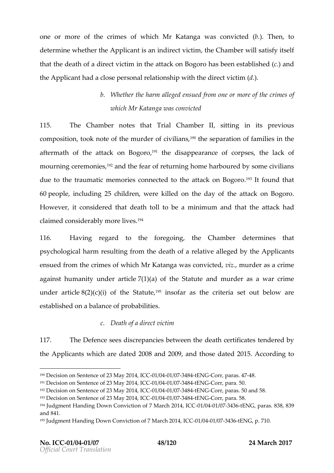one or more of thoef cwrhmid**e.** Katanwgaa convictied of he, nto determinwehether Athpelicanstaim direct vitchteim Chamwbiebs atisfy itself that thede ath odfirato twicritimine attack on hBoscobopecenenous absine  $(\texttt{c})$  and theApplicahnatd a close personal relation instantip wink the direct intensies of the direct victim (denoted vi

## b. Whether the harm dafille open  $\mathbf e$  construction  $\mathbf e$  is whid Mr Katamas convicted

115. The Chambers thatTrial Chamber it tilling in its previous  $\,$  composi, thioponia of efthemurder conful iain,  $^{1\,9\,0}$ the psaeration familine is e aftermath thee fattack on ,1<sup>9</sup>B bhgeodni**os** appear**ance** rpess thelack of mourning moene  $e^{9}$ sandhe fear of returning home harboured by some due to tthraeumatic memories cot**he**eactteadcktoon.<sup>1</sup> Boldg for **o**nd that  $60$ peopleincludi $20$   $5$ children ere killed on the heda anttack on Bogoro . Howeveint consider head the ath to to blate minimum and that the haatdack claimed considerably<sup>9</sup> more lives.

116. Having regard to the foree q throw the that the Thintensat  $p$ sychologica rehsainhotog frothmedeath orfelæatiavedead by Appleicant ensued domthecrimens whild in Katanygas convicte drurder as a crime against humanity under  $(\text{car})$  (and  $\text{er}$  the about the  $\text{ar}$  denote a salure crime under ar $\delta(G/2)$ e(c)(i) of the<sup>5</sup>i8 satuatre, as crithe rsinatiout below establishe**d** ad a nace of probabilities

c. Deathad frect victim

117. The Defesne eestiscrepancies between the detities and ensed by  $th$ eApplicanw  $th$  ich adreete  $2d00$ 8 nd  $200$ 9 and thodsaete  $2d01$ 58. ccording to

 $19^{\circ}$ Decision on Sent $M$ mage 200f1  $2.30$  il  $C$  40041 / 0374 8 t4 EN GC orr, pa4r $7$ 44 s8.

 $191D$  ecision on SenteMmagy 200f1  $23$  MC  $Q$ 041 / $Q$ 374  $8$  KHEN  $C$ Corr, p $5$  0a.

 $192D$ ecision Seomtence Mosáy 2 $3014$  -011  $\mathcal{C}$  40041 / 0374 8 44 ENGCorr, pa 5r6a sand 58.

 $193D$  ecision on SenteMay e2of 1  $23$  1  $C$  CO241 / G374 8 t4 ENGC orr, p  $5$  Ba.

 $194$ Judgment Handing Down Conviction of 0  $7/$  604  $t$  637  $4.2$  to  $E1$ N4  $G$ , 1 $\odot$  68  $3.8$ , 839 and  $48$ .

<sup>&</sup>lt;sup>195</sup>Judgment Handing Down Conviction Cool 7/6044a teG1744 2816E1N4G p. 710.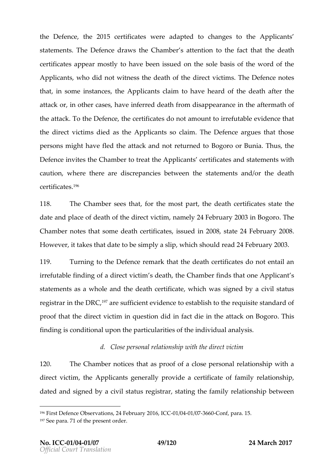the  $Def$ e $h$ the $201$   $Se$ rtificanteers eadapt tothangs to the Applicant stateme. The Defechroa ewishe Chambeatte s at itoon the fact that be at the  $\epsilon$ certificates annostly have been oinst successually basis of word of the  $\sim$ Applican who did not witness the dehinath of the finitences  $D$  efence  $\mathbf x$ that n some instance belicantaim to have one the deather the attack or, in othhean eanal see regid death from disappeefal envantdoef in the the  $attd$   $\ddot{\sigma}$  the  $\ddot{\sigma}$  efence  $\ddot{\sigma}$  retrified to the not a mount to table dence that thedirect vicdiends as Athoplicant claimine Defeant quathent those persons might have fled the attack Baonglo noonBurned full run, selule to Defenione is the  $C$  ham bear treated pplicance rtifis a nets tatements in caution where the errestiscrepancies betweened methanent solonies death c e r t i f i c'a<sup>q</sup> e s

118. The Chamsbeeers that the most the detach certs is treat the the dateand placebe of the of dthe ect viontainme  $P_{\mathcal{A}}F$ ebrua $P_{\mathcal{A}}P$ 013n BogoTrho e  $C$  ham b ne ortest hat sombe eath certification in  $2008$ s, tat $24F$ e brua $20008$ . Howe veittaket that a date besimplay slip whish ould r $2.4F$  de bruary  $0.3$ .

119. Turning theDefence emark the headeath certifolios made snital an  $irrefutafibhdimaf direct vistidne athhe Chamfbreethtachadh e dh$ statements a whold the ath certificate was signed by status registratheDRC<sup>97</sup>ar ssufficient interestablish to the requids interestand prooth at tohiere ct vicntimques blied in facitnichie attack on Bhoiosoro finding is condition aplauto **pulal piet ihe es** particularian alysis

d. Close personal weith the bine bit pvictim

120. The Chambo ticehsaals proof a colfose personal relwathenship direct vid thieApplicant preradly vide certificate monty relationship dateadnosigend baycivil status resotainshiptated amily elationsheit power en

<sup>196</sup>First Defence Observations, 24 -0F & 60041d 8976 & 00 to 6 f, IC & ra. 15.  $197S$  ee partof the present order.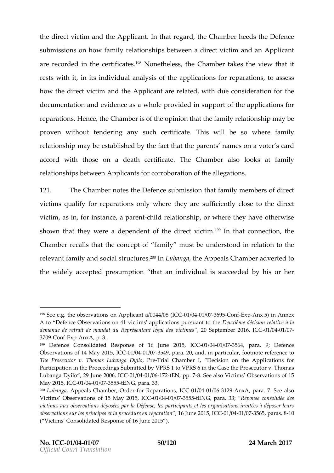thedirect viathion the plicalmit that reghtered Chamber end the Defence submissioon theory amily relatisoth estimative ct victiman  $A$  pullicant arerecordiend the certi<sup>1</sup> PP Nonethesthe, Itehses Chamitaaks es thinew that rests with it bindivial lanalysis of pphiecations for retopa pastsions howthedirect vi**ation the plicante relaw etddue consideration and the an** documentaating benace a whoorloevidend supportheapplications for reparatibles os chence Chamisto efrithe op thincotn that emily relation may h bee  $\mathsf{pro}$  ve with outtendering any cesput charge theiswill beso where  $\mathsf{m}$  ily relationshaphe est as heboly the fact top anten hite a moens a voter cad accord whtohseotha death certif**To**baete Chamables rolooks faatmily relations the pws e  $A$  pplic anticorroboration and  $q$  at iosh

121. The Chamboletshe Defestudoemisstiboant family members of dir victims quizol if parations only where thesy faircaently tocthosolarect victimas ing rinstance  $c$ ,  $e$  -childelation, show phere they on the  $e$  wise shonw that they were a dœfp**elmdeleeno**tt vic<sup>t</sup>im tahtconnection ne Chambre ercalls that the commode portugality bederstown of relation the to relevaf**a** mily as no obtisa thructu<sup>p o</sup>f all uban to hange peals. Change be rited to the widely acpessementitch at an individual is succeeded by h

 $198S$ ee e.g. the observations on Appl0da/60041 a/0307609454d 0 $B \times$ 64.06.65) in Annex A to Defence Observations on 41 victims' appleiocatioionnes opélloaitsiouveen tàrtica the demande de retrait de mandat du Représ2e0ntSaepteénghaerd 2061/6004 til@67Ces  $3700$  on  $Ex$   $pA$   $xA$ ,  $p$ . 3.

 $199$  Defence Consolidated Response of  $-0.6$ /0040  $h$ 6875  $2.4$ , 5  $p$  at  $6. C$  9; Defence Observations of 14 IM 80/1 20041 50375 49, para. 20, and, in particular, footnote The Prosecutor v. Thomas Pur**Tebianig Chamiber I**, Decision on the Applica Participation in the Proceedings Submitted by VPRS 1 tor WP RTSh of mians the C Lubanga Dyilo, 29 Jun0e1/20040/69,167.EEN, pp8.7See also Victims Observations May 2015, 010 0041 / 0375 5 to ENG, para. 33.

 $200$ Lubang Aappeals Chamber, Order fol $\overline{C}$ GRiepGa941a/60601n2-99,nx Apara. 7. See also Victims Observations of 15-0M1  $\frac{1}{2}$  037555; 5 BC, para R&  $\beta$ onse consolidée de victimes aux observations déposées par la Défense, les participants et l observations sur les prolunciepes enéplanantantien en 2001/15/6041C/0337565, parla0s. 8 ( Victims Consolidated Response of 16 June 2015 ).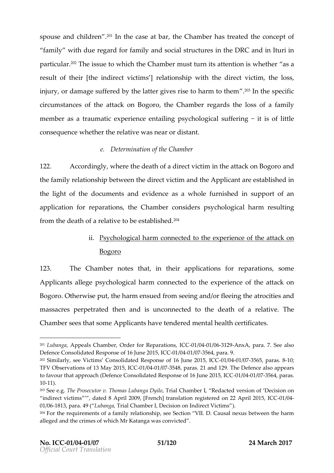spouse **and dre**°n In the case, tahte bOanhamhbaes treatheed on ceopft family with due gand of a mily as notist fructure the DeR CandinIturi in particul<sup>p</sup>archeissutee whitchhe Chammbuest turn its attwehnet **be**nerissa result their [the indirectrevliaction intimism ] with dimental victiment loss, injury, or damage suffered by the latter gi $\partial P$  as the spect bi harm to circumstanctehse oafttack on, Bhoego $\Omega$ hbamhengardstheloss of a family  $m$  e m beas atraum a  $\epsilon$  ix cperience entailipns gy chological suffering fittle conseque whee the breastives need r distant

e. Determiion **ath**e Chamber

122. A ccording whye rteh edeath odfirae ct vicrittime attack on a Bondgoro thefamily relatibes whip the direct via thigh the plican the stablishing d the light od othueme natisde videnase a wholumenishend supportan of application for replace a CI of a ship comst disposo qical reheauthtor fromthede ath  $\sigma$   $\epsilon$  laatito beestablished.

# ii. Psychological omanencted the experience the attack on Bogoro

123. The Chammetres that theapplications for reparmentions Applican allepge ey chological comparencted teox pt also ien ot the experience of the ck on Bogo. Oratherwips untitheharmensudefromseeinagon ob rfleeining e atrocaintiches massacpes petratthe denand is unconnected to three loate ia Toth eof a  $C$ hamb $\mathcal{S}$ eretshat so Ampeo licanhavt oendoed $r$ mental hecaeln thificates

 $201$ Lubang  $A$ ppeals Chamber, Order fol $C$ GR  $\triangle$ pGe241d 62661n2- $\triangleleft$ , nx $A$  para. 7. See also Defence Consolidated Respo @n0s1e5,e011 C103041J/Le6175 64, para. 9.

 $202$ Similarly, see Victims Consolidated Respo $\theta$  \$  $k$  60461 f/ 635766  $5$ un pea 221a0051.58 ICC TFV Observations of 13 MD ay 00210/19575 41 & Cparas. 21 and 129. The Defence al to favour thraota a b p (Defence Consolidated Respons-010 6041 66375u6n4e, 200a 15 5.ICC 10-11).

 $203$ See e.T. bue Prosecutor v. Thomas T Liuab a  $\Omega$  hg an m D weind, Redacted version of D indirect victims, dated 8 April 2009 re $\oint$ Fsreenroehd] othan22 IaAlpCoron 120945, 01/016813, para\_u\$ & n(  $\overline{0}$  paial Chamber I, Decision on ) Indirect Victims  $204$ For the requirements of a family rela Vilons  $Ona$  ps  $s$  deness a st  $to$  and the harm aloge dand hecrimes whild In Katangyas convicted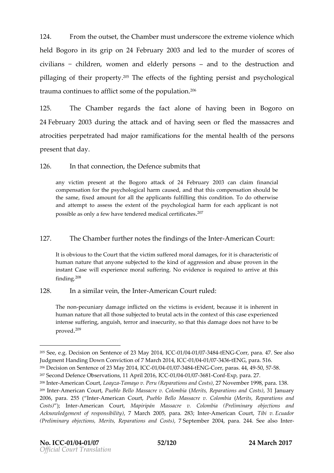$124.$  From the outrieseGthammbue south ders ctohree x trems incolence theich heldBogonon its grip24bebrua 2003 alnedd the muodlescores of civiialn's childrewnomen and elpoteerrs opers andtothedestructaion ond pillaging thoefir prop<sup>ole</sup> Trity ee ffects it hefighting opsistandpsychological trauma continues solom **a** follfipotolipeul at $\tilde{\text{4}}$ 'Ofn

125. The Chambeegrards a efactalone fhaving be Bong ornoon  $24F$ ebrua $2008$ uring thtea kaandofhaving seen othemalaesd sacareisd atrocisipe erpetraht and major mifications beforem tall health of the person presentthat day .

126. In tahtconnectibe Defesnut bemits that

any victim present at ahteacostog2o4 o February 2003 can claim financi compensation for the psychological harm caused, and that this comp the same, fixed amount for all the applicants fulfilling this conditio and attempt to assess the soy  $x$  heard boy it at the hap m for each applicant is possible as only a few have tender $e^2d^7$ medical certificates

## 127. The Chamibetthe otsethefindings of the Nemerican Court

It is obviousC boutthet the victim suffered moral damages, for it is char human nature that anyone subjected to the kind of aggression and a instant Case will experience moral suffering. No evidence is requir findin $6^{8}$ 

### 128. Ina similar, the dimite Atmerican Croused:

The n-pecuniary damage inflicted on the victims is evident, because human nature that all those subjected to brutal acts in the context of intense suffering, tangourisalnd insecurity, so that this damage does not prove<sup>2</sup>d<sup>9</sup>

 $^{205}$ See,  $\oplus$ . engcision on SenteMacy e $20$ 012–3011 $\mathcal{C}$ 60241/0374-844 ENGCorr, pa417a. See also Judgment Handing Down Conviction of 07/6044 te374 326E1N4G, ICS 6166..  $206$ Decision on SenteMmage 200f1  $23$  11  $\mathcal{C}$  40041 / 0374 8 t4 ENGCorr, pa4r4a  $\mathcal{S}$  -450, -578.  $207S$ econd Defence Observation $S$ ,  $201/004$   $\pi$ /i $37$  $\alpha$   $306$   $\pi$   $E$  x ppar  $2.7$ .  $^{208}$  nteAtmerican Clocuarty  $\overline{z}$  amay  $\overline{\theta}$  evr(uReparations an $207$  ON $\cos$ wtschiber af  $\theta$ 98, 38.  $209$ InteAtmerican Cheutet) Bello MassacriMelevit  $\Omega$ o Reorphaireations 3and al a0a or satrsy , 2006, pal555. InteArmeric & nour Pueblo Bello Massacr (Mevrit Colombia aations and Costs;) Intermerican CoMunapiripán MassacCroelomBiraeliminary objections ar Acknowledgement of ), rest subconstant of the subsety paralnet  $\mathcal{C}$  of  $\mathcal{C}$  inter . Even ador  $(Preliminary$  ob $N$ e $\sigma$ tioens $R$  ration  $\mathcal {S}$  casnier  $\mathcal {S}$  eptem  $\mathcal {Q}$   $\Theta$  04, para. 244. In  $\mathcal {S}$  ee also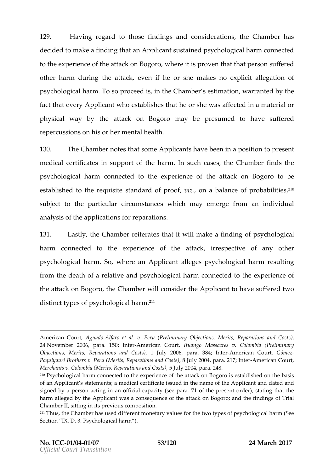129. Having regard to those findings and considerations, decided to make a finding that an Applicant sustained psycho to the experience of the attackeoint  $B$ sogoooen that that person other harm dtuhreing ttæwken hie or smhækes no explicit allegation  $p s y c h o l o g i c a T f ch$  as rom.  $p r o c e e d h e s C h a m b e r s t i m a t i o n$ , whave rathear ed factthant verAypplicann tho establitiss ante she or shaffened disn a material or  $phy \,sical$  whatheattack on Bongapyrobperesumed to have suffered  $r \oplus e r \cos \theta$  com sis or  $m \oplus e t \oplus e$  alth

130. The Chammbotes tshoant  $A$ pplical matue been in a popise is isom tto  $m$  edialcertific ante support the fharm such can be  $sC$  ham fibre of the  $c$  $p$ sychological c**onane**ncted the  $\mathbf{e}$  a rience theofattack on the odpoero established to the straemapoolispifte  $p r, o \omega t$  on baalance of pro $\beta \vartheta$  bilities subject the particul circumstances sich may emerge from an individual analy sifs thap plications for reparations

131. Last, lty he Chamber either at the ast will make a find prosor confological harmconnected to expheerieno fethattackirrespective of any oth psychological Showwrhme ran Applicant alleges ychological reharm resulting fromthed eath aorélativa endo sy chological charm fencted texpotenesie on fice the attack on, the Log Corhoan mubiels on side the Application thas set fertend of distint gipeosf psychologic<sup>2</sup> a<sup>1</sup> harm.

American CAguta-Adofareot av. Per (Preliminary Objections, Merits, Reparation 24November 2 $p$ 0a0r6a,. 15n0teAtmerican Columango MassvacCeoslombia (Preliminary Objections, Merits, Reparation. bulgan  $\phi$  and  $\phi$ s  $\ast$   $\ast$  . In  $\ast$  the nerican C Geoffrom  $\ast$  z Paquiyauri Buro Pheenus (Merits, Reparati8onJsulayn@HanOeols, 215th) TeAtmerican Court,  $M$ erchan $\mathbb C$ s I vo. mbia (Merits, Repar, a fii ou husi ya  $\mathbb A$  60 $\mathbb Q$  o sptatia. 248.  $210P$ sychological harm conexpected to the attack on Bogoro is established on of an Applicant s statements; a medical certificate issaumed dinatende amadme of signed by a person acting in an offic 7db fc alpeacoit ps (es rete or palea), stating that harm alleged by the was paiccants equence of the attack on Bogoro; and the Chamber II, sitting in its previous composition. 211Thus, the Chamber has used different monetary values for the two types Section IXPsDy.cBological harm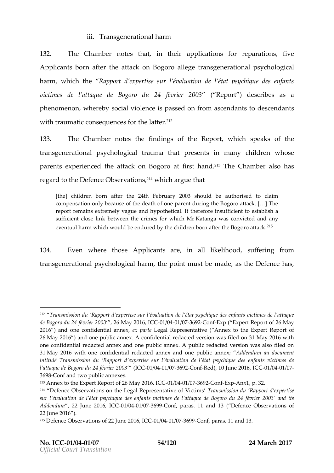## iii. Transgenerahta omal

132. The Chamber eshatin the applications for repliameations Applicabbrn aftthe attack on Bolognethe ansgenerational psical harmwhichthe Rapport d expertise sur I évaluation de l état victimes laditepuede Bogordou 24 février (Repolo3t) describæss a  $p$  henommen, wherse oboyival of lenics epassed of romascend at  $\log s$  cendants with traumcaothiste que from e tshaet tê $^1$  f

133. The Chammo etre the findion fist here port which speathee of transgenerapiso yncal ologtincaaulm tahatpreseniths many chilwdhrense parents perient cheed attack on aBtogiors of final final chamables of has regard the Deene Observat?iotwhsic anrigue that

[the children born after the 24th February 2003 should be autho compensation only because of the death of one parent during the Bog report remains extremely vague and hypothetical. It therefore insuff suffient closbelime ken the crimes for a whigh Mas convicted and any eventual harm which would be endured by the childre $\hat{m}^5$ born after the

134. EvenwherethoseApplicanetrein all likelibs of othering from  $t$ ransgeneraptisoy rotal blogical the arm of int must bærs mothalede. Definence  $t$ 

<sup>&</sup>lt;sup>212</sup> Transmission du Rapport d expertise sur l évaluation de l état psychi de Bogoro du 24 fév2N6ay 200036601/0041/037692 on Exp( Expert Report of 26 May 2016 ) and one confidential and  $z$  presentative ( Annex to the Expert R 26May 2016 ) and one public annex. A confidential redacted version was one confidential redacted annex and one public annex. A public redacte 31 May 20 of foth one confidential redacted annex anAddobenred upmoblaiuc ontonouemx;ent intitulé Transmission du Rapport d expertise sur l évaluation de l état l attaque de Bogoro du (214  $\Phi$ éve04 re270 923 on  $\mathbb R$  ed), 10 June 2001/60,41  $\mathbb V$ 61  $\mathbb C$ 3698 onf and two public annexes.

 $^{213}$ Annex to the Expert Report of  $-$  206/ $\frac{0044 \times 0.027}{209430}$   $\frac{32.0009}{200}$ 

 $214$  Defence Observations on the Legal RepTreason and sisvion of dvic Ranpos people  $\alpha$ sur l évaluation de l état psychique des enfants victimes de l attaque d Addendum 22 June 20-06/604 COHO COST69 90 on fparasi.1and13 (Defence Observations of 22June 2016 ) .

 $215D$  efence Observations  $20f$   $\odot$   $201$   $\cdots$   $24f$   $-276$   $-90$  on faratian di 3.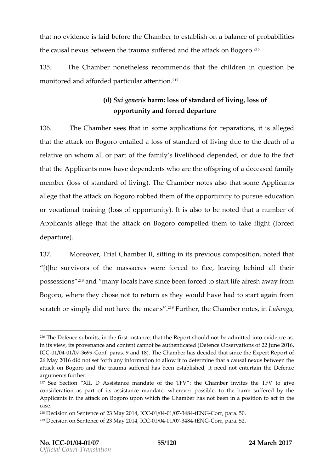than oevidenis elaid behier  $\epsilon$  hamber stabolished alance of probabilities the causal nexus btertawuemeanffleshed the dattack on? Bogoro .

 $135$ . The Champo errethelrees commended as the chind orderestibe. m on it or rændda ffor d pe ad r tic ual ta tre n t $\mathbf{\hat{i}} \, \mathbf{\hat{b}}$ n

> (d) Sui genearism doss of standard, loofs bivoing opportunainty foced departure

136. The Chamsbeeers that in apsophice ations for reiptained tendores. thatthe attack on eBhotgoinedobses of standard doufe l**ito**hien gole atan of relatione whom all confthear family s liveled pheonod de deduction the fact that tAn peplicannow have depewn holoenatise off fine prion figa deceased family  $m$ emb $\acute{e}$ loss of standard). $\delta$ heli $\acute{e}$ ilmag $m$ h $\acute{e}$ esalso that Asp $p$ nleicant allege that attack on rBogodothem of the dopporsune to ducation or vocational tr $(\texttt{a} \cdot \texttt{b} \cdot \texttt{b})$  oppo). It unisty also to bethan to  $\texttt{a} \cdot \texttt{b}$  and  $\texttt{b} \cdot \texttt{c}$  of Applicant legetathe attack on dBoorgongo the delithte annotation of take flight only at the metallight of the s departure

137. Moreovērial Cham, bseintiling in its previous, notourent phoastition [t]he survivors of the massacres were forced to flee, leaving possess?0amsdmany locals have since been forced to start life Bogoro, where they chose not to return as they would have scratch or simply did not h?a\Feuntthenehmee **Gina**mboekse,inLubanga

 $216$ The Defence submits, in the first instance, that the Report should not in its view, its provenance and content cannot be authenticated of (Defence ICE01/0041/037699 onf, paras. 9 and 18). The Chamber has decided that since 26 May 2016 did not set forth any information to allow it to determine that attack on Bogoro and the trauman seus fiteebrleich had sitte need not entertain the arguments further.

<sup>&</sup>lt;sup>217</sup> See Section AX sultist  $\Omega$  ance mannight the Chamber invite to the eff V consideration as part of its assistance mandate, wherever possible, to Applicants in the attack on Bogoro upon which the Chamber has not bee case .

 $^{218}$ Decision on SenteMagye 200f1  $2.30$  10 $2.40$  1/0374  $8$ t4 ENGC orr, p5.0a.

 $^{219}$ Decision on SenteMay e2o0f1  $23$  107  $024$ 1/0374 8t4 ENGCorr, p5  $2a$ .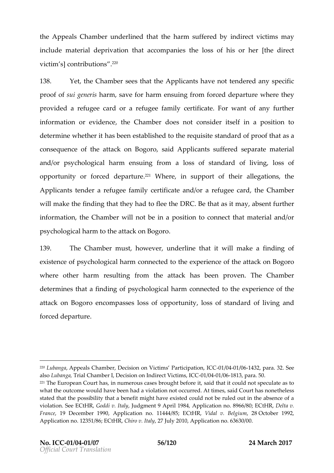theAppeals Chaumondoeerlintehealt the harm sufifnectiereelcblyviontainyns include material deprivation that accompaniesthed erelootss of victims (contributi<sup>2</sup>o<sup>o</sup>ns

138. Yet the Chams been est hatthe Applicant have trean to deplay specific prooffsuigenehias msave foarmensuing ffroomoned depavnheem**te** hype  $p$ rovide refugee  $o$  ar and  $e$  fugee fame inity fic and want of any further information evidence Chamoboessotconstier itsienifa position to determine whehtahse robeetes nt a bleighthor the requati**s rated** of probloafatis a consequence of the attacs-bologorous-the form  $\alpha$  is  $\alpha$  is  $\alpha$  for  $\alpha$  and  $\alpha$  is all  $\alpha$ andor psychologi harem suing frad montal standard, oloss of standard of living and and contact the line of living and posterior of the line of the line of the line of the line of the line of the line of the line of the lin opportunoity forced dep  $\mathsf{a}^{\text{2nd}}$ t Wicherein supporttheifallegatsi,othe Applicants a dearrefugee facme rity ficant do rarefugee, daned Chamber will make the finding that they  $Dn$ RaGB bothlaste atsheath sneary tfurther inform at tohne, Cham whielh othein aposition cotonect mhaateriaan  $d\sigma$ psychological right boattack on. Bogoro

139. The Chammbes, thoweveen derline ithwat Imake a finodfing existence  $\alpha$  y chological comparencted to  $\alpha$  potheries of the attack on Bogoro wher othe harm resunit pifrom theattachkas been proven Chamber determinhes as findingo soy for hological connected to x potenties on forthe e attack on Begooron passes of opportunity of standard and living forced departure

<sup>&</sup>lt;sup>220</sup>Lubangapeals Chamber, Decision on Victim **G1/BO41rt@164p3ptzioan, 32C See** alsbubangai, al Chamber is, ion on Indirect Voinc/te0041 s/ender Cl. 30.  $221$ The European Courrt um as quishicases brougshati the eaft of the dould not speculate as what the outcome would have been had a violation not occuthedes & t times stated that the possibility that a benefit might have existed could not be violati6nee ECtGHoRddiltha. JyJudgment 9 ApAtplp li9c&a4ion no. 8966/D8@1;taEQtHR, France 9 December Ap1p9 960 ation 1 h4b 4 4 / 85; EVC itdHa R, Buelug mj 209 ctober 1992, Application no.  $12351086$  ro EvC, the study 2010, Application no. 63630/00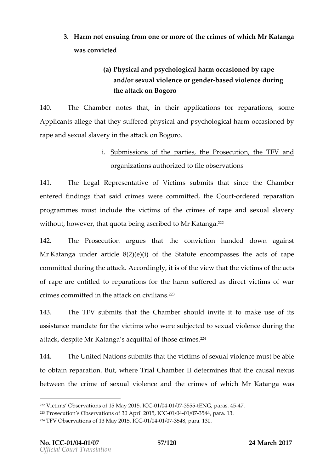- 3. Harmnot ensuing of memor mothesconfimes swhichMr Katanga was convicted
	- (a) Physical and psychologgiocansibaemochology andbrsexu vail olencregoen doearsevol olenot vering the attack on Bogoro

140. The Chambet es that the applications e poarations on Applicand alge that they put  $\mathfrak h$  free around psychologicoad classion ned by rape and sexualnshavattyack on Bogoro

### i. Submissiooth sthoeartietshe Prosecuthied in FVand

### <u>orgaznaitionshapuzied tfoilebserva</u>tions

141. The Legal Represe on ft antoitions ubmits that the Chamber entered findings  $s$  idchram exsere committhe  $d$  ounctridered paration program mineus tinclub dee vicstomh theerim eosf rapaend sexual slavery with  $o, u$  howe vthat  $q$  u otbaoen gascribeodMr Kata  $\hat{r}$ ga .

142. The Prosecut aggues that the conviction handed down  $M rK$  atanguan dearticl $(2)$  $(4)$  (i) of th $\mathcal{B}$ tateut e ncompassible eactsof rape committed during the cordingly of filt existe w that the victimos sof the of rape are entipleerdatisof row rethe harm suffered as diwect victim crimes comminit**tenet** ta **onc**ivil a  $e^{223}$ 

143. The TFS who mits that Chams beauld invite it to make use assistance mfaomtohaviectimovsho westue bjectesde  $x$ oral vio offenincone the atta,cokespinMer Katansg**a** cquit**tho**soef cr?i?m^es

144. The UninNeadions abmsitth taht evictimosis exwitable nmoters the able to obtamina ration. But where Trial Chamber Helmines the antustal enexus between the crsienxeulvoiblence and rimhees fwhich Katanygas

 $222$ Victims Observations of 150 M/809412.49755555EBING Oparas. 4475 <sup>223</sup>Prosecution s Obse30 a Aliporniks  $2001-401/1004$  C/03754  $\phi$  and  $3$ .  $224$ TFV Observations of 13  $M$   $4/\sqrt{024}$  0/ $4\sqrt{0.5}$  4  $\sqrt{0.25}$ , Cpara. 130.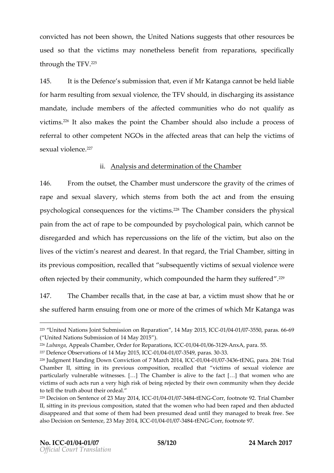convictehdas not been, tshheld whined Nations ssuthgapotentier resolaueces usedso that te vicst in may none theless benefor it and reparations of perfically through  $\pi$  File  $\mathscr{C}^{\scriptscriptstyle 25}$ 

145. It isset Defest soubmission enviolent of Katangan ot beliable led for harm resulting from  $e$ m estual  $FV$  shiondisch angitsassistance mandation clude members of the affected communities ansho do  $n = 0$ victism?<sup>6</sup>italso makes thehopoCintamscheoruld also ei**aplroc**etess of referral to other  $N$   $\odot$   $\odot$  pientet hearffect areas that canvibuling of the s e x u ailo l e nº ĉ<sup>7</sup>e

ii. Analy sis deent**e** rmion act fithe Chamber

146. From the out the  $\theta$  ham the external exact of the gravity the fime of rape ansed xual slawe highstems from both theactandfrom the ensuing psychological consi**eque**nciess<sup>e per</sup> he Chamber and thephysial pain from  $a$  the rape becompoundepois by phological which the pain  $\alpha$ disrenglas dandwhichasrepercuss is othe life of the buicallos on the lives tot four imm sparest and deatheast reghard in a manusitting in its previous compeccsaitliend shuabtsequently viscetikmunal ovfiolence were often rejected by their community, which compouned the harm

147. The Chambealls, that the case, a at bolocation was tend of that he or she sufferedemhsaurinning onone or motrheecorfm oesf whikdhr Katanwgaas

<sup>&</sup>lt;sup>225</sup> United Nations Joint Submission1MMany2ROep5a,raOC117660041/03755ppara6s669 ( United Nation ission of 14 May 2015

 $^{226}$ Lubang Appeals Chamber, Order floOrGPR1e/pG8411 al 60601  $\Omega$ A9 nx Apara5.5.

 $227D$  efence Observations of 140 M/8041 24037554, paca 3033.

<sup>228</sup> Judgment Handing Down Conviction of 0 7 / 004 at 63774 32 to E1N4 G, I C & OafTrial Chamber sitting in its previous recampodition at ims of sexual violence a particularly vulnerable[&w]TtheesGslesamber is alive to thibale what one has hy ho are victims of such acts run a very high bryistkh oeifr boewing coenjenout reidy when they de to tell the truth about their ordeal

<sup>&</sup>lt;sup>229</sup>Decision on Sentenc290df4 230CMC 8041 / 0374 844ENGCorffootno9t2eTrial Chamber II sitting in its previous, sctoant epob stirted a women who haad peologie eannd then abducted disappeared and that some of them had been presumed dead Suenetil they also  $\overline{\omega}$ ieioom Senten $2\overline{\omega}$ ea y 2014,  $\overline{4}$ CC 6041/6374 844 ENGCor,footno9t e.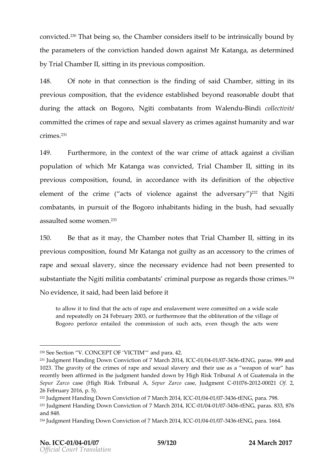convic. t $\mathfrak{B}$ That be intyches o Chambeo msiders tootsbeelf intrinsicou and dy by the partament the conviction handed MobwKnatangapaganedetermined byTrial Cham, sseturiling in its previous composition

148. Of not re tuntconnection that finding a jood Chamsbietring in its previous composition weidence estable in the asonable adoubt duringhe attack on Blogitoicroombatants WiraolmendBuindoiollectivité committehoocrimes frape saenxabus lavery cranse as gainhsut many itand war  $c \, \mathsf{r} \, \mathsf{i} \, \mathsf{m} \, \hat{\mathsf{e}}^3$ s

149. Furtherm, on teh econtext of the erimwearfattack agains only ilian population for which Mr Katangas convicted ial Chamber it in its previous composition accordancets with its in the objective element of crime eacts of violence against  $\ell$ <sup>3</sup> the hatN vog the ary combatants ursuit of Bohgonich abitants hiding inhables bush lly assaul**se c**he wom<sup>s</sup>en

150. Be that as, it then  $aSy$  hamber that  $bS$  hambe, rsittling in its previous composition  $\mathbb{M}$  m Katam op a quilty as an accession reads to the rape and sexual ssintate ery necessary evidence phreeds emotited been substanttihadNegiti militia comcbrainhainptosrpose regathodsoscrim.ê $^3$ sf No evidenctes aniadd been laid before it

to allow it to find that the antstan emaphe wede committed on a wide sc and repeatedly on 24 February 2003, or furthermore that the oblitera Bogro perforce entailed the commisseivoenn oth counch taked sacts were

230Se8ection V. CONCEPT OF ndV b Ca T2M

 $231$ Judgment Handing Down Conviction of 07/0044  $\gamma$  6374  $20E1N4G$  IO 69989.and 1023he gravity of the crimes of rape and sexual slavery and their use recently been affirmed in the judgment handed down by High Risk Tribur Sepur Zarasoe (High Risk TrSbeupnuarl ZAagassoe Judgment 0G72601-0200201f 2, 26February 2016, p. 5).  $^{232}$ Judgment Handing Down C7oMwaircotho 2004-6441/19034C/03743+6ENG, pa7988..  $233$  Judgment Handing Down C7onMvaction  $\alpha$  0o1f43 1/1004 C/0374 3t6 ENG, pa8  $\alpha \alpha$ , 876 and 848.  $^{234}$ Judgmenatn Hriing Down Conv7 cM anchof 201-041/1004 C/0374 3t6ENG, pal6 a6.4.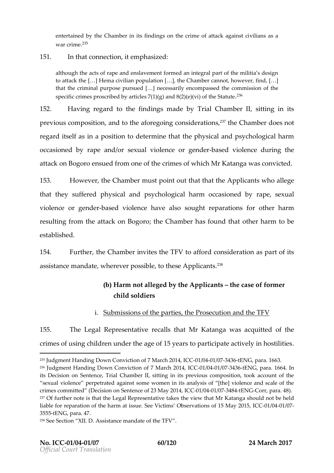entertained by the Chammbergs noints the crime of attack against civilia war cri<sup>2</sup>mી<sup>5</sup>e

### 151. In theathnectitem phased

although the acts of rape and enslavement formed an integral part of to attack the [&] Hema civili&a]nthpeop  $\Omega$  the miber cannot, hof  $\mathcal{U}$  by ever, find, that the criminal purpo[& & p puessed dily encompassene ds sthouthe of specific crimes proscribed by articles  $7(1)(g)^2$  and  $8(2)(e)(vi)$  of the S

152. Having regathet  $\delta$  indings madie alb  $\mathcal C$  hamber it thing in its previous comp, **a s**aidtothea foregooing sirolaetio,?n°3the Chamdboeers not regard its enfaap osition betomine thepalty sical and psychological h occasioned a phone the resexual olence gendense diolence ringhe attack on Beorgseudforomone of othien os whild in Katanwanas convicted

153. Howevel h, e Chammbue spoint out that the plican whoal dege that they supfrey seidcal and psychologoical sibaemdaphysexual violence gendebase dioelnoe have also sopuant tino encerto harm resuihtg frothme attack on;tBhoegoCrhoamhbaesfround that the Ararm to be established .

154. Furth,  $\texttt{e}$  includion inversion to TFOV afford considenceration of its assistance m,wah**e**laotorer pososi**bhe^**speplica?ñ°t

- (b) Harmnotallgeedby the eplic  $\sin th \in \cosh f$  or mer childolides
- i. Submissions partites  $\theta$  reecution and the V

155. TheLegal Represemetoaativee MhratKatanwa as acquidated he crimes using children under the age of 15 years to participat

238See Section A & blist Da.n ce moath dlate FeV.

 $^{235}$ Judgment Handing Down C7 o Maircotho 2004-74 1/004 C/0374 3t 6ENG, pat 636.3.

<sup>236</sup>Judgment Handing Down C7on Waction 2014 41/004 C/0374 316 ENG, para 684. In its Decision on Sentence, Trial Chamber II, sitting in its previous comp sexual violence perpetrated against some women in its analysis of [th crimes comm $D$ tecd sión on SenteMmage 200f1 24:30 NLC 60241 / 0374 844 ENGCorr, para. 48). 237Of further note is that the Legal Representative takes the view that Mr liable for reparation of the sehear V mical timissuplease rvations bot  $CD05$ /004  $\sqrt{97015}$ , 355 <del>50 E</del>N Go a ra4.7.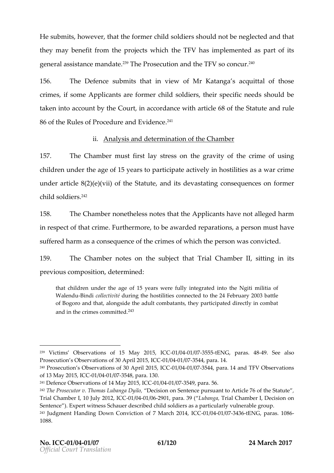He submit of sove we hat the focomminded resoldiers showledge to a to each order at they may benefit pfrom the chhe TFh Vasimplement ad part of its  $g$  e moe lassistme annote  $\hat{\bm{x}}^{\text{p}}$  of  $\bm{F}$  in  $\bm{\Phi}$  rescution the edT Fs obtonc.  $\hat{\bm{u}}^{\text{p}}$ 

156. The Defestuck bermit hat in view of a tansopacquait bf those crimes som Applicant of ormer child sold diseprescific needs should be taken into accou  $\alpha$  bub ryin the  $\epsilon$  cordance artivioth of  $\delta$  of  $\epsilon$  ateu and rule 86 of  $\blacksquare$ Rhudes of Procedure a.?n^d Evidence

ii. Analy sis dænt**e**rm in aotfitohne Chamber

157. The Chammoluest filmsyt strestsheogmrawit of hecrime fusing children under the age of 15 years to particapate we a children under the age of 15 years to particapate we a undearticl $(2)$  $(2)$  $(4)$  $($ i)of th $Set$  ateut and idesvastatoing squences noformer child so\$&<sup>4</sup>fer

158. The Chammboernetheless that the pulcant aveot alleged harm in respect of inthe Equitiberm to choeeaward  $e\otimes$  aration aperson must have suffered has ran consequtelnecore monets which the percson n wine based

159. The Chamberse on the subjectriath Chamber it in its previous compdeteinmined

that children under the age of 15 years were fully integrated into Walen Buindoiollect di wintieng the host nihile icetse ob othe 24 February 2003 battle of Bogoro and that, alongside the adult combatants, they participate and in the crimes  $\hat{\epsilon}^{43}$ mmitted

 $239$  Victims Observations of 15  $-Ma/6042/003555, 55E$  SG  $G$  paras.  $-4.46$  SS ee also Prosecution s Observations of 30/00 th 76372 4 4 5 all 4.C

<sup>240</sup>Prosecution s Observations of 300/AOp41r/103723445, 7 al 42a Chall FV Observations of 13 May 20-05,  $/$  0040  $C$ 0375 4,  $\beta$  ard .3.0

 $^{24}$  Defence Observations of 140 M/a0441 20037554, paca. 6.

 $^{242}$ The Prosecutor v. Thoma $\Omega$  Le a its and  $\Omega$   $\Omega$  begate nce pursuant to Article 76 of Trial Chamber Dulg012, HOCIC6041/62690para8.9(Lubangai,aChamber I, Decision on Senten). Exert witShoehsas udeers cribed child soldiers avsulaerpa bettgicon. Lup rly <sup>243</sup> Judgment Handing Down Conviction of-071 /1004 1r/e0674 2-10E1N4 G, I Cp @ 1 8 86 1088.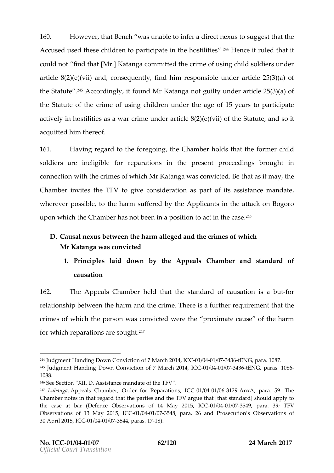160. Howev, that Bench was unable to infer a direct nexus to sug Accused used htimidiseen to participate in ? the homoldes triulited estinat it could not and that [Mr.] Katanga committed the crime of using containt soldiers under under under under under article  $2 \times 8$  e)(vii) and, considered under proponsible under article 2 the Stat<sup>2</sup>d<sup>3</sup>/AeccordingtlyfounMot Katamsoptaguilutyn der artic $\Im$ ) $\spadesuit$ ) 2co5f( the Stateut of the crims  $\dot{e}$  ng fchildren under the age of 15 years a ctively in hoas stilaitive as immeter dearticle  $(2)$   $(2)$   $(4)$   $(4)$  if  $\theta$  if  $\theta$  the steut aned oit a c quit he dthere of

161. Having regard to the thi**e** reChain mingoed dishatthe formoletild soldie asse ineligiblreep af noartiso im the present proboreo eudginning sin connection the  $\mathbf c$  then  $\mathbf e$  whild in Katanga convident as the may  $\mathbf c$ Chamber vise he  $THV$  give onsideration part of its assistance mand wherever possible hard suffere and puther attack on Bogoro uponwhic**h**he Chamhbaesrnot been in a apoot**s**ittihoen et%eise.

- D. Causal nexus betwee all etche edalm at the harm egency hich MrKatan**ga**s convicted
	- 1. Princleps laid down by Aphpee als Chamabels tandard of causation

162. TheAppeals Chamebelrthate standard of causation in relation sheit poween htahrem and the Tohreinniesea furthrequinne ntthat the crimes woh fich the person was convicted were the proximate c for which reparations<sup>4</sup> are sought

 $244$ Judgment Handing Down CoMhavrich and 10410, 17/00031 / 0374 3t6 ENG, pat 0a8.7. <sup>245</sup>Judgment Handing Down Conviction of-071/1004 1r/09674 2-10 E1N4 G, I Q @ 1 @ 86 1088.

 $246S$  ee Section A  $X$  slist Da.n ce moath d hard FeV.

 $^{247}$ Luban  $A$  ppeals Chamber, Order for CFG a  $b$   $\alpha$ 004  $t$  /  $\alpha$   $\alpha$   $4$   $n \times A$  para 59. The Chamber notes in that regard that the rightliths at fith the that card should ap the case at bar (Defence Observations  $-0.1/0044/09754/9p204359$  TCT Observations of 13 Ma-012 @0415  $637566$ , para. 26 osaedution s Observations 30April 2015-01/0902410/ 73544, par-48. 17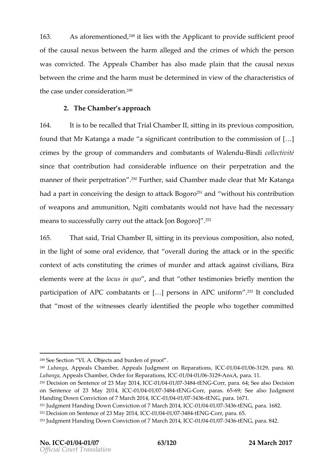163. As aforemen f<sup>a</sup>red with heApplicant provide icsinent proof of tho eausal nexus bethwaerem athloeged acnridm behafe which the person was convidure appeals Chamabse alms ade plaint the usal nexus between the crime and the hearrm imends tiew det the characteristic the case undeerr**a**binotshid

2. The Chambeapproach

164. It itso breecalleld that Trial Cham, bs eitring in its previous, composition , the metal of that  $164$  ,  $164$  ,  $164$  ,  $164$  ,  $164$  ,  $164$  ,  $164$  ,  $164$  ,  $164$  ,  $164$  ,  $164$  ,  $164$  ,  $164$  ,  $164$  ,  $164$  , found that Katanagha adea significant contribution to those commis crimes by the group of commanders and  $c\cdot B$  immoloidal net ostion fit  $\Delta V$  all since that contribution had considerabderpine throade to their manner ofpt**ele**pietrat<sup>2 js</sup>o<sup>8</sup>Fnurth,osnaid Chambaedre cltehaanMr Katanga had pearth concive in the desigent to also a o<sup>2 p</sup>ioand without his contribution of weapons and ammunition, Ngiti combatants would not have means to successfully carry out the <sup>2</sup>attack [on Bogoro]

165. ThatsaidTrial Chambseirtiling intervious compatsition oted in the light of some othatoved and caluring the attack or in the context of acts constituting the crimes of murder and attac elements wereloactusthien, annum that the testimonies briefly mention participation of APC co[r&\bpa)elasholos.sorin APC £15Aliffoormcluded thatmost of the witnesses clearly identified the people who

<sup>249</sup>Lubang Appeals Chamber, Appeals Judgmeln CtGooth 06941e/p9361t 2t @ipanae3.0. LubangAappeals Chamber, Order floOrGR1e/p98411 al036362A9.nxA, para. 11.  $^{250}$ Decision on SenteMacye  $2001230$  MC 60241/0374 844ENGCorr, para. 64; DSe eesiad so on Sentence Mosty 223 0 1 4 .- 0 11 CCM24 / 0-374 8 HENGCorr, para 69 : 65 ee Jauldigment Handing Down Conviction of 7 40 a/004 20074 346 ENGC, pa 67.1.  $^{25}$ 1Judgment Handing Down C7oMwaircotho 2004-041/004 C/03743 t6 ENG, pat 638.2.  $^{252}$ Decision on SenteMagce  $20$  of 42, 30 C/CGO 41 / G374 8 t4 ENGCorr, p685a. <sup>253</sup> Judgment Handing Down C7 o Maircotho 2004-041/0024 C/0374 3t6 ENG, p 88 422...

 $248S$  ee Section Obvides aAn oburden fproof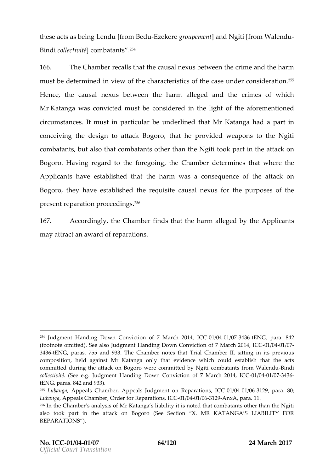these acts as being Len-Eluze [Kreqormeo uBo eeqhue ntd Ngiti [from - Walendu  $B$  in obio II e c flive iot rén b a taî $\tilde{r}$ t s

166. The Chambeathsatthe causal nexus between the crime an must be deteriminieed wthout haracteristines coafshed er consider  $\delta$  ation Hencehe causal nebxeutsveen hthe maloiged anholecrimesof which MrKatangwaas convinctuesd be consindetmleed light of the aforementi cirucmstancets. must particlous eaunderline Mr Katanga da part in conce inghe design to attack hablog op movided weapons to the N combatabnotos, also ctohmabataonthiser than gtihtneo oNk partthein attack on Bogorhelaving regard to the thine reConhamobeet nerminines at whehre Applicant tare established that wat the head mise on the flee attack on Bogo,  $r$  to he have established the ausquisite caust he purposes of the  $r$ presente paration pro $c^2$ e $^6$ e dings

167. Accordinghiye Chamfbreedtshat thhaerm alleged Abyopthceant  $may$  attract an  $a$ ew armal tisofn

<sup>&</sup>lt;sup>254</sup> Judgment Handing Down Con Minationn 200f1-00,1/0024C/03743+6ENG, pa8r4a2 (footnoteitt).See alsodgment Handing Down Conviction of 07 / 804 1/07 2014, I 3436ENG, pa755 and 933. The Chamber notes that Trial Chamber II, sit composition, held against Mr Katanga only that evidenchew acts could committed during the attack on Bogoro were committed by -Bigridii combata collecti(Sieté eJgdgment Handing Down ConMiacntcoln 2011-01/004 C/037436  $tENG$ , pa $dA$ **2**. and  $933$ ).

 $^{255}$ Lubang Aappeals Chamber, JAupding engelnt on Replecenti/o9044s/696129b.ara & 0 Lubang Appeals Chamber, Order floor OR 12/06 24 11 a 0363 02.99 nx A, para. 11. 256In hte Chamber s analysis of Mr Katanga s liability it is noted that comb also took part in the atta $d$   $\mathbf x$  estero Biogonoro  $\mathbf x$ . MR KATANGA S LIABILITY REPARATIONS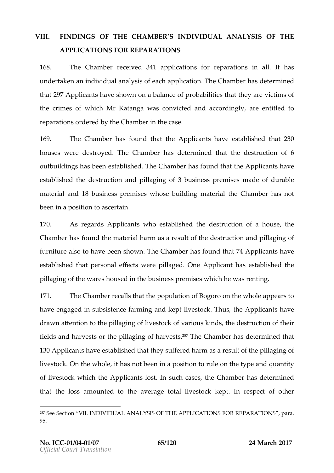## VIII. FINDINGS ON THE CHAMBER SINDIVIDUAL ANALYOSTISTHE APPLICATIONS FOR REPARATIONS

168. The Chamber energy lapplications for reignareal it on assession and  $\sim$ undertakeim dainvidual anoaflyesaissopholicatTohne Chambasostretermined tha 29 Applican have shown and alance of probabilit they will are the mot the crime osf while Mr Katan mgaas convinsined alcordingly entitled to reparation red they Chambethe case

169. The Chamber fout that the plicant ave established that 2 housewere destroTyheed Chambered determintehoothe destruction of outbuildings been stablished Chambas found tthe plicant ave  $establishedebit eu cta odpillagin g3bufsiness, premmi sse sofurable$ materizend 1b&usinepsrse miswe bsose building mlheete Cihaal mhbæer not been in a posaits ico en theoin

170. As rega $A\Phi$ s and  $\Phi$  and  $\Phi$  establishes destruction of a house  $\Phi$ Chambhe-arsfountdhe material as are manult of the desant notalid taggring of furniture taphsa oebeeshown he Chambas found that  $A\phi$  plicant ave established ethat performal entity and personal personal the established the pillaging hewfare house of the usiness prew mises he was renting

171. The Chamsbeaths at the epulatio Bogoto on the whole ears to have engageeud bsinstence farmkepootiveensd to Tchku, stheApplicahave drawn attention to il the gionfolivestoo of kvariouss, khinedde structifo ntheir fieldesnoharves out thoeilla gin on aorfves. $85^{\circ}$ fThe Chambaesste termini**be a**lt 13 Applicalm ave established stuff are the lade mas a result polifiating of livesto  $Q$  in the whithles not been in a poulsition thy the end quantity oflivestowch kich tAngeplicant stinsuch a set she Chamber estermined thathelossamounted theaverage tallivestock h kreepstpect of other

<sup>&</sup>lt;sup>257</sup>See Section VII. INDIVIDUAL ANALYSIS OF **OREREPARICATIONS**  $\frac{1}{2}$  fara. 95.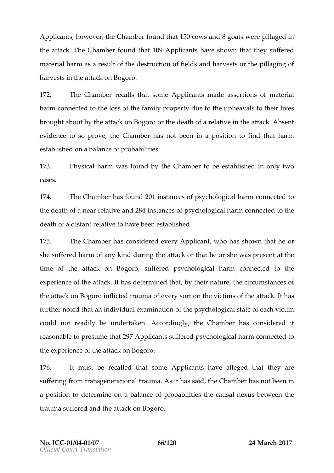Applicamtoweveling Chamberd that cows 8 agodater pillaged in the attack. The found that 1Applical ave shown that they suffer material has are man sult of the destinies to that confussion the pillaging of harves in the attack on. Bogoro

172. The Chammetecalls stowant applicant and e assertion asseo if all harmconnectet on dooss to the family roper due to be upheavais eir lives brought abbout the attack on oBstchogoober athaorelatione the ettack to sent evidentoce so protivee Chamber and been in a plions of the beat the metal that  $\mathbf r$ establische dalance probabilities

173. Physical hwaas found hobey Chamtobebe estabilnished by two cases .

174. The Chambeashoun 210 instances ssy of hological comparencted to the deathn**e a** rarelaatride 2i8n4stanceps syoothological commemented to the death distant retative been established

175. The Chambeas consideeveer&ypplicawshohasshow that he or she suffered harm of any kaintoaloochulinanto;hteh oo was hep resaet ntthe time othe attack on Bogforoment vchologhian and connected to the experience beattack has determined by their natueriencem stances of the attack on iBs folgeocot roaumosf every soothieo viscot fmthaettack thas further not tead n indiviel wa maitio onf the sychologit and effect a ch victim could not readily be **Anccheorricaling only Chambers considered** reasonab  $\texttt{test}$  th  $29$   $\texttt{A}$  pplicass of fereesdy chological domant entred to the experient the attack on Bogoro

176. It must boeaeholethatsomeApplicanhtavealeIged that they are sufferifing muransgenerattriaoun ran as it has stan ied Chamber hot been in a position to te mine balance of problated bill is east nexus between the traumsauffered the dattack on. Bogoro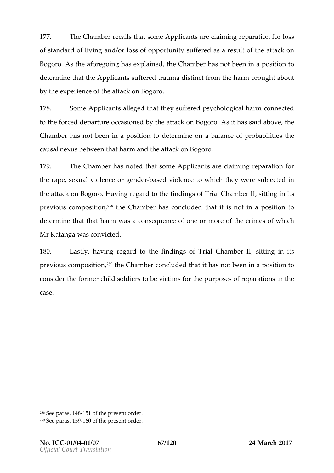177. The Chamber entitions of the plicante aiminge paratificantoss of standard of and of dividing and opportunity of the substance of the of the condition of the attack on Bogoro ... the aforehopose in pulse ight he Chamber served beem a position to determine thappthicant ferter duma distrion tithe harm on the about by the experitence at tack on Bogoro

178. Som eApplicant leged that the ypssyutheorleagical charm and ted to thforced depaorctouare-ionetoolehed track on ABsoig ohraos saabiody tehe Chamble as not been in a desetrimo inneado alance of problame ilities causal nbeatus been that habing antitack on Bogoro

179. The Chambeas noteselt soman peoplicant  $\mathbf c$  laim greparation for therap, esexuptiolence regendebase of olent coe which they were insubjected in the  $\alpha$ the attack on Bengion regard to the Thinedin Consanon tositting in its previous com p<sup>2</sup>6<sup>8</sup>sthte o Cohamber extraorduded tils anoit in a position to determine that thewaatshaa romonsequoemeceor of morthelecor imension hich Mr Katanyaas convicted

180. Lastly aving regard to the Trial in Q be on for thing in its previous com p<sup>2</sup>o<sup>s</sup> shite o Cohamcho encloped hat hats n**be** emi **p**osition to considue former child tosolowed betimation the purpospears action resthe case .

 $258$ See patas.5 of the present order.  $25\%$ ee pat $54.60$ f the present order.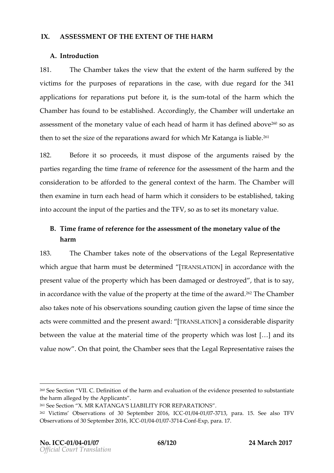## IX. ASSESSMECNT THE EXTENCIF THE HARM

### A.Introduction

181. The Chambakes the vietwheethatout the arm suffered by the victimis r the purpolise parations the cwisten due regatride  $340$ t applications for reppuatrabteibongies itthe stormal tohfe harmwhichthe  $Chamb$  heasfound to be esta Alphonophology of  $Chambi$  is underta and  $A$ assessmone in the monetary voorlie on the monodration has define  $\mathfrak{G}^0$  sado cave 260so above 260so above 260so and 260so and 260s and 260s and 260s and 260s and 260s and 260s and 260s and 260s and 260s and 260s and the hose thesize of the reparations award for which Mr Katanga

182. Before it so priocreeds spose of artghuemements raised by the parties gard the gtime framee frefere hoce thesess ment of the cold the harm consideration to be oat frienrote on text of the The archinam which  $r$ then examine  $\dot{\mathbf{e}}$  acthuerand fharm which it conbeedstearbeshite odtaking into accohuent pud f the artias d the  $\sqrt{S}$  assection on etary value

B. Tim  $er$  a moef reference asset the assement of the monetary voaf to the e harm

183. The Chambakes note obstehrevation the Legal Representative whichargeuthat harm mudsettebremine relanslation accordanctehewith present voafluthe property which has bedeenstdamed obaction to say, in accordance waithouthon the parophenetytime of t?n°eThaow aCrhdamber also takes notebs of rhast solows id op aution in the dapse tion fies in cteae actwere commatted of  $b$  uses end ward  $[TRANSLAT]$ O al consideriable  $\ddot{\bm{v}}$  it betwee he weakt the material the eproperty which & was not ilso st valuenow. On that ptohing t Chamber that that the qual Representative ration of  $\alpha$ 

 $260$ See Section Definit Contheharm and daluation the evidence protion substantiate the harm alloheald plicant

<sup>261</sup>See Section X. MR KATANGA S LIABILITY FOR REPARATIONS .  $262$  Victims Observations of 30 Sep-0e1*m*Ie044 of 0322701136, plaCrosaSee also TFV Observations of 30 Sed Centember 2016 -01-14 04 - 2017 - Confexp, para. 17.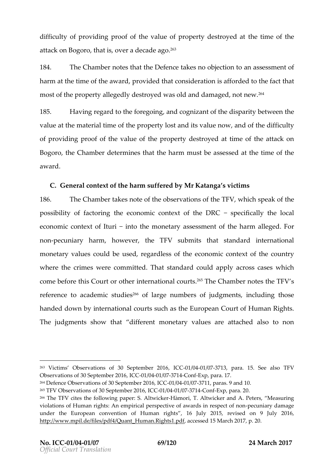difficu btfy providing proof of the value of prtohpeentign edheoes froyed attack on Bobgaotroisv, er a deca $\mathfrak{B}$ e ago.

184. The Chammodes tthat Defences no objeachases that the Chammodes that harmat the time of the oavid the dad o sideration is afforded that the fact mosd f the propelent ety edly deswita osyen and damaged ewe<sup>64</sup>

185. Having regard to the a fiodroeognotizant disto has ribe two the disparation of the disparation of the disp value at the mate-fiah etime operaty dioxissation ow, anodithed ifficult of providing proof of tthe epw aple ed positroyed at three attack on Bogo, rto he Cham cheet net minute ast the homour smt be as saet stated time of the award

C. Genreal context the haumffered Mb y Katang avictims 186. TheChambtearkes note odofstehreratoiof mtshTeFV,whicshpeakthofe possibility of fancetoreign and context " of spheeciûd DGRaCly the local e conomic contex<sup>"</sup> tiontfotlhtemonetary assecs for the entharm alleged nom-pecuniary , hao wevethe TFV submits tatholated international monetary vabuud beleuse, degardless  $\mathbf e$  of othoen to intendent country where to crime commodules where  $\alpha$  is the conduction of apply acrows in comparison where  $\alpha$ come be**fbisCo**urt ootheinternatiilo **a**o u<sup>e pe</sup>fTshe Chambolesethe TFsV referento  $\bf{e}$  cademic  $s^2$ f $\bf{0}$  odfiels argembers of ments  $\bf{q}$  cluding those handed dowim they nation as the such as the European count man Rights . The indigmentshow that if ferent monetary values are attached a

<sup>263</sup> Victims Observations of 30, S&  $\beta$ -024  $m$ 106044  $v$  0322701136, paraSe & 5 also TFV Observations of 30 Sed Centember 2016 -01-14 on Exp, para. 17.  $^{264}$ Defences eOrbrations of 30 Septem $\Omega$ b1e/ $\Omega$ 004210403677,111C, Oparas. 9 and 10.  $265$ TFV Observations of 30 Se $\omega$  for  $\omega$  the  $\omega$  and  $\omega$  and  $\omega$  on  $E \times p$ , para. 20.  $266$ The TFV cites the follow integriposition of Si., T. Altwicker and A. Peters, Measuring  $266$ violations of Human rights: An empirical perspective -pet cawa and of diamage ect under the European convention of Human rights, 16 July 2015, rev  $http://www.mpi1.de/files/pdf4/Quant-Hu,maaoc&sgedds15 pMfarch 2017, p. 20.$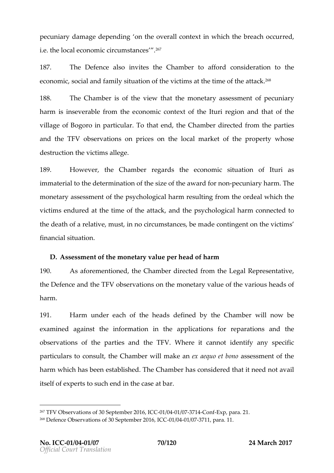pecuniary damage deppet motimogy erall context in which rethe bread i.e. the local  $e$  croconuon mussitica n° $e^{\gamma}e$  s

187. The Defences son vise the Champe a ford consideration to econom, siociaanh of a my is ituatioofnthe viscattimthe time aot fatëñkke

188. The Chamibe of the vietwh ethmato netary assoft psomue mitary harmis inseverable from mothing of the context the urrieqio and that of the villago  $\epsilon$ Bogorio particular that, the chambie  $\epsilon$  cted from antities andthe TFoVbservations por ices on the local onfartheet properenting e destructhomenictima slege

189. Howeverhe Chambeegards the enomisituation Itoufrias im mater to the chermination soizf etholof a twh and right of the size of the  $i$ monetary assecs fishmene snot chological eless and the from the ordeal which the viction  $\mathbf e$  ndured at the time that and  $\mathbf e$  the psychological connected to the death reolfatainmeus the no circum stance son their monorand theoric times financsiatlu ation

 $D.A$ ssessmoefnthroeonetary vpaeluehead acrím

190. Asaforementione  $dC$  ham dbierected from the Representative the Defeam cde the FVobservatoion is the metary voafit the vahied autos of the  $\overline{\phantom{a}}$ harm.

191. Harm und**acho**ef the hedeed isneboly the Cham whielm ow be examin**ed** ainshie information theapplicatifons operation and the observation fin stheparties and the FV. Where cition in ordentify any specific particultars constuhlet Cham while  $\ln a$  keanex aequo eats sheo smoon ento f the harmwhich has ebset and lis The d Chambass ronsidered that dt avail itselfeot pentos such ientohe case at bar

 $26\tau$ FV Observations of 30 Sept@th/19044t/6239771462,ohdE&ppara. 21.  $268D$  efence Observations of 30 September 2022 016 pack. 11.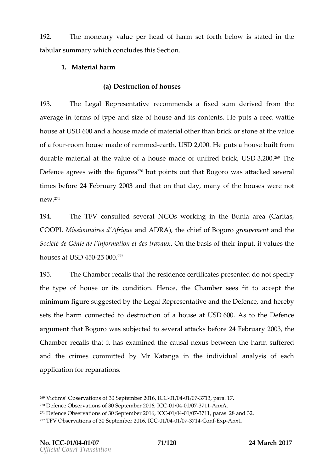192. Themonetary vabueer heach-aorfmset forbtehlowis statine dthe tabular sumwmhacyh conclud $\mathcal S$ escthois.

1.Material harm

(a)  $D$  estruction  $D$   $\bullet$  ses

193. The Legal Represemet a dinwe read sixed sum derived from the recommendial  $\sim$ average tes moftypeand size of houtssee at the Houtsareed wattle houseetUSD600 and a mhoad se eof made healthadmik or stontome paalue ofa four oomhous meade of rame named  $\overline{B}$  Denoche puts oan sbeuilt from durable matetrieshival**o**téa housneade of unfire,dUSbD3,2c0k.O<sup>rg</sup>The  $D$ efen $\boldsymbol{x}$ grees wihitehigur<sup>2</sup>e $\boldsymbol{\circ}$ butpoinstout thBaotgorwo asatt $\boldsymbol{\circ}$ akedseveral timesse for 2e4Februa 2roy 0.3 and that on that maday of the houses were not new<sup>71</sup>

194. The TFcVonsultseedveral NGOs workinBounimarteho(Caritas, COOP Mission naires **ad n AGAT Di BRIGA) de La Conda** Condagoroupemanent the Société de Génie de l informOantion eeu acseis of a what aux a lupes tthe houses**USD450-2500.0**72

195. The Chambealls thad stible peetificates end do not specify thetypeof housseitscondition . hence he Chamsbeears fitactoce pt the minim ufmigurseuggested  $b$   $\psi$  gtahle Repres eamtobht ieveDefean to de reby sest the harmonnected detainuctoin on hous  $\text{Leb}$  and  $\text{O}$   $\Omega$  and  $\text{O}$   $\Omega$  at  $\Omega$  the Defence argument  $B$  bg t wo assubjected to seve b as if oa $2$ re 4Fa c bs buary  $0.8$ he Chamber calls that eixta **meig**t hecausal n**e**between htahrem suffered and the crimes cobmynholintteKoatanignathe individual aomfaleyas chos applicatiom point ations

 $269V$ ictim $Q$ sbservations of 30 Sept $\epsilon$ -06 b/e004 2/08376 13, para. 17.  $270$  efence Observations of 30 Sep1d 6041  $e$  6372 0A 6  $\times$  A CC  $271$ Defence Observations of 30 September 2016, pacas. 28 and 32. 272TFV Observations of 30 Septemb er 2016 ,ICC-01/04 -01/07 -3714 -Conf -Exp-Anx1.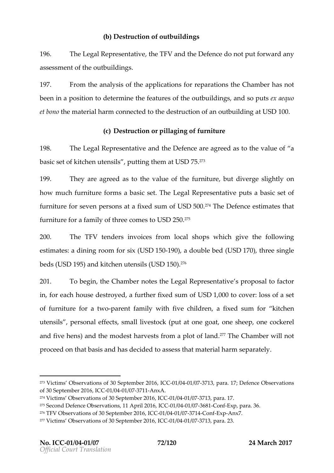#### (b)  $D$  estructoi for  $D$  to  $D$  ildings

196. TheLegal RepresethteatTreeoxidhe Defednocenot put forward any assessmotent tho autouridings

197. From tahme aly sis cafp phliecations for retper**6thiamhts** as not been in a posdeitcen miohefeatures oo futbueildings so peux tsaequo et bothe material cohnamencted to the destorul childing and  $00$ .

(c)  $D$  estructor to illaging uorniture

198. TheLegal Representmothe Defenance agreed a satuloe to the value of a satulo basic sketto.hetnen usilpsutting theeotod SD75 $^{73}$ 

199. The are agreed thas valude othe furnitul urteliverge slightly how much furnituræ bfoosmcsTsheettegal Represepnuttæntibeasic set of furnitufroerseve rperso antsa fixed suUmSLO510.1074The Defeensoteamtetshat furniture for a famidy moefs  $t$ h $\mathbf{\Omega}$  executive  $\mathbf{\Omega}^{\tau_{5}}$ 

 $200.$  The TRE nders voices m local shops quiched following estimate stining room ix  $U$  (SrD15000), adouble eqUSD17)0, three single bed (\$USD195a) nokitchen renusiUsSD1503 $\delta$ 

201. To begtime ChambetsetheLegal Represesntpartoipoes al to factor infor ean cohuse destraovfed thiexred sounhol  $S$ D1,000tocover:lossof a set of furnit fuorreat w-po arenftamyl withivechildrean fixed sum kittochen utensilps ersonal effreets live (potoot kooting oat nesheep necockerel and five )haennds the mohoalers tessfrom a plot of TTlhaendChamwbielrnot proceed on that **basies** identical asses on a heatial beap and tely

- $275S$  econd Defence Observations $G$   $O$  1/004 r/ie372 80 6 pExp para. 36.
- $276$ TFV Observations of 30 SeQ  $\mathbb{C}$ @ 11/06241/02370711432 on Fix pAnx7.
- $27\text{V}$ ictims Observations of 30,  $\text{SE}$ 01 e 0041 e 0372 0 36 para. 23.

 $273V$ ictims Observations of 30, SI  $\odot$  014  $\odot$  604  $\odot$  6372036 para. 17; Defence Observations of 30 September-200/19641, / IGB77C 1-Anx A. 274Victims Observations of 30 September 2016 , ICC-01/04 -01/07 -3713, para. 17.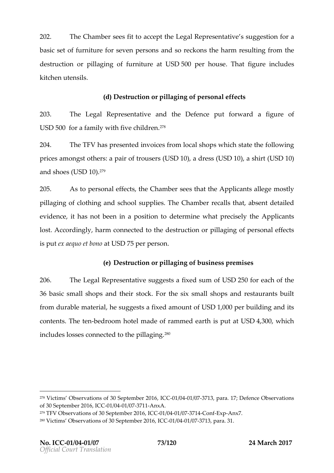202. The Chamsbeeers fit to acLoegonal tReepresesntsautgygee sfotinan basic set of furniture for a sneet bore preponent barmens unit g from the  $des$ tructoio potillaging fuornituare USD500per house beat figured dues. kitchen utensils .

(d)  $D$  estrtuionorpillaging of sonal effects

203. The Legal Represent a thin dighter Defence forward figure of  $USD500$  cand family in the intermediate  $V^2$  and  $V^3$ 

 $204.$  The The  $\overline{a}$  resend throic for a modashops which sto altoe with  $\overline{a}$ prices amongsta optahert scofus of USD10)adres (USD10)ashir(USD10) andshoe(UsSD10?)<sup>79</sup>

205. As topersonal effect  $\mathbb G$ shams benefthat the policant legree stly pillaging lofhing sporhobol sup  $\overline{D}$  hie s  $C$  ham be calls that, absent detailed that  $\overline{D}$ evidencte as not been in a plesterimo to materate precise Apptihie ant lost According by m connected dets a runce io philolaging pear fonal effects is put aequo atUSM5per person

(e)  $D$  estructo  $\varphi$   $\eta$  illagin $\varphi$  wo finess premises

206. TheLegal Represesnutgagies  $\epsilon$  fixed south SD250for each of the 36basiscmall shaompos thesioc  $F \circ f$  and shops and restaurants from durable mhætesniggens ixsendmount  $USD,000$ ebuilding and its contesn The t-bedroomhotem ade of rammeds epaurt tublaSt D4,30,0 which inclue oslosses connectpeid languing entry the connectual and properties in cluents of the pillaging  $\sim$ 

 $278V$ ictims Observations of 30, SI  $\odot$  014  $\odot$  604  $\odot$  6372036 para. 17; Defence Observations of 30 September-200/1064,1 /10637021-AnxA.  $279$ TFV Observations of 30 SeCpCe th  $1004$  T/023071162 on ExpAnx.7

 $280V$ ictims Observat $S$ cerpstecmfib $300$ ,  $20-0.66$  /  $6041$  /  $637713$ , para. 31.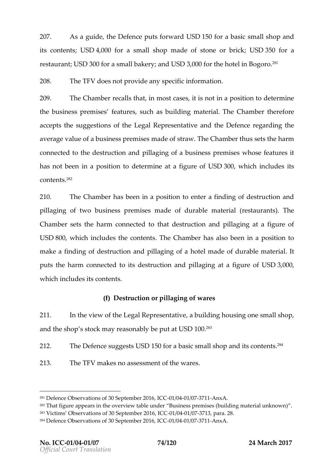207. As a guindee, Dte fepnuctes forw $\Delta$ band 50for baasiscm all shand its contelh $\$\Re$ ,000fora smaldhop mad $\$\mathrm{t}$  tone or buricalls  $50$  for a restaurbJnStD300orasmablakerayndUSD3,000or the hoBsoelgoinf<sup>8</sup>of

208. The TENes not provide anny fospmeatiform

209. The Chambealls than to st catisse spot in a posietion mution e thebusiness prefme  $\texttt{as}$   $\texttt{es}$   $\texttt{es}$  ch as buimlo $\texttt{d}$  end  $\texttt{d}$ . The Chamber therefore accepts the suggestions of etchnees earnor at hieve Defene gearding the average all eofabusiness premand see  $s$  ffra. Whe Chambers set bath me connected to the despriulication and packet iness prewn hossees features it has not been in a **deserimented** figures D3f00 which nclouesits c o n t test<sup>82</sup>

210. The Chambeas been in a poessitte on a to induction and pillaging two of business premmaids  $e$  sof  $u$  rable at erigale staural  $\overline{n}$  hse) Chamb**s** et tshe harm connet that dels to ructa o dpillaginato a figure of USD80.0which includes the The an Cehat shapes ralso been in a position  $m$  ake a fincoffdheo $p$  truction and laging a other than a dedutinable meateribal puts the harm connectered to unctainate stillaginate a figourfile  $S\rightarrow 0.0$ whichincludes  $its$ ntesn

(f)  $D$  estructoi conillaging was fes

 $211.$  In the view eloefgtal Represeanol tatilic view of  $q$  uisigone small, shop andhe shospto sonkay reasonably  $\boldsymbol{\mathsf{U}}\boldsymbol{\mathsf{\mathsf{S}}} \, \boldsymbol{\mathsf{D}}\boldsymbol{\mathsf{I}}$ 00. $\boldsymbol{\mathsf{D}}\!\!\mathsf{s}$ at

 $212.$  The Defesnung energies USSD150for baasic somall shapplits contents.

 $213.$  The TF $N4$  kes ansosessmonent thwe are s.

 $281D$  efence Observations of 30 September 2027 04 6 x A C C  $282T$ hat figure appears in the overBviuss whe assigner undises (building material unknown) .  $283V$ ictims Observations oefr  $200$   $366600d$  /  $637713$ , para. 28.  $284D$  efence Observations of 30 Sep1d 6041  $e$  6372 0A 6  $\times$  A CC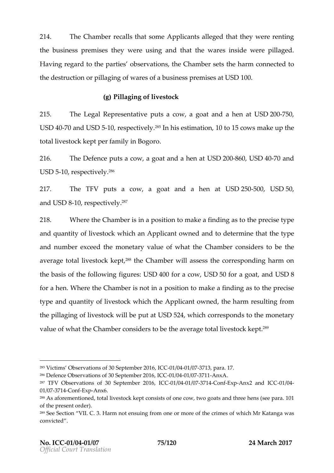214. The Chambealls that Applicantleged that they were rent thebusiness prethneiswe estreusingand that the investire descenter pillaged Having regard to thout spearwhat enterties Chamber the darm connected to thede struction online original controls and usiness prembliss  $\boxtimes$  90.0

 $(a)$  Pillagin diversiock

215. TheLegal Represemut testivae cow, a goat and GD20076500, at USD4070andUSD5-10 respect?Pisimelyhis estimia0tionolofic.ownsnake up the total livestople flaempit inBogoro.

 $216$ . The Defepnuotes a cow, a goat aluh $80-860$ u $804-970$ and  $USD5-1Q$  resctive $96V$ .

 $217.$  The TFp Auts a cow, a goat and USa  $2.5-6.0$  USD50 and SD8-10, respectively<sup>287</sup>

 $218.$  Whertehe Chamissein a posiminal kneta findinton ease to the yepe andquantid:  $\frac{1}{2}$  is to which and policant of neader dodetermine hat the theorem in the that the standard and  $\frac{1}{2}$  and  $\frac{1}{2}$  and  $\frac{1}{2}$  and  $\frac{1}{2}$  and  $\frac{1}{2}$  and  $\frac{1}{2}$  and  $\frac{1}{2}$  and  $\frac{1}{2}$ andnumbeer  $x$  ceed nthose etary voafhwheat the Chamber constinuaters to averagoetal livesto. $\hat{\epsilon}^\text{e}\text{R}$ thkoepOthamwbioloassetshsecorresponkolainrgn on the basitsheoffollowing lugred by  $S$  D400for a coloral politic random substance  $\overline{S}$ for a hMenhertehe Chamber is not in maapkoe-satifoning than the cise typeandquantict Mivestowchkich tAhoeplicanwtne, othe harmensuintofrom thepillaging ivestow cikel be eut aut  $S$ D52,4whichcorrespontend the eonetary valuoefwhat the Chamber contshioed earwettoon gloase livesto. $\mathfrak{G}\mathbb{R}$  kept .

<sup>286</sup>Defence Observations of 30 September 2021 60372 04 6 x A C C

 $285V$ ictims Observations of 30,  $\sqrt{360}$ te  $\sqrt{6041}$   $e$   $\sqrt{6372}$   $\sqrt{036}$  para. 17.

 $287$ TFV Observations of 3.0 Selp $\Omega$ te $\Omega$ m/be $\Omega$ 41/283771643on-Exp-Anx2 and -01 $\mathbb{C}/\mathbb{G}$ 4  $01/03771-6$  on  $E \times pA$ n  $\times 6$ .

 $288A$ s aforementtiontrad dl, ivestock nkseipts of one cow, two goats and 1tCh free hens of the present order).

<sup>&</sup>lt;sup>289</sup>See Section VHInal moCout 3 ensuing of m**e**mor mothescorfm so stwhichMr Katanwga as convicted .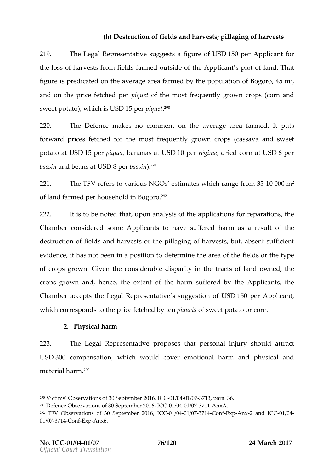(h) Destruction in ebolosan oh a rvespotillaging harves st

219. TheLegal Represesnutoade exset stigure USD150 eno Application the loos fails of  $\mathfrak s$  for minimization  $\mathfrak s$  is ideatheApplicant s and fand hat figure is predicated on artohotae ranewdobryaoglopopulation.html?, what is predicated on artohotae ranewdobrya and on phiecfee tch peer piquet three ost frequently croporpo(sovonrn and sweet po) twa hoich UISDI5pepiqu<sup>2</sup>e<sup>q</sup>

220. The Defemakes commenthenaverage faarmeend the puts forwarpdrice function  $\acute{\textbf{e}}$  denthemostrequently gorrowprofus assava and sweet potata dUSD15perpique bansa all SD10perrégimderie d catUnSD6per bassainnd be**atUsSD8 p**erbass), $3^{2191}$ .

 $221.$  The TFeV fers v at orious ONs G stimat whis change from  $20000$   $\theta$ <sup>2</sup> of la **ńa**drmed per household<sup>92</sup>in Bogoro

222. It is to be the eugodor analysis of the polications pformations  $\mathbf s$ Chambeonsides of applicant shawe ffered has a resulth eof destructoit of neldas notharves out thoullaging haor function is absent sufficient evidence as not been in a poterion to determine area of fet the the perfection the field of the field social socialist of the set of the set of the set of the set of the set of the set of the set of the set of the set of t ofcrops groGwinven tohoen siderelbslagarity hientracts of dwande, other crops grown and, hence of the e harm suffere a police the  $e$ Chamb**ac** cept ths elegal Represent saul pyopes tilub SnD150f (per Applicant whichorrespost no dthpericfee tched tehnyique of ssweet potato or corn

2.Physical harm

223. The Legal Represent that posset bersonal instructual attract USD300compensatwion inch would convoetrional haandphysicaan d maetrialharm?<sup>3</sup>

 $290$ Victims Observations of 30,  $\sqrt{36}$   $\sqrt{400}$   $\neq$   $\sqrt{6372}$   $\sqrt{036}$  para. 36.  $291D$  efence Observations of 30 Sep1d 6041  $e$  6372 0A 6 x A C C  $292$ TFV Observations of 30 S,elpCt@0m1b@041/200771693on=Exp-Anx-2 and HCC1O/04  $01/0377$  1-43 on  $E \times pA$  n  $\times$  6.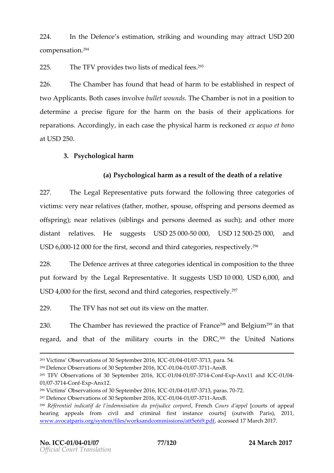224. In hte Defensce stimastion k, ing and woundaintgrabook D200 c o m p e n s a l i o n

 $225$ . The T $\bar{p}$  Movidtews distosfmedical  $3\bar{p}$  ees

 $226$ . The Chambers has the ad hoairmto be estabilished spect of twoApplicanB to the cases inbuviolet the word in object in a propsition to the cases in which word in a propsition determina perecising ure the harm on the basis op policathionims for reparati**Acs** ordinghy each ca**s b**y tshieal hisarmenokoneex dae quo et bono at  $USD250$ .

3.Psychological harm

(a)  $P$  sychological as the assessmult of deharch or felloative

 $227.$  The Legal Represeponut astive envitational following the quote easient categories of victim  $v$ ery near rellfaattin, eennes thes roused fsprian nodersonalsemed as offspringe ar relatsivhelsings paends ons deemesd); chand ther more distantelatives  $e$  suggests  $D2500-50000$ , USD1250 $Q25000$ , and USD6,0002000or the first, second and third cafe<sup>6</sup>gories, respect 228. The Defeancieve sthar becaetgories sentical in composition to the

put forward blyegible Represe**ntsautgigees JtSP10000USD6,000and** USD4000or the first, second and third cafe<sup>7</sup>gories, respectively

 $229.$  The TFI wis notest out its view on the matter

230. The Chambas erreviewed the pFrraaon to Brelgin<sup>399</sup>in that regarda,nd that ofm**ihie**arcyourts in DtRIC<sup>@00</sup>theUnite&Nations

 $293V$ ictims Observations of 30,  $\sqrt{360}$ 16  $\sqrt{6072036}$  para. 54.  $294D$  efence Observations of 30 Se $\beta$ 1e 6041 e 6372 0A 6 x BCC  $295$ TFVObservations of 30 September 2042/069767, 1-Gon ExpAnx11 and -01107 G24  $01/0377$  1-43 on  $E \times pA$  n  $\times$  12.  $296V$  ictims Observations of 30,  $\sqrt{360}$  of  $\sqrt{3072036}$  para $\sqrt{32}$ , 70  $297D$  efence Observations of 30 Se $\beta$ 16 6041  $e$  6372 0A 6  $\times$  BCC  $^{298}$ Référentiel indicatif de lindemnisati $\overline{\theta}$ med $\Omega$ bopréjudd $\alpha$ popued bsrpoofreal poel al hearing appeals from civil and criminal first instance courts] (out www.avocatparis.org/system/files/worksandc,omanciessiods1'7attM5en6cif9.2pdf 7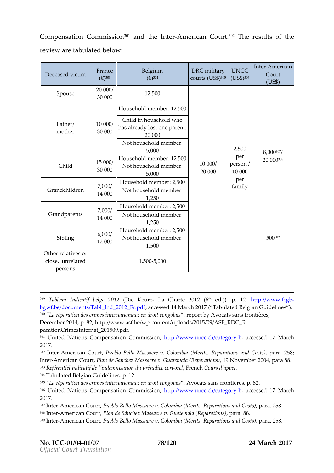Compensation Com<sup>m</sup>ainsosiohheteArmerican Co<sup>o</sup>uthte sroelt**s**f the revieaw  $e$ abulated below

| $D$ e c e a s ext i $m$ | Frand<br>$(-3)^{03}$ | Belgium<br>$(-3)^{04}$                                            | DRC imita<br>$CO$ ur ( $13$ S $$$ <sup>0</sup> ) | UNCO<br>(U S \$ <sup>o</sup> ) | InteAmeric<br>Court<br>(US \$) |
|-------------------------|----------------------|-------------------------------------------------------------------|--------------------------------------------------|--------------------------------|--------------------------------|
| Spouse                  | 20000<br>30000       | 12500                                                             |                                                  | 2500                           | 8,0 0 307                      |
| $F$ a t h/e r<br>mother | 10000<br>30000       | Household me1n25b0e                                               |                                                  |                                |                                |
|                         |                      | Childin house hydnlod<br>has already lost<br>20000                |                                                  |                                |                                |
|                         |                      | Not household m<br>5,000                                          |                                                  |                                |                                |
| Child                   | 15000<br>30000       | Household me1n25b0e<br>10000/<br>Not household m<br>20000<br>5000 |                                                  | per<br>$p$ ers $\phi$<br>10000 | 200 0 30 8                     |
| Grandchildr             | 7,000<br>1 40 0 0    | Household me2n5 b<br>Not household m<br>1,250                     |                                                  | pe r<br>famil                  |                                |
| Grandparer              | 7,000<br>14000       | Household me2n5 b<br>Not household m<br>1,250                     |                                                  |                                |                                |
| Sibling                 | 6,000<br>12000       | Household me2n5 b<br>Not household m<br>1500                      |                                                  |                                | 5 0 3 9 9                      |
| Otherelatione           |                      |                                                                   |                                                  |                                |                                |
| closenrelate<br>persons |                      | 1505000                                                           |                                                  |                                |                                |

<sup>299</sup>Tableau Indicatif (DDeilege K&OL162 Charte 2<sup>t</sup>O1e2d.)()6, p. <u>htttp://www</u>.fcgb [bgwf.be/documents/Tabl\\_In](http://www.fcgb-bgwf.be/documents/Tabl_Ind_2012_Fr.pdf)da@@dsedd:pd | fM a rTcahb 20 latt ed Belgian Guidelines <sup>300</sup> La réparation des crimes internati,o**neapux rial nogochadist scannag ofhao**instières, December  $\angle$  282#;tp://www.asf-cbentwpt/uploads/2015/09/ASF\_RDC\_R [parationCrimesInterna](http://www.asf.be/wp-content/uploads/2015/09/ASF_RDC_R--parationCrimesInternat_201509.pdf)t\_201509.pdf .

301 United tNoans Compensation Colontoni*s's*wiown.uncc.ch-pcaategoessed 17 March 2017 .

 $302$ InteAtmerican Cheutenblo Bello Massacr(Merew.it $\Omega$ olRoemphainaation,s paanr $\Omega$ nts6 $\Omega$ psts) InteAtmerican CPoluant, de Sánchez Massacre v. Guat Newmentrable Re20020r4a, tiposan sa) 88. 303Référentiel indicatif de l indemnisathoen Colompsé du alpique l corporel 304Tabulated Belgian Guidelines, p. 12.

 $^{305}$  La réparation des crimeesni**onternationg&ovloexoia**ts sans frontières, p. 82. 306United Nations CompensationhtCpo:n/www.wsw.joum.cc.ch-bcaategoossed 17 March 2017.

 $307$ nte $A$ merican CPounerb, Io Bello Massac(MeeritsC, o Roemphairantions panad. C2o5  $$st.s$ )  $308$  nteAmerican CPoluant, de Sánchez Massacre v. G,upater ana BaB (Reparations)  $309$ InteAtmerican CPounerb, Io Bello MCasscano (Meenvits, Reparations paned. C2o5  $$st.s$ )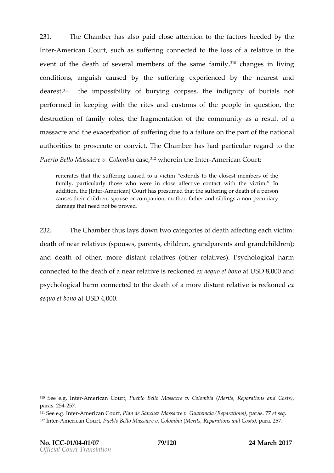$231.$  TheChamber as alposaoid close attentheirean outs to heeded by the InteAtmerican Cssuuth sustef ringonnected to the lroeslative the event of the death of several member, $\hat{\mathbf{s}}^{10}$  odhfathsgeeins almineinfgamily conditionas guischauesd by tshuefferinexpperieend comphenearest and dearest theimpossi pilot burgcorpes theindignity of burials not performed in keeping with the rites and consquestion the people in the set destructoi of framyil rolet she fragmentation theoreommuniaty a resualt of  $m$  assaened heexa  $e$  r bation fisu feringdue to ailuo  $e$  the part no aftit daile authorittice psrose e ot convidTthe Chamber had particular reguled to Puerto Bablsba Mre v. Cabide fin Whieare in Interamerican Court

reiterates that the suffering caused to a victim extends to the clo family, particularly those who were in close affective contact wit addition, [Inhe Americ] aC muntas presumed the alting sur death of a person causes their children, spouse or companion, mothpeercufraitahreyr and sibli damage that need not be proved

232. The Chamibus hays dotwn  $\infty$  adonories of deathaffecting each victim  $\cdot$ death noefar rela( $\sin \theta$  essepsare  $\sin \theta$  is jdregarandparents and dothild rents and  $\sin \theta$ anddeath oothermore distant relationed atives y chological harm connected to the rolee-aanthreolfaistaiove-koneexolaequo as tUSS o D30,000 and psychological charm cenctetohet ode ath moo frea distant rienleat kvoenee xol  $a$ equo etat $b$ l $a$ D $a$ ,000.

 $310$ See e.g. Almmiteiercan Col $R$ nuteblo Bello Massacr( $\epsilon$ Merit $\epsilon$ ,  $\epsilon$ , ol $\epsilon$  en poatations and Costs)  $p$ ara $25457$ .

 $311$ See e.g. -Almm teerrican CRoluarrt, de Sánchez Massacre v. Gupater ansenelta s (eR qeparation  $312$ | nteAtmerican CPounerb, Io Bello Massaoa(MeeritsC, o Roempharations panod. C2 o 587ts)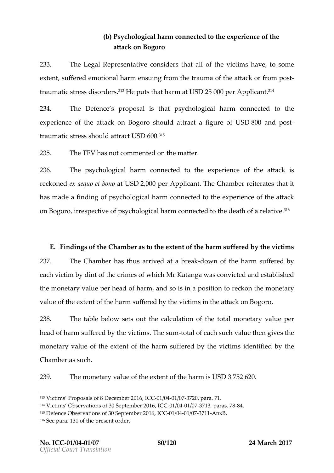## (b)  $P$  sychological contracted to experience the e attack on Bogoro

233. The Legal Represecrotrastide that all ovtic hieminsave to some  $ext{e}$  respects is usefured by the attack of the substract from  $ext{e}$  or  $ext{f}$  and  $ext{f}$  and  $ext{f}$  at the attack of the attack of the  $ext{f}$ traumatic stress<sup>3</sup>t8 HeseorpoLuethsahlarmatUSD25000 pAeprplica<sup>n</sup>t t

234. The Defempare posize that psychological channected to the experienctuale attack on sPhoogudadotra of figure busD800andpost traumatic **shroeusl**sd at\**Ur**SaMoof0.0<sup>15</sup>

 $235.$  The TFI as not commented the matter

236. Thepsychological cohan mected to xphesience thaettaciks reckoneerd aequo et ULSOL2000 per Applica This Chambet rates that it has made a foifposiyngghological chnamrencted to to potente on forthe attack on Bog,oirro espectipvsey **o** fiological domannemcted to the robelath w<sup>e</sup>oe fa

 $E$ . Finding sheef  $G$  ham  $e$  as the extending the harm sufften exercitions of the  $E$ 237. The Chamber has rithen a down of the harm suffered by eachictimy dint o $t$  time est whind in Katanwapas conviccnted attablished themone tary yo-aelru eheoafd haram osoisin a positinoenc ktoon mhonen e tary value ef the extent the harm sufferee evdid stim the attack on Bogoro.

238. The ablebelowsets out cathineautlions fithe to the admetary vpaelue head fharm sufferevdicty mTshessum-total feach such thenelguievetshe  $m$  onetary voaflut $b$ e extenof thhe arm suffered by thide enticifibenydshe Chambærs uch

239. Themonetary voalule extent the halum SDS375282.0

 $313V$ ictims Proposals of 8 D&C $\oplus$ th/ $b$ 04 1/203771260, para. 71.  $314V$ ictims Observations of 30, SG  $\odot$  1d  $\odot$ 0041  $e$   $\odot$ 372  $0$  36 par-88. 78  $315D$  efence Observations of 30  $S$ EO 16 6041  $e$  6372 0A 6  $x$  B.  $316S$ ee par $320f$  the present order.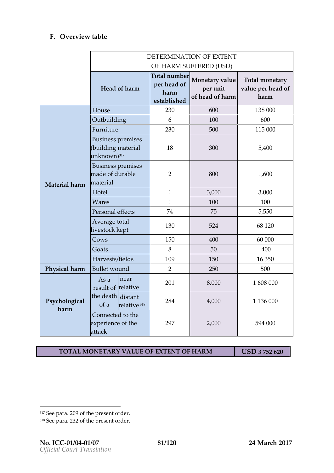### F. Overview ble

|                   | <b>DETERMINATIODREXTENT</b><br>OF HARSMUFFEREDSD) |                                                |                                    |                                    |  |  |
|-------------------|---------------------------------------------------|------------------------------------------------|------------------------------------|------------------------------------|--|--|
|                   |                                                   |                                                |                                    |                                    |  |  |
|                   | Headf harm                                        | Totanlumb<br>per hecaf<br>harm<br>e sa b sih e | Monetary<br>per unit<br>ofheadfhar | Totamoneta<br>valupeeheadf<br>harm |  |  |
| Material h        | House                                             | 230                                            | 600                                | 13800                              |  |  |
|                   | Outbuilding                                       | 6                                              | 100                                | 600                                |  |  |
|                   | Furniture                                         | 230                                            | 500                                | 11500                              |  |  |
|                   | Business prem<br>(building mat<br>unknowW)        | 18                                             | 300                                | 5,400                              |  |  |
|                   | Business pre<br>made of dura<br>material          | $\overline{2}$                                 | 800                                | 1,600                              |  |  |
|                   | $H$ $\alpha$ e I                                  | $\mathbf{1}$                                   | 3,000                              | 3000                               |  |  |
|                   | Wares                                             | $\mathbf{1}$                                   | 100                                | 100                                |  |  |
|                   | Personal effe                                     | 74                                             | 75                                 | 5550                               |  |  |
|                   | Averagetal<br>livestock kep                       | 130                                            | 524                                | 681 D                              |  |  |
|                   | Cows                                              | 150                                            | 400                                | 60000                              |  |  |
|                   | Goats                                             | 8                                              | 50                                 | 4 <b>0</b>                         |  |  |
|                   | Harves fite Ids                                   | 109                                            | 150                                | 16350                              |  |  |
|                   | Physical h Bull wto und                           | $\overline{2}$                                 | 250                                | 500                                |  |  |
| Psycholog<br>harm | As anear<br>resultrelative                        | 2 <sub>0</sub>                                 | 8,000                              | 1608000                            |  |  |
|                   | thedea distant<br>of a relativ&                   | 284                                            | 4,0 0 0                            | 113600                             |  |  |
|                   | Connected to<br>experientcehe<br>attack           | 29                                             | 2,000                              | 594000                             |  |  |

TOTAMONETARY VAQUEEXTENCIF HARM USD375230

 $317S$ ee p $200$  $0$ f the present order.  $318$ See paltana f the present order.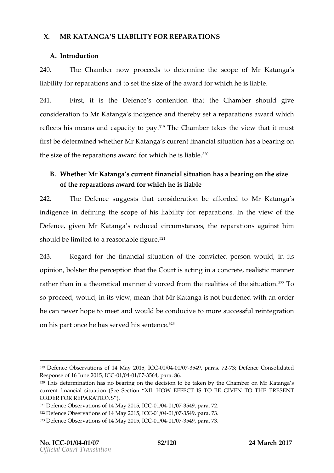#### X. MR KATANGSALIA BIL FON REPARATIONS

A.Introduction

240. The Chamboew proceetobs dermenthe scoopfeMr Katansga liabilf by paratioams dosetth size of the award for which he is liable . 241. Firstit isthe DefesncoententitohnattheChambeshould give consideratiMon Kfatansignedigenand thersedo type aratiscan ward hich reflects mheiasnas nd capacity <sup>3</sup> t<sup>o</sup>d hoeayChamthakes the twhiae it w must first ted eterm dinwe hethelm Katansga urrent financial a situate ion ing on th  $\texttt{s}$  ize of the reparations award fo $\texttt{?}^{\text{?}}$  which he is liable

 $B$ . Whethelar Katanga surrent financial situation in gs borne the

of the reparations award for which he is liable

 $242$ . The Defesnucgegesthsat consideration be MaffoKradteachsgtan indigence efingthescope hoisliabiliftour parations the view of the Defenggeive Mr Katansg are duced circumhsteraapnacreastioangsa in sthim should be ited a reasonable figure.

243. Regard for fithe encition at interprison victed provided in its opinion, alster ptehre cepttion ant the eutrisacting in a concrete, realistic rather than in a theoretical manner divorced from <sup>2</sup> The realiti so proceed, inniotus I diemwean that Kataning an ot burdened with an order he can never hope two meet to enodon dount ove success of tue gration on his **pacte**e has served his<sup>323</sup>sentence

321Defence Observations of 140 M/a041 24037554,9 J CpCara. 72.

<sup>319</sup>Defence Observations of 14-0MM 609412 0371554, 9 JCpCaraSS.; TO 2efence Consolidated Response of 16 Jun@1240415,6375664, para. 86.

 $320$ This determination has no bearing on the decision to be taken by the current financial situation (SEQ WE FIGUT IS ITO BE GIVEN TES ENTHE ORDER FOR REPARATIONS

<sup>322</sup>Defence Observations of 140 M/80341 24037554,9 J CpCara. 73.

 $323D$  efence Observations of 140 M/80441 200375459, IpCaCra. 73.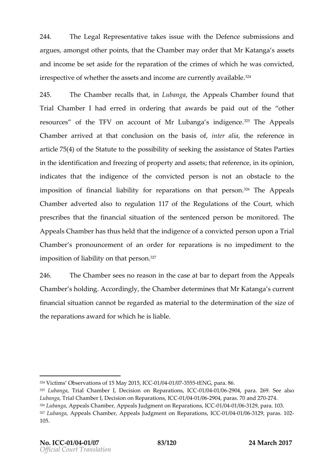244. TheLegal Represetmatkeet is vees suet hyperimeter centrum issions and  $244$ argues mogns to the prointtsh, atthe Chammbo $\mathbf x$  orderthat Mr Kataansgs as tss and income eset aside repartante on optimine of which he was convicted irrespecotfw.beethtehreassets and ianroeomuerrently a $\sqrt[2^n]{4}$ ailable

245. The Chamber calls,  $\mathbf{h}$  and  $\mathbf{h}$  and  $\mathbf{h}$  and  $\mathbf{h}$  and  $\mathbf{h}$  and  $\mathbf{h}$  at  $\mathbf{h}$ Trial Chamber I erred ore dring hat awards be paid couthecaf the resource  $\mathfrak s$  th Te FVon accoun Mr rofLubansgia diges  $\mathfrak a^{25}$  The Appeals Chamber rived at that conclusion om the realibilan section cien artic  $764$  of t $\$\$  teateut to the possibility of the execution  $\$\$  and  $\$\$  and  $\$\$  artic  $76$  articles possibility of the execution of  $\$\$  and  $\$\$  articles possibility of the execution of  $\$\$  and  $\$\$  articles pos in the lentificaathion freezing of proper;ttyhaathiole assussential sopinion, indicasttehat thredigenocfe theonvicte edrisons noath obstacle to the im position fino afin cilialal bility foparraneio on ns that pê $^{2n}$ sTohneAppeals Chamb**ad** vert**a** blsotoregulation 70 f the egulations of outhney hich prescribe stht nei afta ncisailtuation finance ntenopeed sobne monito The de Appeals Chamabetrhus the attheindigence convicted souponaTrial Chambe pronouncement of articler for repairsation simpedimentations in the to impositio Inia ob filotryth at per<sup>37</sup>on

246. The Chamsbees no reason in the deaps aerta **from a** to the act sals Chamberholdi<sup>n</sup>nog cordinghing Chamolbeaterminhes at Mr Katanga s current financs at luation annot relegarded as matedeated to the dination soi  $t$  ethoof the reparations award eifs dia blieh

 $324$ Victims Observations of 150 M/a044124037555;5ELNGG, para. 86.  $325$ Lubang  $\overline{a}$ rial Chamber I, Decision on  $\overline{C}$ Report  $\overline{a}$  and  $\overline{a}$ C 269. See also LubangTarial Chamber I, Decision I Gnood Report of a 2690 and paras. 70 -217d -270  $326$ Lubang $\alpha$ appeals Chamber, Appeals Judgme $\alpha$ 606006 +00281e 60361r $\alpha$ 91, opstra. 103.  $327$ LubangAappeals Chamber, Appeals Judgm,el Gt©001n/e0741e/pe36s12a Bioposaras. 102 105.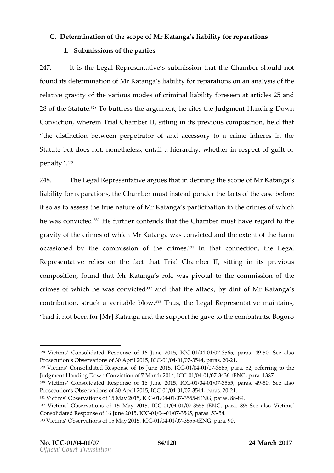C. Determination heoscopiner Katanshian bility for reparations 1. Submission fishpearties

247. It ish etLegal Repres esnisautibone is tshiaothine Chams theoruld not found ditense rmaintion Monf Katangbajaa bility for repoanraatanino analysis the relatigy reavity f the various modes licefbiclifitony riensæle artainclesan2c5 28 of the Setate  $\ell$  ate  $\ell$ <sup>8</sup>T obuttretsh seargumente, cite sult**he** ment Handing Down Convictivolne re Trial Chamber it lining in its previous, he collected to the Conviction the distinbletowneen perpetrator of and accessory to a crime Statute but does not, nonetheless, entail a hierarchy, whetl penalfl<sup>99</sup>

248. TheLegal Represeamt pauteixe thobet finining escopoe fMr Katansga liability refore ration has Champtue st instead to hoen of acts of the fograese its o a sabos et shee true natMur e Katanga rticipathioth cerim on st which he was con. Philte durt bentent that he Chamberst have regard to the gravio  $y$ thecrimes whild in Katanwa as conviacnted the step of the harm occasione of heby commission coof m einer that onnect itchnelegal Representatives on the factal Chambert thing in its previous composition ndhamr Katangal was pivotad the commission of crimeos whible was con<sup>3</sup> $\vartheta$ <sup>3</sup> and that the attack by dint Mr of Katansga contribu,ti**sh**ruckeraitavble b<sup>a s</sup>oTwhu,sthleegal Represennn atainitva,eins had it not been for [Mr] Katanga and the support he gave to

 $328V$ ictims  $C$ iochastoed Response of 1,6 IC-0C  $\hbar$   $\neq$  043755 65, para5s0. 459 ee also. Prosecution s Observations of  $-30/8040r/103722945$ , paCE $3.20$  $329$ Victims Consolidated Response ICC-11/69041  $\mu$  63656250, 15 ara. 52, rehforring to Judgment Handing Down C7oMwaicdho 8001-1241/1004 C/0374 3t6ENG, pat 8a8.7. 330 Victims Consolidated Response, of C-02116/09211u/n9337562590,15para5s0. 4S9ee also Prosecution s Observations of 30/60417/10372445 apshCE0. 331Victims Observations of 150 M/80041 24837555 tSENG, para8s9.88  $332V$ ictims Observations of 15-0M $A$ 490412/937555,15ENSIG, para. 89; VSieteimasiso Consolidated Response gfl C+C1J/004 b/6274565, p55654. 333Victims Observations of 150 M/809412483775555EBNG, para. 90.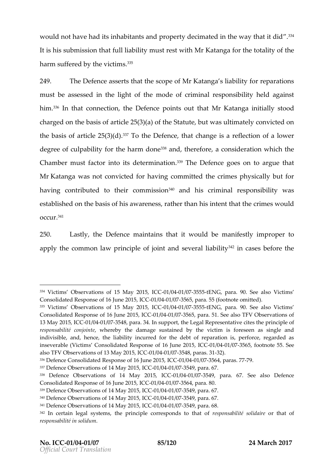would not have had its inhabitants and property dec<sup>3p</sup> mated in It is hajous must onthat full liabilimity stest with the Kataning public to tality the of harm suffertehde bvyicst<sup>a p</sup>im

249. The Defeans  $\csc$  the  $i$  the scM pre-Katanship ability for reparation must bassessied the light moto diebe criminal responnes ido ialigatinst him.<sup>36</sup>In th**at** nnect**ion** . Defencocionts out Mtm.Kaattanginaitilay/stood charged the basis of  $(3)$   $\frac{25}{100}$  of the statut was limately convicted on the basize rtoicle 25 $\frac{36}{310}$  othe Defet these hange aise flection of a lower degree of culpability for <sup>3</sup>8 haen on the harm edform regnsideration harm ich Chamben ust factor inttoermisinal energy DTnhe Defegnocees on to argue that MrKatangwans not convicted for the maniturity crimes physically but for  $\mathbf{A}$ having contributed ctommthisesifoanndhis crimineasiponsibional by established on the basis orfa**hhis** rat*than air the crimes would*  $O C C d 41$ 

250. Lastlyh, et Defennoaen taithnsatit woulnd ab efeysitm propeor apply tohoem mon barwincipolfojoint and severa<sup>42</sup>ih adbaisitys before the

 $334V$ ictims Observations of 15-0M  $\triangleleft 40412$   $037555$   $5E1$  NG G, para. 90. VSieteimasso Consolidated Response of 1 C-CC1J/0044e/02775655, para. 55ec(miciott)ando  $335V$ ictims Observations of 15-0M $\frac{400412}{937555}$ t $5E$ RG, para. 90. See also Vict Consolidated Response of 160 1J/06044 237565, IpCaCa. 51. See also TFV Observ 13 May 2015, 1/004 037548, paras@ point, the Legal Representative cites the responsabilité, owo he o ethe damage sustained by the victim is forese indivisible, and, hence, the liability incurred for the debt of reparatio inseverabVliect(ims Consolidated Respons,el 6-10011/68041  $\mu$ 687656250,15ootnote 55. See also TFV Observations of 130 1Ma041  $/2007588$ ,  $\sqrt{0.06r-32}$ . 31  $336D$  efence Consolidated Response C6011 604 U/L66775 6240 1  $56777789$ .  $337D$  efence Observations of 1 $040$  M/ $a$ 04  $12407654, 9$ , para. 67.  $338$  Defence Observations of 114CCM1a/ $9042/0037549$ , para. 67. SSTefeenacleso Consolidated Response of C1G6 1J'0041e/62375654, para. 80.  $339D$  efence Observati 14 Mal  $CD$  20011/50041 / 037549, para. 67.  $340D$  efence Observations of 1 $C$ 1 400 M/a0041 24037554,9, para. 67.  $341D$  efence Observations of 10 40 M/a041 2437554,9, para. 68. 342In certain legal systems, the principle freesponsambolisteions on the datince for responsabilité in solidum .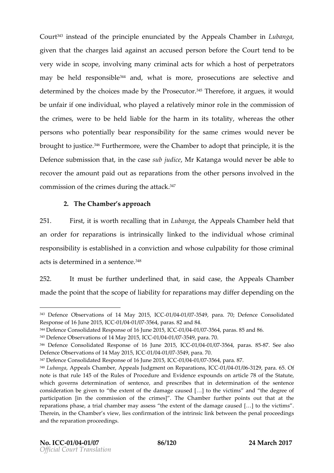Cour $\mathbf{f}^{43}$ instead of prtimine liepe nunciation dtheoppeals Chaim bebanga given that habegless dagainst anaccused person blue for beath the charge of the charge of the court of the cha very wide in, isnovoord weing many criminal aatshofsotropewir hoiecthrators. may be held sribelsept<sup>o</sup> and what is morouse cutions executeivaend determinboydthe choices inhanedePriors, e3e5uTthoserefore, it introgroups of determinion of the choices inhaned be unfair if one individual, who played ean ruchten the mission of ro the crime we pre to be held liable for the haw the renables othe bearlity, personwsho potentially esponsmusity i for the csrames couldnevebre broughtdjusti<sup>ce es</sup> turthermowneer, the Chamboend opt tobrain cipilte itshe  $D$ efenseb misstiboantin the csausbe judical energa and never be able to recovtehreamounptaidoutas paratisofnom the other persons involved com missoibinthcorim oelsu rintojn ea tta ĉe K

2. The Chambeapproach

 $251.$  First, is worth retchealithing banghaeAppeals Chahne bloe rthat anorder for parrations is intrinsicle in the finite dividum hose criminal respobisity is established in a conviction and whose culpabil acts is determined  $i\mathcal{H}^8$ a sentence.

252. It must beertheumderleintehatin said dans deppeals Chamber made the point tet is a b pleabilit by reparation masy differ depending on the

346 Defence Consolidated Response ICtE0116/60041u/1663756240,15p,ara8s7. 8S5ee also Defence Observation 8 0 d, 15 C 40 1 M a0 41 / 0375 4 9, para. 70.

 $343$  Defence Observations of 14-CM at  $60412$   $0.037554$   $9$  J C  $p$ Cara Def $p$  and  $c$  e Consolidated Response of 16 JO60e12404 5 6375 64, paras. 82 and 84.

 $344D$  efence Consolidated Responsic 20011/59041 / 037564, paras. 85 and 86.

 $345D$  efence Observations of 140 M/80441 24037554, 9 J Op Cara. 70.

 $347D$  efence Consolidated Response C  $6011/6040/40576/62401$ 

<sup>348</sup>LubangAappeals Chamber, Appeals Judgment-Odnie0021e/p0261r219 pocent6a5OfCC

note is that rule 145 of the ed Ruele and fER ridence expounds on article 78 of which governs determination of sentence, and prescribes that in dete consideration be given to the extent of the damage caused  $[8]$  to the  $\sqrt{ }$ partipation [in the commission of the crimes] . The Chamber further reparations ptraste, chaambeas measys the extent of the damage caused  $[8]$  to Therein, in the Chamber s view, lies confirmation of the intrinsic link be and the reparation proceedings.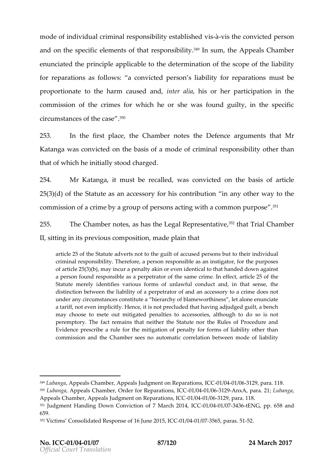mode of individual criminal responsiistà-i viistighe essotiablicasten che convicted personnella per and othespecific elements of that<sup>49</sup>nl**easponoinse4bplpie**yals Chamber enunciatt the ondepsic plus to the determination of the  $\alpha$  op ceft he liability for parations follows convicted person s liability must beeparations for reparations of  $\alpha$ proportionate to the harmind aused is and ther participation in commission of the crimes for which he or she was found of circumstances of<sup>35</sup>the case

253. In the first, tohleac  $\Theta$  ham to be the Defe angue menting and r Katangwaas convioonteton e basis of a modereosfpocnismibiontheyr than thad f which he initially stood charged

254. Mr Katangianust brecaeld,wasconvictoend the basaisticife  $253( d)$  of theS tateuats a anaccess foorry hois ntribution any other way to the commission of a crime by a group of persons acting with a co

255. The ChammbodsgashastheLegal Repres.@inithatTvreal Chamber  $I,$  sitting in its previous, monotoposition and  $\eta$ 

artic $25$  of the Statute advegruis lotefor a ctocusible depensions ibnoditivioral unital character individual  $\alpha$ criminal responsiibte interefore, a person responsible as an instigator, for of arti $2c\frac{4}{3}(5)(b)$ , may incur a penalty akinthoartehvaennd edde **doiwe** alatgo ainst a person found responsible as a perpetrator of the 5sam the rime. In e Statute merely identifies various forms and, undawfal sensectthe distinction between the pleinapbeit it tay to anal accessory to a crime does no under any circumstanceshicoormas trihing to fablamew, berthaincenses enunciate a tariff, not even implicitly. Hence, it is not precluded that having ad may choose to mete out mitiite gated apens sories, although to do so is peremptory. The fact remains that neither the Statute nor the Rule Evidence prescribe a rule for the mitigation of penalty for forms of commission and the Chamabeoms and the solution between mode of liab

 $349$ Lubang Appeals Chamber, Appeals Judgme $\Omega$ 004  $\theta$ 06311/24  $\theta$ 06111/24  $\theta$ 1/04  $\theta$ 1/04  $\theta$ 350LubangAappeals Chamber, Order for -Rtepenand enerations, Internations, International and angles 350Lubanga Appeals Chamber, Appeals Judgment-@11/0844 p @361a21 9p as a 100 C8.  $351$ Judgment Handing Down Convicchti $a$ 0164162071/1900441r/69374.3H6ENGpp. 658 and 659.

<sup>352</sup>Victims Consolidated Response of 11 604 1 LG675 6250 1p5 ar 502°C 51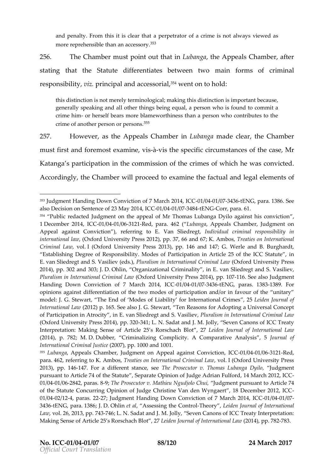and penalty. From this it pi**esrpe bet a aotfolmaatcraime astwhang whose conditional** more reprehensible tha $\mathfrak{n}^3$ 5 $\mathfrak{\hat{a}}$ n accessory

256. The Chammbuest point thoauth Luban the Appeals Chamber, aft

statinton atthe Stateu to ifferentiates betwreen informous of iminal

responsibvilizpy incipal anacnodess p<sup>5</sup>r4wealnt on **to**t ho

this distinction is not merely terminological; making this distinction i generally speaking the rath all ogs being equal, a person who is found to crime hom herself bears more blameworthiness than a person who con crime of another pers $\vartheta$  $h^5$  or persons.

257. Howev, earstheAppeals Chaimm bue banngade clebaer Chamber

musftirst and foreexmagnosity  $\dot{\mathbf{e}}$   $\dot{\mathbf{e}}$ -vis the peciorique mustancetshes for a Ms e,

Katang paatsicipation the commission of the crimes  $f$  which he was convicted

Accordinghley, Ctham which proceed atmo inheefactua and legeled menotfs

2013), pp-147746 Faordifferent stanTible, Psreoesecutor v. Thomas Jlund by amegnet Dyilo pursuant to Article 74 of the Statute , Separate Opin4o Maorfc blu 200 pe 2 A di Ci an 01/0041/026842, pa8-19a;Tshe Prosecutor v. MathieuJuNdggundigionultios Cuahnuti,to Article 74 of the Statute Concurring Opinion of Judge Christine Van den-Wyngaert 01/0042/142, paras2720dgment Handing Down Conviction of-07 / NO44 r/@ h7 2014, I 3436ENG, patBa3.6D. Ohliet al Assessing the TheocontyLogliden Journal of Internation Law vo26, 20137, 4  $F(A.6; L. N.$  Sadat and J. M. Jolly, Seven Canons of ICC T Making Sense of Article 2.5 s RLoerischcehmacJho uBrlmoatl, o 217 nt(e2ron1a4i)o,7n(Bap27.8L3a.w

<sup>353</sup> Judgment Handing Down Conviction of 0 7 / 804 1 63774 210 E1 N4 G, I C 68 B a 6. See als $D$ ecision om See notf $M$ 2a3 $y$  2014, 010  $C$ 60241 / 0374 844 ENGCorr, para.

<sup>354</sup> Public redacted Judgment on the appeal of Mr Thomas Luba,nga Dyilo 1 December 2006041, 19041 / 9361 2 Red, para ( L4u6b2ang Aappeals Chamber, Judgment Appead gainst Convictrion the pring Voan E. Slied ring dividual criminal responsibility internationa (IO lxafword University Press 2012), pp. 37 recadios on 67, nt the rn A amb boomsa Criminal, Loaon . (Oxford University Press6 2a0ntd3), 1, 4 pp. G14 Werle and B. Burgh Establishing Degree of Responsibility. Modes of Participation in Article E.van Sliedregt and S. VaBultiælvs (meds.), pternation  $\phi$  Oxform olin Lanlivea wsity Press 2014), 30002 and 300.80; h Uin, Organizational CinEminahit Siliedregt and S. Vasil Pluralism in International D Cfroimdin Lankit Leam sity Presisto 2021 061.4 Sepa buad sponnent Handing Down Conviction of 7 MGat 2004 12 03674463 tENGG, parta3s3-8389. For opiniongainst differentiation of the two modes of participation and/or in model: J. G. Stewart, The End of Modes of Liabilit & befoen International Internation al O21 a poi. 65S ee also J. G. Stewart, Ten Reasons for Adopting a of Participation in Atrocity, in E. van SPileud ad instmand IS tel as it licenval Crimina (Oxford University Press-324011;4 L, pb. S32d0at Jahldy, J. SMeven Canons of ICC Tre Interpretation: Making Sense of Article 25 esd Rorsobach Bolfot ntermationa (2014), p. 7D8.D; ub Mber, Criminalizing Good phip iat yative Analyosuirs nal 5 of International Csim(ianOa07Ju pp. 1000 and 1001.  $355L$ ubang $A$ ppeals Chamber, Judgment on Appeal Ca $Q$ ajai $60$ sit/ $G$ 66 $\delta$   $R$  Fecotion, para. 462, referring tToreKatiAems boons, Internation, a to Cult (i On x hoand Let wiversity Press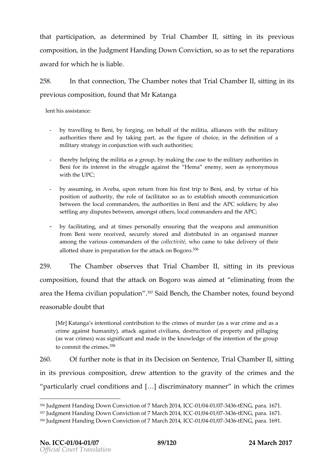that participation determ bny eldrial Chamb ssittling in its previous composition the Judgment Handing Down, solo as is tentuarreparations award for which he is liable

 $258$ . In thesthnection Chamber intertal Chamber its  $\frac{258}{100}$  its

#### previous compofsoitumo h Mhra Katanga

lent his assistance:

- by travelling to Beni, by forging, on behalf of the militia, alliance authorities there and by taking part, as the figure of choice, in military strategy in conjunction with such authorities;
- thereby helping the militia as a group, by making the case to the m Beni for its interest in the struggle against the Hema enemy, seen with the UPC;
- by assumiim g Aveba, upon return from his first trip to Beni, and, by position of authority, the role of facilitator so as to establish smo between the local commanders, the authorities in Beni and the APC settling dangutes between, amongst others, local commanders and the
- by facilitating, and at times personally ensuring that the weapons from Beni were received, securely stored and distributed in an o among the various coomint bo end berstiwith to came to take delivery of their allotted share in preparation for  $\frac{\theta}{\theta}$  attack on Bogoro.

259. The Cham the serves Tthisath Chambert thing in its previous compositionnd that attack on wBaosgoariom edelaintinating three m area the Hema civilian.<sup>35</sup>pSCoapiudIaBt**eon oc 16.**halmnebneortefso, un boleyond reasonable that bt

[Mr]Katanga s intentional contribution to the crimes of murder (as a v crime against humanity), attack against of vplianerty exam dupillaging (as war crimes) was significant and made in the knowledge of the int to commit the  $358$  imes

 $260.$  Of ufrthen  $\sigma$  tes thiant if  $\Delta$  e cision on  $S$ ,  $\overline{\sigma}$  mit  $\overline{\sigma}$  ham, bseittil right

in its previous co, **rd posse it tention thegravit of the crimes** and the

 $particularly$  cruel con $[$  & $i$   $]$ t di  $\delta$ s and a tory mina num heirch ctrhienes

<sup>356</sup>Judgment Handing Down Conviction o0 7/004 at 6374 2005 1N4G, IC 66 67.1.  $357$ Judgment Handing Down Conviction of 07/6024af 63774  $2$ ttEfN4G, ICC 6627.1. 358Judgment Handing Down Conviction Co30 7/8044 + 63374 32 t6E1N4G, pat 6a9.1.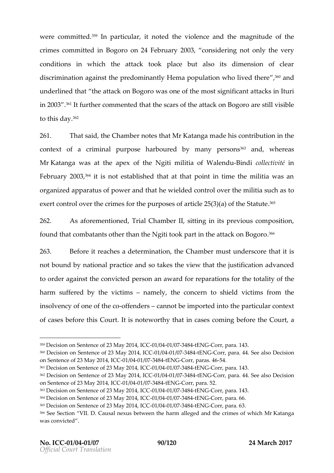werecommitte  $\mathfrak{G}^{\circ}$ In particulario, teitheviolenaced the meagnitude the crimes commit $\bf B$  edoino on 24 February 03 considering the very conditions in which the attack took place but also its discrimination against the predominantly Hema por pauloation who under eid that the attack on Bogoro was one of the most must significant and the most significal in 200°31't furtboemmentbelt the oettanes attack on aBoegsowhidslible to this 3012ay

 $261.$  That s, at het Chamber besthall  $Mr$  Katamga de briosn tribut in o the contexoff acrimal npurposhearbour by many per<sup>3</sup>sfo and, whereas MrKatangwa sat the apex goifimilihieti & Woralen-EBuindoiollectinité Februa $20\sqrt{93^4}$ it is not established that at that point in time the orgazeid apparatus of powbewaelded atontrol over the moilitia su exert control over the crimes for the purposes  $0.3655$  article 25(3)

262. AsaforementidToread Chamber Iting in its previous, compos founthat ombatants other than the Ngiti took partern the attack

263. Beforte eachsa etermination Chammouest underscore that it not bound abty onal pracedicstean kes the view juhsat titul and downanced toorder agathmecosothric peeds cam award repearatise for the totality of the harm suffered which its in a mely, the composition that is mino mthe insolvency of thoso eo forfende  $c$ sannot be importheed pianto iccoolnat rext of cases before  $\alpha$  uth hits insotwe or thy times takes soming before that  $\alpha$ 

 $359D$  ecision on SenteMmage 200f1  $23$  10  $0.024$  /0374 8t4 ENGCorr, pat 428..

<sup>360</sup>Decision on SenteMacye 2o0f124,3011C64041/0374.8+41ENGCorr, pa4t4a. See Daelsoicsion on Sentence Many 28 1 4 -0 10 C400 1 / 0374 8 t4 ENGCorr, paras.

<sup>361</sup>Decision on SentMage 200f1 24 30 11 020041 / 0374 8 t4 ENGCorr, pat 4 a3..

<sup>362</sup>Decision on SenteMacye 2o01124.3011/030741844ENGCorr, pa414a. See Daelsoics ion on Sentence of apy  $2814,010401/037484 \text{E N}$  Corp, ara. 52.

 $363D$  ecision on SenteMay e2o0f1  $23$  10  $0.0041$  /  $0.0374$  8 kHENGCorr, pat 4:a3..

<sup>364</sup>Decision on SenteMay e200f1 24:30 11  $\mathcal{C}$  40241 / 0374 8 t4 ENGCorr, p 66.6a.

 $365D$  ecision on SenteMagye 2o0f1  $2.30$  11  $C$  40041 /  $637$  8 4 ENGC orr, p 68.8.

<sup>366</sup>See Section CValuisaDi.nexus betweeanlekg**oe** da nheat manesaf whikMhrKatanga was convicted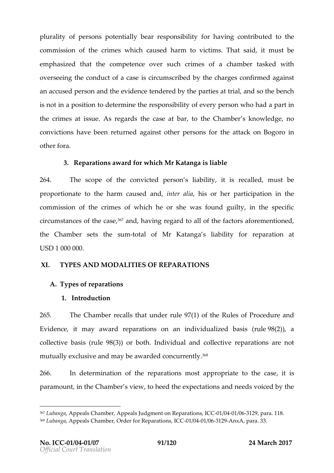pluralid  $fp$  ersops tentially rbsponsibilio inhaving on trithed to the commission ocfrimesyshichcausehdarmtovictim. That said mu**b**te  $e$  mphass  $d$  that the ementence versuchcrimes of a chambet as ked with overseeing the conduics tip  $\epsilon$  uam sastiday eth charges on firm and a institution of the conduits of  $\epsilon$ anaccus person of the evidence ten opeaned by the parties at  $\mathbf b$  obench is not in a ptoodietite nm therespont bidivito fevery resonant o hand part in thecrimes at issu $A$  os regas of the case bat nothe Cham sbeknowledge, convictions have been  $q$  are turned and  $q$  and  $r$  on  $r$  attack on  $i$  Bogoro  $o$ thefora

3. Reparations award Morr Kwaht aching aliable

264. Thescope tohte convicted pleasbolnits is recanluled, be proportaton to the harmardursteed alhas or her participation in commission of the fwhim heshe or she was found guilty, in the circum stances o,‡<sup>67</sup>ahmedhcaavsi**e** g retgoaarlo**b** fthefa oo trsafo meentni**o**e d the Chambes rets the entiotal Mir Katansgliaability risparation at  $\frac{1}{2}$ USD1000000

XI. TYPEASND MODALISTOFFREPARATIOSN

A.Typesofreparations

1.Introduction

265. The Chamber alls under rule  $9/70$  (f the Rules of Procedure and Evidence magwardeparations an individualizen ble $\mathcal{L}$ g), sa collectivasis (rube) of 81 poth dividual and collective reparations mutually exclusive and may be aw. of ded concurrently

266. In determinatibe paratioms st approptoiathee cids  $\dot{e}$  s paramounthenChamsbeview, to heed the expectations and needs

<sup>367</sup>LubangAappeals Chamber, Appeals Judgment0olnh007R1e panama, ICL 8.  $368$ Lubang Appeals Chamber, Order flo $\alpha$ GR 18/09 24 11 at  $6060$   $\alpha$  Anx Apara. 33.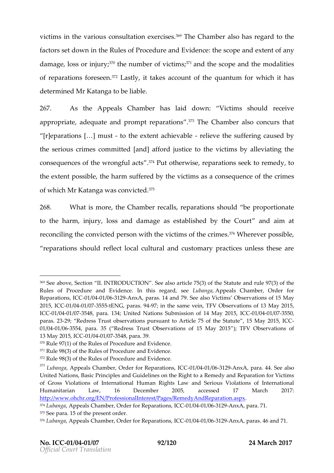victimins the varcionus sultateixcen resisted The Chamable of has regard to the fact sset downnic hReules of Procedure and de Esycologie cand any ent of damage, loss  $\partial T$ <sup>o</sup>theno umber of vics thandhescope at methodalities of repara**fioornesse**. Whas thing takes accounqtu**antumer** whild hhas determinMerd Katanhog ablealbe.

267. As the Appeals Chamberlaid do Winctims should receive appropri $a$  dee, quate and prompt responsions also concurs that  $[$ r]eparat $[\hat{a}$ h smusto the extent achieve the suffering cause the serious crimes committed [and] afford justice to the vio consequences of the w?r?ofPhugtfuolthaoentwiopsæeratiosnesek rteomedtyo. the extoconst sibtle charm suffered viboy timbles a consequence conset of  $\mathbf s$ of whiMcnh Katanwgaas convi<sup>p</sup>c<sup>5</sup>ted

 $268$ . What is mtoree Chamber eal to paration the proportionate to the harm, injury, loss and damage as esaablaismhaed by the reconcnigitheconvicte d pweintshtchnevitims of thcerim ê<sup>7</sup>s°Whee ver pos,sible reparations should reflect local cultural and customary pra

<sup>369</sup>Seabove, Section II. INTRODUCTrit OcNe. 795e (8) absiot hae Statute and rule 97 Rules of Procedure and Evidence. Ibublahs apprees gaalsd, Chsaenber, Order for Reparatib Ch 60, 1 / 0041 / 0361 2 Anx A paras. 14 and 7 Vic Biee abssoervations of 15 May 2015, ICC C6041/63755tENG paras. 9794 the same TFoVinO bservations of 13 May 20 ICC01/0041/037548, paraUn1i8e4d, Nations Submission of C192411M9844y/08373515359, paras. 293 Redress Trwasticonbsseprursuant to Article 75 of the Statute, 15 01/0041/036554, paraRe3d5re(ss Trust Observations  $df$ TFFV MDabyse201at5ions of 13May 2015, 010 02041 / 0375 48 para. 39.

<sup>370</sup>Rule 97(1) of the Rules of Procedure and Evidence.

<sup>371</sup>Rule 98(3) of the Rules of Procedure and Evidence.

<sup>372</sup>Rule 98(3) of the Rules of Procedure and Evidence.

 $^{373}$ LubangAappeals Chamber, Order for -Btepe@411a/e0861n2-s9,nxll&Cpara. 44. See also United Nations, Basic Principles and Guidelines on the Right to a Remed of Gross Violations of International Human Ri**ghats**io**las** wotan InditeSpenraiotiuosna W Humanitarian Law, 16 December 2005, accessed 17 http://www.ohchr.org/EN/ProfessionalInterest/Pages/RemedyAndReparation.  $374$ LubangAppeals Chamber, Order flo $\alpha$ GDR1e/po23441 al@3631 o2.AnxA para. 71.  $375S$  ee parts ithe present order

 $376$ Luban $\alpha$  apeals Chamber, Order foli**C BO**e1p'a04 at Booth 3AP nx A paras. 46 and 71.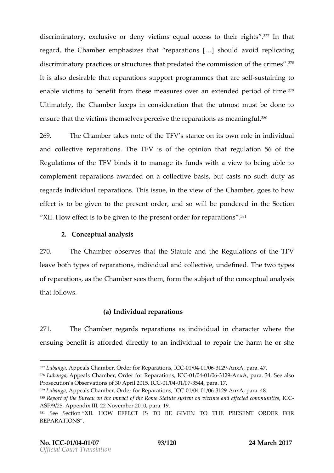discriminatory, exclusive or deny victims equ<sup>3</sup> a<sup>71</sup>Inatoloants to regarthe Chame behasithat reparations  $[8]$  should avoid replications  $[8]$ discriminatory practices or str**edtuthes ctomant ipsise ideat** of <sup>37</sup>t<sup>8</sup>he crime It is also detshiaable parastuions rt programmes t-batitarining that  $\sim$ enablectims to benefit from these measures over and extend Ultimately Chamkbeerps in consideration utmost must be done ensure the tvic ttilmesm selves percepwaer at thae smose a ning  $\ell$ ul .

 $269.$  The Chamther ensote f the TVs stance it to son where  $\epsilon$  in individual and collector as a rison fibe  $\overline{f}$  and  $\overline{f}$  of the opthrain pregulation the Regulations of bhined of Film bonage its funds with a view to being complement aration ward con a collee dot awais uctasts no such duty as regardnsdiviallu reparat $\overline{\mathfrak{n}}$  both  $\overline{\mathfrak{a}}$  is sume the vietwe. Ciftham boeger show on effect is to be the exercion to the net andsowill beponder din the Section XII.How effect is to be **give sent of bobe m**eparaf<sup>8</sup>ons

2. Conceptunaally as

 $270$ . The Chamobes rervehsatheStateunind thRee gulations of the TFV leave both types of reparations, individual amed to the exive, u ofreparatioans the Chams bereas them monthe subject of the conceptual and  $\epsilon$ that follows .

(a) Individual reparations

 $271.$  The Cham the equard spare atio ansignation individual achara or the character  $\epsilon$  he ensuing pnefita fifsorded drectly antion divinal utorepathe harm he or she

378Luban, Agapeals Chamber, Order for CROep/a004a # 086n & Anx A pra. 34. See also Prosecution s Observations of  $-30/80$  $\mu$  r/i $0372.045$ , pa $C$  $\&$ . 17.

 $379$ Luban & peals Chamber, Order foli**c Bo**eny  $204$   $\frac{1}{20}$   $\frac{1}{20}$   $\frac{1}{20}$   $\frac{1}{20}$   $\frac{1}{20}$ 

 $377$ Luban $\AA$ ppeals Chamber, Order foli**C B**Oe1p'a04 at Da6 n  $\AA$  Para. 47.

 $380R$  eport of the Bureau on the impact of then  $R$  amel  $\delta$ ftfætoutteed sydstom and nointier is c ASP/9/25, Appendix III, 22 November 2010, para. 19. 381 See Section HOW EFFECT IS TO BE GIVEN PRESOENTTO BDER FOR **REPARATIONS**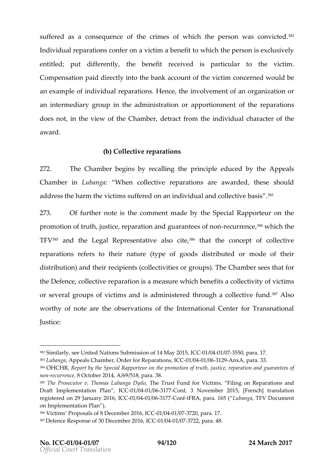suffered a consequenche entime of which the person was convicted Individuplaratiscom nfer agmiction benefit to which the person is ex entitled ut differentlive benefite ceived is pranticulare victim Compensation paid id the blate k account vicof titch econe dwo null de an example of  $\dot{a}$ n drievoidau al thet musclehe involvement ropal zatatini organization organization organi an intermedigarroy upin thædministraction portion monént threparations does noth the view of the deCthramber, detrom diviductharacter the award

#### (b) Collective reparations

272. The Chambegins robe  $\alpha$  and  $\alpha$  reprincience ducedary the appeals Chamber Lubang When collective reparations are awarded, the address the harm the vi**ctimas sufflewidd**al and co $\beta$ <sup>8</sup> ective basis 273. Of further ntohte comment blowe Special Rapporteur on promotion of truth, justice, reparation-raencolarge,<sup>3</sup>natomitchese of non  $TFV<sup>5</sup>$  and the egal Represent and ive entriestive concept collective reparatisome fers thoernatur(etypeof goodsistritheud omnodeoftheir distribon)and tihree cipie (notosile citeins integrous). The Chams be easy that for the Defenculote ctipe arreationships a measure bewhich characteristic times or sevegmandupos victim disadministered through a c $\mathfrak{B}^{\dagger}$  and  $\mathfrak{S}^{\dagger}$  and  $\mathfrak{S}^{\dagger}$  and  $\mathfrak{S}^{\dagger}$ worthy mofteare the servations higher national Center for Transnational Center for Transnational Europeant of Justice:

<sup>382</sup>Similarly, see United Nations Submi**s: 6162011/060411/0375M5a0p2r0a1.517.** 

 $383$ Luban  $A$ apeals Chamber, Order foli**C BOein/a04 at Bosh**  $2A$ **n** x Apara. 33.

<sup>384</sup>OHCH, RReport by theRaSpopeocriteantlu theomotoiontrujtuhs, ticeparation and guarantees nomecurre8cet, ober 2014, A/69/518, para. 38.

 $385$ The Prosecutor v. ThomasThLeubTarouga HDuynibo, for FViliontojmosn, Reparations and Draft Implementation CGP 14 6041/0361 7 Conf3 November 2015, [French] transl registered on 29 JahQue0rty/62401 1663617-07 ontfFRAp, ara. 1665 b(ang TaFV Document on Implementation Plan ).

<sup>386</sup>Victims Proposals of 8 DeC-CE1n/1062411 / 283771260, p1a7ra.

 $38\,\mathrm{D}$  efence Response of 30 DG GOeth  $604$ tr/ $30\,\mathrm{TO}$   $26$ , para. 48.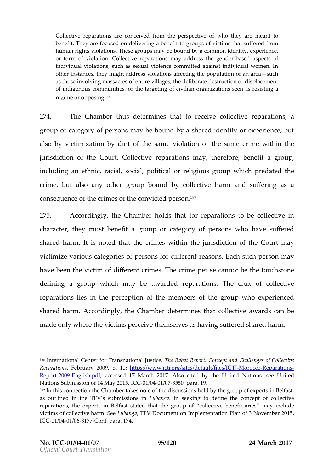Collective reparations are conceived from motth eye peer resprese tain te toof benefit. They are focused on delivering a benefit to groups of victim human rights violations. These groups may be bound by, a common id or form of violation. Collective reparations-brase dads peescsts the fgende individual violations, such as sexual violence committed against inc other instances, they might address violations affection the population as those involving massacres of entire villages, the deliberate destru of indigenous communities, or the targeting of civilian organizations regime or op.p<sup>8</sup>o<sup>8</sup>sing

274. The Chamtheursdeterminibato recect ve delective reparations grouporcaetgo y of personms as y be bound by a shared experience the intention  $g$ alsobyvictimization by  $odi$  the same dation the samine within the jurisdiction  $6$  fouth $6$ ollective reparmaaty othe  $r$ efbene, efaitgroup, includi**a g**ethnic, racial, soci**a**nt e bi**guisgical w**hich redead the crimet, ut also any gothes pround by collection ease defringes a  $\,c\,$  on sequent the section of the convicted  $^{38}$   $\rm{e\,}$  r son .

275. Accordinghy, Chamberds theart reparations to be collecti character, the bye mneufasity roupor caetgoy of persos now ho has uffered shared halrmins ot that the end waithin the jurisdict  $\mathsf{Count}$  morfalled the containt of the containt matrice  $\mathsf{dom} \mathsf{tr}$  matrice  $\mathsf{dom} \mathsf{tr}$  matrice  $\mathsf{dom} \mathsf{tr}$  matrice  $\mathsf{dom} \mathsf{tr}$  matrice  $\mathsf{dom} \mathsf{tr}$  matr victimize  $\alpha$ rious aetojorieos fortigo fordifere nte as sol $\bm{\mathrm{E}}$  actsuch perms  $\bm{a}$   $\bm{v}$ have been the which ferm  $\mathbf{c}$  or  $\mathbf{f}$  m  $\mathbf{c}$  fineshing the second bether ouch stone defininga grouwphich male awardrepdarationTshe crux coolflective reparationies in the percept of nthe nembers the proupwhoexperienced shared haArmorordinghive Chamobeet nerminines atollexeta wards and e  $m$  ade owlive rich eviction perceitive ensel and suffered shared harm .

388International Center for Trans habio Rhaab adu Report: Concept and Challeng ReparatioFresbruary 2009, ttps://www.ictj.org/sites/deMfaudt/EteionethCtTO.hs  $Repo200B$  nglish, pal $6$  cessed 17 MaAk  $b$ sho 2 $\omega$ it  $\vec{a}$  dhby United Nations, tessee Nations Submission of 11 GIC-0012 00875, 50 para. 19.

 $389$ In this connection the Chamber takes note of the discussions held by the as outlined in the TFV s sluubbrains gs hand nose  $\dot{e}$  and ing to define the concept of o reparations, the experts in Belfast stated thablent beicgina omiceasy of nc cloud lee ctive victims of collective that that the Document on Implementation Plan of 3 Nov IC  $@01/@041/@0617@$  onf, para. 174.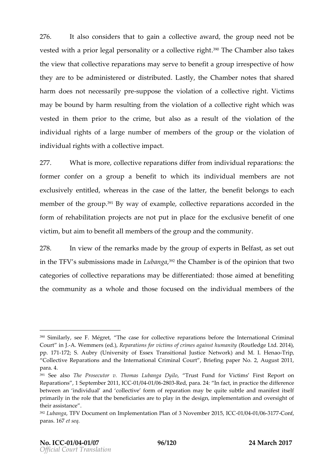276. Italsoconsidehiat goain a collectriativothe group need not be vestewolth a prior legal personality o $3^{90}\overline{a}$  hoeo **Cleamables to** algehet the view adollective repanautions are benefitiagroup rrespective of how the  $a$ reto bædministeredd strributteadstlyhe t Chamber that shared harm doneosthecessaril-syuppoe sheeviolation for a collective icritigs that may be bound by eshual their  $q$  mit eviolation from a coller of ginute hich was vested in phreom the crimet, utalsoas a resulthe voifolation the individual roights arge number of members othewhielagtri**on** find or individuaghstwith a collemopiavoet.

 $277$ . What is moorlective repelitation from indual repart and ions form ecronfer aongroup benefitwhicchitsindividumale mebrsare not exclusively enwihited  $\mathbf{e}$  as ionastele of lathteet the benefitibelong set and h memobr othegrou<sup>3</sup>p<sup>31</sup>By way eovannplec, ollective rep**arcatoied**s the form of arbeilitatpion jecatrse not put in placese cforse btehree foift one victim, but a imbet no e faith e m brseof though punctum of the emmutry.

 $278$ . In view tho  $f$  emarks mad hee boy roouf  $p \times p$  enthe  $B$  elfasts, set out in thTeFV s subm $\sin\theta$  is mothimal uban,? $\theta$  fahe Chamibeothe opintiho ant two catoeorieo sfcolle ctrige perations may be defferentiattheodse aimet **e** denefiting the community as a andtwholosifee cuse on thiendividual mems on fothe

 $390$ Similarly, F. s. Netegret The case for collective reparations before the International Criminal Criminal Criminal Criminal Criminal Criminal Criminal Criminal Criminal Criminal Criminal Criminal Criminal Criminal Cri Court i-A. J. Wemmers Repla) ations for victims of crimin Peosulalge adignest Lhidim 20014y), pp. 1-772; S. A (Wholiyersity of Essex Transitiona) a hudstil Let Henheaft by portal in the M. I. Henan Dighthart Computer Collective Reparations and the International Criminal Court, Briefing para. 4.

 $391$  See allshoe Prosecutor v. Thomas LTurbang FaunDolyifoor F-Virsttim-Rseport on Reparations September 20011/0041/0268 0 Rsed, paraln2 fact, in practice the difference between an individual and collective form of reparation may be quite primarily in the role thimata thees beenee to play in the design, implementation their assistance .

<sup>392</sup>LubangTaFV Document on Implementation Plan of 031/No041Ve03611b7e2To 210,15, ICC  $p$ aras.  $e$ dt $6$  $\bar{s}$  $e$ q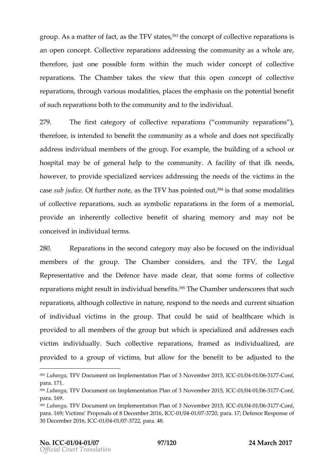groupAs a mattfearc,  $\mathbf{a}$  sthe Text state  $\mathbf{a}$  heconce of tollectip areations is an open ce $\beta$  to llect rispear at icended ressing ot the multipas a whole are, therefore, just one powsistibiline tho emmuch wider concept of co  $rep$  arations is  $e$  Chamber  $d$  chamber  $e$  the view that  $ct$  of  $f$   $\sim$   $e$  of  $f$   $\sim$   $e$ reparations ou gy larious so dalist pel assible mphasis hoenpotential bene of sunceparations both to the anond minoruthmiety in blividual

279. The first grap we obsolle ctropearation  $\sin \theta$  community reparations ) thereforse intend the thef htecommunity as a nuddioles not specifically addresis ndividumaed mibrse of the group. For eax mplet he building of a rschool hospitan hay be of general help to the of the colmity masted sk however providsepecialiszeerd icaedsdres stilneng needs por fiction intensitive casseub ju.**dC tea**frthenrot,easthe TFh1a/s pointe,<sup>3</sup>d<sup>4</sup>iosutthsadtmenodailest ofcollective reps, as ruad homas symbolal riaction and the foot from an emorial, provide an inherently coll**ectishearbiege finite** mory and bemay no conceived in intervindsual

280. Reparati**o**nhse is econd cantaeygoarly sofoloseised tho enniquially inductions and the formulation also seen  $m$  embers of the group. The Chamber consider the TFV helegal Representation and Defemate made, thatsome forms of collective reparations might result in in<sup>3</sup>d¶Wh**e uQh dome medits** cores that such reparatio and sthough dilecting on a turre espond theo needs cuarrent snittuation of individual victimos roiun p.T. the actual desaidof health whan is is provideto all members of thwe higor bosipse bout alizered addresses h victimin dividua  $\texttt{S}$  w chcollective reparfartaion nesdinacts in dualizated provided to controp fivic tims, butallow for the benefit tobe adjust to et the end  $\mathfrak h$  e

<sup>393</sup>LubangTaFDVocument on Implementation Plan of 3–0N1o/90841m/63381r7-02/0n|15, ICC para. 171.

 $394$ Lubang Ta FV Document on Implementation Plan of 031/November 2010.15, ICC para. 169.

<sup>395</sup>LubangTaFV Document on Implementation P210a1h5ofH0C31CN9041VeG3661b7eCronf para. 1V698;tims Proposals of 8 D&C-Cfth/b9644 /28377260, para. 17; Defence Respon 30 December 2-016 6041 CC 377 22, para. 48.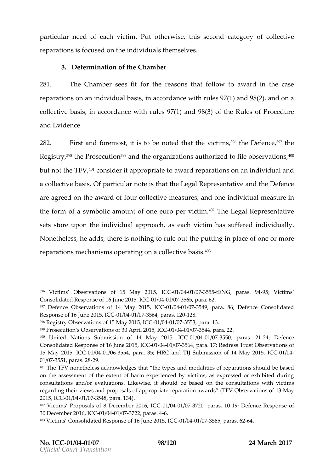particular neeead broat tim. Put otherwise, thicsaet**ge**y confodollective reparatisois focused ion rodithiod but hemselves

3. Determinant fthe Chamber

281. The Chamsberse rittior the reasons that a for a limondwithe case reparation msaim divial bas,iis naccordancer wheis  $h(9)$ 7 an $M(82)$ , andona collective, ibnassics cordance with  $(9)$   $7a$  nd9  $(3)$  of the Pules of Procedure and Evidence

 $282$ . First and forietmiestto, on obteekthat twhiection? Sithe Defe $\%$ Tochee  $R$  e g is  $3^{48}$ yh, eP rose cloom<sup>399</sup>andtheorganzaitionasuhto rzied to biblose rvat<sup>410</sup>of n s but ntohteTFV<sup>, o</sup> considteappropriatoloa wa rrole paratioo msainn dividua and  $acollec$  this area. I  $\odot$  for a rtigation of eiths at the Legal Representative  $\odot$  efence are agroened the awafroducollectrive easurensed on hed ividumasts uren the forma osfy m bolic amouneuroopeowni**e** time? The Legal Representative sets stoproentheindiviallu approasheavcihetim has suffered individua Nonethe, lhe essed d, sthere is nothing tto heput let in get in ploancee out more reparationmeschani**s p**nesrating on a colle<sup>p</sup>êtive basis

 $396$  Victims Observations of 15 -Ma/y $6042/00375$  5tH  $\&$  G paras. -955  $4$ Victims Consolidated Response gfl C+01J+0041e/423755 655 para. 62.

 $397$ Defence Observations of 14-0 $M$ a $60412'$  $603'5549$  JC $62$ ara. 86; Defence Consoli Response of 16 June 1240415 63756664 aras. -1280.

<sup>398</sup>Reigstry Observations of 15-0Ma/904210603755,58C Cpara. 13.

 $399$ Prosecution s Observations of  $-0.0$ / $0.04$   $1/10372$   $0.45$ , pace. 22.

<sup>400</sup> United Nations Submission of, IC460 M/80441 / 203751550 paras. 242 Defence

Consolidated Respionsene 20015,0041C/03756\$ara. Redress Trust Observations 15 May 2010 600 1/0041/036554, paral. R 63 and TIJ Submission of 101 400 1Ma4 2015,  $01/0375560003.298$ 

 $401$ The TFV none alowe heo sweledges that the dyaplet sie and fmo parations should be on the assessment of the extent of harm experienced by victims, as ex consultations and/or evaluations. Likewise, it should be based on the regarding theian wiepw sposals of appropriate reparation stands in the 13 May 201, 51 C-021 / 0041 / 0375 4 8 para. 134).

<sup>402</sup>Victims Proposals of 8 Dece0miber 202077269, ICErels9.; Doefence Response of 3 0 December 20 -1061, / 00431 02 0377 2 2, apsa -164.

<sup>403</sup>Victims Consolidated Responsel CoCt11 604 11 AG676 6250 1p5 a r-68  $\pm$  62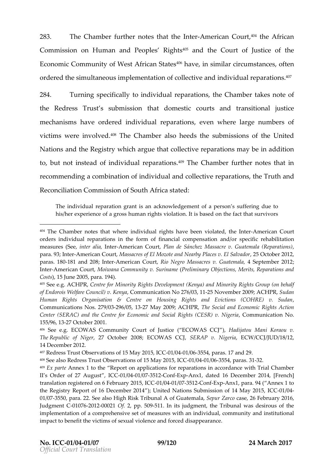283. The Chamf**berhenotsethat threteArmerican Court African** Commission mHuman and People<sup>495</sup> a Ridight action fustion the  $E$  conom $C$ iocm munity of West Africa<sup>4</sup> $n<sup>6</sup>$ h $\Omega$ statures  $\frac{1}{2}$  im ilar circumositances orderehde simultanme $\bm{p}$  luesmentation onligation of individual ante of  $\bm{q}$ s.

284. Turning specifociand dividuated ration thee, Chamber tenso to f theRedresTsrusst submisshiantdomestic courtts ananottional justice  $m$  echanism have orderned dividual repareavte on subserved large numbers victims were inf $\Psi \mathbf{\overline{b}}$  heedChamebles heedsubhmeissions in the nited Nationas otheRegistwing icalrgutehat colleneoplexoreation may bine addition to,butnot instead of individua<sup>4 p 9</sup> **The pa Canta on hose th**er notes that in recomme than combination dividuand collercepiavreation these Truth and Reconcili**ation** mission finition of The Stated stated

The individual reparationacokman which and a permieration s suffering due to his/her experience of a gross human rights violation. It is based on the fact that survivors will be fact that

<sup>404</sup>The Chamber notes timadivivedue arrights have been vi-**A**maneteidc, anth 6 oluntter orders individual reparations in the form of a final and compension and id intation measures i(reste, almite American Chelant, de Sánchez Massacre v. Guatemala para9.3; InAmerican CMolasts, acrEels Molofzote and Nearby Plac 285 October 2012 6:01 DB paras. -1188 10nd 2018; teAtmerican CRsugtNegro Massacres 4v. SGSputeetmentheral a 2012 InteAmerican CMoit, ana Community (Preliminanty Objections, Merits, Reparations and During and During and Duri  $C$  o s)t, s 15 June  $p2a0r0a5$  194).

 $405$ See e.g. A  $\mathbb C$  HenRe for Ming on tisty D Revelopment (Kenya) and Minority Rights of Endorois Welfare CouCnocmilm) uvniklaetning a No-22576N/@w8emibler 2009\$uAdCahnPR, Human Rights Organisation & Centre on Housing Rights and Evict Communicats N & 39/2396/05-271 May 2009; ATCH PSPQ, cial and Economic Rights Center (SERAC) and the Centre for Economic and Sominal Rightton (CUESR) 155/96271 30 ctober 2001.

<sup>406</sup>See eECOWAS Community Court bCOWStSceC, CHadijatou Mani Koraou v. TheRepublic of Na7geCrtober 2008; ECSOEWRASP OCJNigEeO. Wa/CCJ/JUD/18/12, 14December 2012.

<sup>407</sup>Redress Trust Observations of-0115/0044a/0333545415 arlaCsC 17 and 29.

 $408$ See al $\sqrt{3}$  Resend re $\sqrt{3}$  and  $\sqrt{3}$  to  $\sqrt{3}$  and  $\sqrt{3}$  of  $15$  -0Ma/6042 0.006355.41  $\Omega$  and  $\sqrt{3}$  and  $\sqrt{3}$ 

<sup>409</sup>Ex pa Amenex 1 to the Report on applications for reparations in accorda II s Order of 27, AIC-001:s160041/03751-20nExp-Anx1, dated 16 DecemFbrenc2n0114, translation registeFreebdruo anry 20015/,0044C/C63751-22 on ExpAnx1, para. A B 4 ex 1 to the Registry Report of 16 Delotember N2a01do ins Submission boC  $@04$ / $@$ May 2015,

<sup>01/037550</sup> para. S2e2e. also High Risk TofilScumeate Sheaptau, Zoarse 26 February 2016, Judgmen0107260 1-0200 201f2, pp. -5509. In its judgment, the Tribunal was desi implementation of a comprehensive set of measures with an individual, c impact benefit the victims of sexual violence and forced disappearance.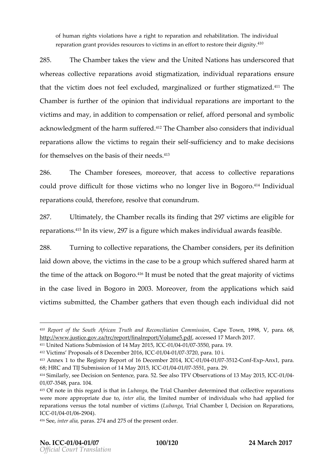of human rights violations have a righteth alo ihiet patincantio Thhenich dividual reparation grant provides resources to victims in a<sup>4</sup> fort to restore

285. The Chambers the awidelwe united Nations sunderscored that where  $a$  osllective repaanvaotiionshing maattiizon, individend as at tio enness ure thathevictimdoe  $\mathbf s$  ot feel excluded, maargfinathine edstight  $\overline{\mathbf a}$  the ed. Chambies furtheir the pinion that vidual planation representation the  $\overline{\phantom{a}}$ victimas nod may, in addcidimogne hos action reliaefforgoders os has nodsymbolic acknowledgomfent te hsauf nfer<sup>4</sup>e<sup>7</sup>The Chamabls consider at individual reparational sow the ctimus regaintheir sead first idency to an anad kendecisions for the m s**e** hv **e** be basis no efet their

286. The Chamfober eseems oreoverlagt access of the octropearations could prove difiofrictuhlolvsietims who no longBeorg-bi1voelnichividual reparations, dobelroe froerseq livheat conundrum

287. Ultimat, othe Chamber alls sfinidingthat 297viction are liogible r reparatio<sup>tha</sup>lsn its v12e9w7s,a figuwr**le**ich mai**kaedsividual awlards feasible** 

 $288$ . Turnintg collectriqe aration these Chambeonsid, opes artisdefinition laid down boveh, evictimins the clasheegroupwhich suffered shaanted harm thetime ftohe attack on.4 BHotgmorusst be tmhoatte obthree amtajo yriotfvictism in the case lBocegoloinon 20.0M3 oreover mom the plicas in binic is aid victims submitt tehde Chamobeathers othern though dhindividual did not

413Annex 1 toRetgiestry Report of 16 Del Cem2n1b/e00412/0937541-02 on-Exp-Anx1 para.

 $410R$ eport of the South African Truth and Recape recilicanting n 1998, m Vs, sippanra.  $http://www.justice.gov.za/trc/report/fin$  ad  $cæpessot d$  of  $\vec{u}$  m Vea5r.  $\varphi$  hd f 2017.

<sup>411</sup>United Nations Submission of 40 May 20276 5, 8 para. 19.

 $412$ Victims Proposals of 8 Dec- $\theta$  m/ $\theta$ 044 /283771260, I $\beta$ 1800ia.

<sup>68</sup>HRC and TIJ Submission of 10 14 May 123051551, para. 29.

 $414$ Similarly Deseiesion on Sentence, palre N 502bs Se eveatiles nos of 13 CMC a  $\sqrt{0.24}$  /04015  $01/0.354$   $\beta$  ara. 104.

 $415$ Of note in this regatdubantot that in Lubanga Chamber determined that collective were more appropriatetedrue lithe e limited number of individuals who had a reparations versus the **oftal chims bengander is chamber I**, Decision on Reparations, Trial of the official Chamber I, Decision on Repar ICC0 1 / 0041 / 0269 0.4 )

 $416S$  e  $e$  nter aplain a  $276f$  the present order.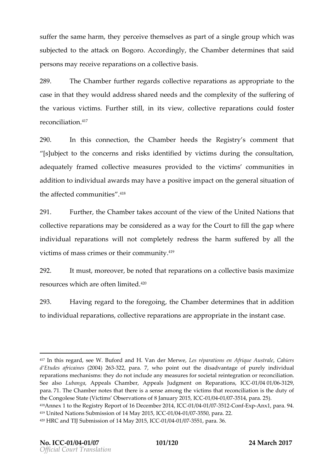suffer the same hpaermc, eitheepn selvepsarat soo fsingglreoupwhichwas subjecteth stoattack on Bogoro of the Chamber erminest said persons meaveine paratison aollective basis

289. The Chamfbuether regandels ctries parations appropritent ethe case in tthe ay twould address shared needs and stufe fector mgoloefxity the various stims. Further, siniit the word lection earation could foster reconcilia<sup>417</sup>on

 $290.$  In this connet belowed mamber betweeds the Registry s comment that [s]ubject to the concerns and risks identified by victims d adequately framed collective measures provided to the vic addition to individual awards may phancore a phoesigneouse inal situation the affected com.thiqunities

291. Further Chambers accoofulmet view out ntified Nattibents collectrique rations ay been seided as a way  $C$  foout it obte fill the gap where indivially reparations to two lm pleted wiress the harm suffered by a victimosfonas oscrimes or ctohme.hom:un.411°y

292. It must, moreoverthbanetepmeortætoloomsa collectivmea.boiamsiizse re**s**urc which are often<sup>42</sup>limited

293. Having regard to the thier  $\epsilon$  chaimolopeation inherast in addition toindividual repa**catiec**ts ve rep**ara**tion propriate instant case

<sup>417</sup>In this rega Md, Baécerd and H. Van dees Meerwe ations en AfoCiantuice résustrale d Etudes af ( $2c0a0$  4 $e$   $s22623$ , para. 7, who point out the disadvantage of pu reparations mechanisms: they do not include any measurree concrilis antion tal r See allsuobanga ppeals Chamber, Appeals Judgment -0n1/0844e/p92661a2t9ions, IC para.1 The Chamber notes that there is a sense among the victims that r the Congoles&  $i$  Stants (Observ & tiloams and  $y$  20-05  $/$  0040  $\sqrt{0.0375}$  1, 4 para. 25).  $41\%$ nnex 1 to the Registry Report of 106001D/600412/n603752=1=020mE4:pAnx,1 para. 94. 419United Nations Submission, of C-1024 /N9041y/0276556ara. 22.  $42$  PH R C and TIJ Subm4s Miao  $\gamma$  2010 160, 1 / 0041 / 0375 51, para. 36.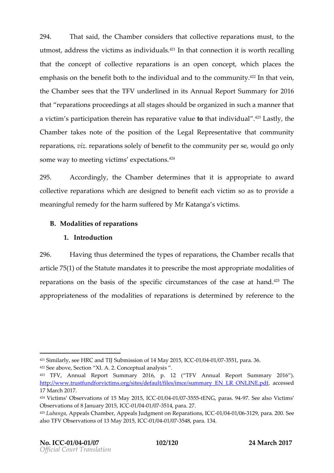294. That s, at hote Chamobo enristion between that  $\frac{1}{2}$  and  $\frac{1}{2}$  and  $\frac{1}{2}$  and  $\frac{1}{2}$  and  $\frac{1}{2}$  and  $\frac{1}{2}$  and  $\frac{1}{2}$  and  $\frac{1}{2}$  and  $\frac{1}{2}$  and  $\frac{1}{2}$  and  $\frac{1}{2}$  and  $\frac{1}{2}$  and utmosatd, dretshse vicstainsindividnsu<sup>4</sup> a<sup>1</sup>In that onnectiitonins or the cainlig thatheconcept collective repasations promice powthichplace the emphasinshebene biotthotheindivial and othecommun<sup>4</sup>  $i$ <sup>22</sup>In that vein the Chamsbeens tthast TFu Miderlined its Annual Report Summary for that reparations proceedings at all stages should be organized a victim s participation therein htaosthraetpianrobitviolofadashtultyshe Chamber kersotenf the positional  $\mathbf{R}$  epreset mutantive m thy unimidated in the control of the positional  $\mathbf{R}$  epreset mutantive m thy unimidate is  $\mathbf{C}$ reparation reseparatis on  $\mathbf s$  benefith  $\mathbf c$  om muthyper swequid go ly some way to metation  $\boldsymbol{\phi}$  xpectations.

295. According hye Chamdboetrermines thaat ppiropsritacteaward collectne pearation his chare designed etap collections of a sprovide a meaning feumle of  $\psi$  rthe harm suffe $M$ rre ooK abtyangg saictims.

B. Modalits ice freparatison

1.Introduction

296. Havinton usdetermined typhess opfarations, Chamber alls that article  $75(1)$  of the  $\theta$  and  $\theta$  and  $\theta$  and  $\theta$  and  $\theta$  and  $\theta$  most appropriate modalities reparations the aiss of the specific circumstances of  $445$ The ecase at appropriate on fothemodal ist of the parations is determined by referrence to

 $421$ Similarly $H$ Re  $\epsilon$ eand TIJ Submission of  $C$ 6241 Mea4 $\gamma$  /200751551, para. 36.  $422S$  ee ab Sive ection X2I. CoAnceptunaally  $x$  s.

<sup>423</sup> TFV, Annual Report Su2n0m 6 gy p. (TEV Annual Report Summary 201 http://www.stfundforvictims.org/sites/default/files/imce/summacepsEeNdLR\_C 17 March 2017.

<sup>424</sup>Victims Observations of 15-0M/a00412 0877555, t5 ENG Coparas. -9974 See Vaicstioms Observations of 8 Janu- $a$  ty  $0240/10575$  1  $c$   $c$  $a$ . 27.

<sup>425</sup>LubangAappeals Chamber, Appeals Judgment 0ot neo Rand passin 2a pliao ma2s0, 01. CSS ee also  $TFV$  Observations of  $1-30$  MeO41  $/20075$   $58$ ,  $\beta$   $6$  ra. 134.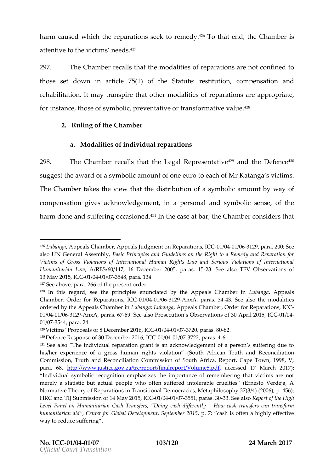harmcauesdwhich trhepearatiosnese.k to odye4ñ1°Teo that,**e**hned Chamibier attentive to cthe needs.

297. The Chamber alls thanto that is the mean at iscan renot confined to those set dioventicle  $75(1)$  of the es Stitutution, pensation rehabilitatlito. Imay napiare that the on odalistoi  $\epsilon$  freparations areappropriate, for instat mose of symbolic, preventative or  $\mathcal{P}$  ansformative val

 $2.$  Ruling of  $G$  hamber

a. Modalitice findividual reparations

298. The Chammles entitlis at the gal Repres  $e^{\alpha}$  and this endefence suggest awheer of a symbolic amount of exament of Katansquaictims The Chamtakes the view difectribluotation symbaomicount way of compensagion escknowledgement personal and symbolithesense harmdoneandsufefingoccaseioo<sup>u</sup>ñ 1 n the case thate bCahra, mcbo ennsidehrast

 $427S$ ee above  $2$   $\circledcirc$  of ratio present order.

 $426$ Lubang Apppeals Chamber, Appeals Judgment 00 no GORMe  $\beta$ GoSmang, ICC  $\infty$ ; See also UN General ABsaseimobPly inciples and Guidelines on the Right to a Rem Victims of Gross Violations of International Human Rights Law and Se Humanitarian Al/RRES/60/147, 16 December 232.0055e, e paralisacs. TFFS Observations 13May 2015, 010 0241 / 0375 48, para. 134.

<sup>428</sup>In this regard, see the principles enunciated by Luthen on Appresent is Chaml Chamber, Order for RIeOpe00r1a/te0041n/\$9361 2AnxA paras-4334 See also the modalitie ordered by the AppealsL Chamber and Appeals Chamber, Order for CReparations, ICC-01/0041/03612A9nxA, para&9.6SFee Parbssce cution s Observations, of CC20 /A4pril 2015  $01/037544$ , para. 24.

 $429$ Victims Proposals of 8 Dec- $\theta$  m/b9 $\theta$ 41/29377260, Ip. 62. 82. 80

 $43$  Defence Response of 30 Dec $Q$ ahr/ $Q$ 307 $2$  $Q$ , Ip $Q$ a $Q$ s. 4

<sup>431</sup>See also The individual reparation grant is an acknowledgement of a his/her experience of a gross human rights violation (SouthonAfrican Commission, Truth and Reconciliation Commission of South Africa. Rep para. 68tp://www.justice.gov.za/trc/report/finadceped stel 7 oll Mannec 5h.) p 21017 Individual symbolic recognition emphasizes the importance of remembe merely a statistic but actual people who often suffered intolerable cru Normative Theory of Reparational sDiemot Dicarus it is a Metaphilosophy 37(3/4) (2006), p. 456) HRC and TIJ Submission of 10 14 May 2007 51, par-33. See Rælps ort of the High Level Panel on Humanitarian Cash TransferHso,w Dcaisrhg tcassis freeds is for examently a humanitarian aid, Center for Global Devplopmentis Soefpetemabehrig 2h0y15 effect way to reduce suffering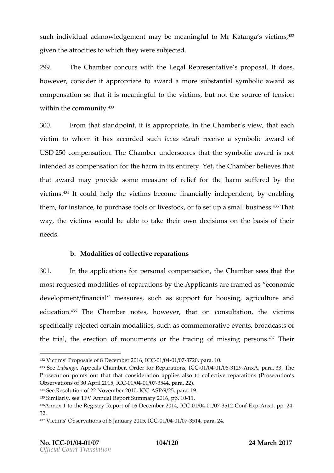suchindivi**al la** cknowledgemaeynthonee a ningtfou Mir Katansgavict,13m? s given atteocittice swhich they were subjected

299. TheChambeon cuws the the gal Represent particule and  $o$ es, however, consaid peroptriteote a waxard nore substas nontibaolliaculards compensation that mite iashing fut the wonictimulation the sotue mose io on f with in the commun<sup>4343</sup>y.

 $300.$  From that standipsolarpt protogrigative Chamber stheate over chamber  $\alpha$ victimtow homithas accors due contract is transmobilive a symbolic award USD250 compensTahteonChamubnedrerscores that ambutable wards not intendærsd compensf $a$ ttihoen harm in its Yeentihre $\mathfrak E$ thyambher elieves that thatawardmayprovidseomeneasure of reliheef harm suffered by th victinh<sup>3</sup>siltcould help the victims become finanbcyia.blinya.binlichegpend them, if no stant  $\infty$  purchase to  $\infty$  or the set up a small  $\mathbb{P}$  that iness. way, the ctim souldbe abtloe take their own decisions on the base needs .

b. Modalitice follectriepearations

301. In the epplicatifoom spersonal comptehneG babino ber seetshethat most e questre cold a listojéreparation y she Applicant of rame deconomi  $development/finameaisal,$ reschassupport hiousing agriculture educati<sup>4</sup>of <sup>n</sup>The Chamboetse, howe vtehra, ton consult, at thie nvictims specifically reeejretoatherodd alistiseuch caosmmemoraetvive **e**uts, broadcasts of the trial, the erenoothiour mecrofitris the tracing of miss<sup>t</sup>?nTghepersons

 $432V$ ictims Proposals of 8 Dec- $\theta$  m/ $\theta$ 64 1/233771250, IQs & ra. 10. 433Seeubang & ppeals Chambefor, OR redpearat Co 300 st / 0041 / 0361 2 A9 n x Apara3.3. The Prosecution points out that that consideration applies also to collectiv Observations of 30 Ap-0i1/202411/5037514CAC para. 22).  $434S$  ee Resolution of 22 ON ON election  $49/25$ , para. 19. 435Similarly TFS & eAnnual Report Summpary 102016  $43A$ nnex 1 to the Registry Report of 1060 D/ $\oplus$ Cet $\oplus$  104  $\oplus$   $\oplus$   $\oplus$   $\oplus$   $\oplus$   $\oplus$   $\oplus$   $\oplus$   $\oplus$   $\oplus$   $\oplus$   $\oplus$   $\oplus$   $\oplus$   $\oplus$   $\oplus$   $\oplus$   $\oplus$   $\oplus$   $\oplus$   $\oplus$   $\oplus$   $\oplus$   $\oplus$   $\oplus$   $\oplus$   $\$ 32. 437Victims Observations of 8 January 2015, ICC -01/04 -01/07 -3514, para. 24.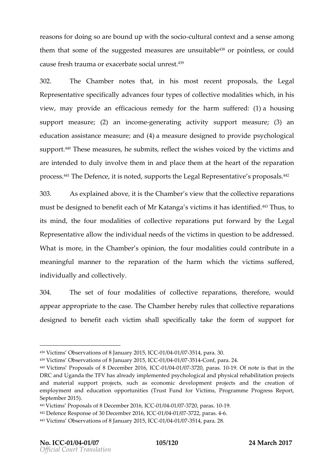reasofros doing so are bound up-cwitulred beteaantdoa sense among then thatsome of the sumogenes or easing nearely  $\frac{1}{3}$  or pointless  $\frac{1}{3}$  or could causfeesh traourmeax a cerbateunsnoecsital

302. The Chamberes that his most recomports, at is elegal Representsaptive call  $\alpha$  is a divances fourty pes confilect modalitive has chin is view,mayprovidænefficacious réconntehdey harm suffe $\mathbf a$ e dolousing support me;a (s2u) reaen incomgee ne ratiancotivits upport me;a (s3u) reaen education assistance en om the beasure designed ptspy op hro lvoide call suppo<sup>t</sup> fl**e**e measuhres spmits fletchte wishes voiced by a that victim are intentoled lyinvoluthemin anpollactehem at the hearp aorfattihoen re  $\mathsf{proc}$ e  $\mathsf{s}$ ' $\mathsf{\overline{3}}$ he Defentcies nostend $\mathsf{p}$ othse $\mathsf{L}$ egal Represes $\mathsf{p}$ trantpiore $^4$ a' $^4$ 3 s.

303. As explained abtothee Chtamssbeview the abollectrien parations must  $b$ esigned to beno.html Katansgaricti**thasi**dentei $t$ fi<sup>43</sup>Thu, sto its mintonle foronodalistoefcollectioepearatiopnust formwalaby theegal Representaaltliouteheindivial uneesob f theictismin questtion the addressed What is minouthe Chamsber pinit of the foundalistic euldon tritue in a  $m$  e an ing frud nnet  $m$  the pareation for the harm which the suffered, indivi**ally** and ollective

 $304.$  The set of  $6 \text{ u m}$  od a litice fscollective rep, a rtahteio one fsourceu, Id appeappropritatibe catsibe Chambiles by letshat ollective reparations designed to been cubit is the shall pecifical ky the form of support for

 $438V$ ictims Observations of 8 J $\cdot$ 01/04 0427651, supplied CaC 30.

<sup>439</sup>Victims Observations of 8 January 2015, ICC -01/04 -01/07 -3514 -Conf, para. 24.

 $440V$ ictims Proposals of 8 Dece0miber 2017  $\sqrt{20077}$   $\sqrt{20077}$   $\sqrt{20077}$   $\sqrt{20077}$   $\sqrt{20077}$   $\sqrt{20077}$   $\sqrt{2007}$   $\sqrt{2007}$   $\sqrt{2007}$   $\sqrt{2007}$   $\sqrt{2007}$   $\sqrt{2007}$   $\sqrt{2007}$   $\sqrt{2007}$   $\sqrt{2007}$   $\sqrt{20$ DRC and Uganda the TFV has already implemented psychological and phy and material support projects, such as economic development projed employment and education opportud if bers V in Full of Fuggramme Progress F September 2015).

 $44$  Victims Proposals of 8 Dec-0  $\text{m}/\text{100041}$  /  $2337/126$  palr Qa  $\text{C}$  -190 442Defence Response of 30 Decem/8041r/023707 2,62 pal Ca -06. 4 443Victims Observations of 8 CJG9 n 069041y/G2765158 ara. 28.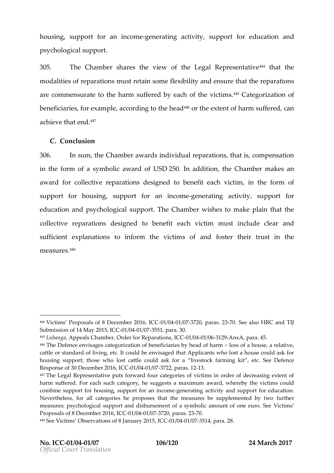housing upport and incompeent erating acturation to for cation and psychological support .

 $305.$  The Chamber shares the Leige awl order present that ive the  $m$  odaliestof pearations and retain felexibility e nassure there parations are commensutrhaetehtaorm suffered by vei**a**tcihnt<sup>a</sup>s&Cfattengorizaotfion benfecieurs for examano  $\mathbf{c}$  potenting to the  $46$ coditheextent harm suffered , achieve thå<sup>47</sup> end

C.Conclusion

306. In sum,the Chamabue ard notividual repartent ions sympensation in the form of a  $\texttt{aw}$  and  $\texttt{ddGUB}$   $\texttt{D250}$  . In additiber,  $\texttt{Cham}$  makes a a award foorllective repadreastiiopmesd to be-ancericttimin, the form of support for hosuspipopert forinesomgenerating acstruiting for educath and psychologic.all heu $\beta$  pharm whishes to make plain that collective pearations designed to be earchefit victim innoulsut doelear and sufficient planation is formthe vicstion fand foster their trust in  $m e a s u.f$   $e$   $s$ 

<sup>444</sup>Victims Proposals of 8 Dece0miberent 200771 250 plaCr 6 s-70253ee also HRC and TIJ Submission of 14 Ma0 12 00415/,03750501, para. 30.

<sup>445</sup>Luban gapeals Chamber, Order folnC Boletp' a044a tion of Bara. 45.

<sup>446</sup>The Defence envisages categorization of benefocsisaroitesabhy o the sad a frehiation cattle or standard of living, etc. It could be envisaged that Applicants w housing support; thoosste cwahtdel could ask for a livestock farming kit, e Response of 30 Decem 6dr 0240 1057, 22 C par 4 S. 12

<sup>44</sup>The Legal Representative puts forward four categories of victims in or harm suffered ch Fosuce ha category, he suggests a maximum award, whereby combine support for housing, supponente fating and support for education. Nevertheless, for all categories he proposes that the mefausulines be supplement measures: psychological support and disbursement of a swmctomis amoun Proposals of 8 DecembOe1r/020401/63377 2CpQ ras. 7203

 $448$ See Victims Observations of 8-0J1a/06041a/16967521041, 5palnCaC 28.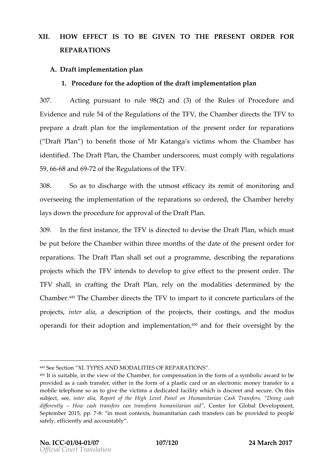# XII. HOW FFFFCT IS TO BE GIVEN PRESENTIMERDER FOR REPARATIONS

A.Draft implementation plan

1. Proceduré or thand option the daft implementation plan

307. Acting pursuand te  $\left( 92 \right)$  and (3) Equilible of Procedure and Evidence redule  $504$ ftheRequlations of the  $\mathbb C$ Fibs multiese cts TtFn beto prepareadraft plfanm the implementationers eontbrtcheer for reparations (  $Draff$  P) an benethic set Mr Katan get is my hom the Chamber has identifi $\bar{E}$ he Draft, t $\bar{F}$ hlean Chamber undenrussotcorme $\bar{p}$  , with  $\bar{q}$ ulations 59,  $-6$   $6a$  n  $6$   $97$   $2o$  f the equilations of the TFV

308. So as dischar worieth the utmost its frie or raint formonitoring and overse etihneg implementation op ao rfathosmos ordet, the Chamber one by lays dotwhee producte for pproval oDirtal the Plan

309.In the first inthe Eal Fibre direct bedde visted Draft Plaw hiorhust beput beformee Cham ubiethinthree months doaft eithelperesender for reparatio $\overline{n}$  ds  $D$  raft P shall a ble to up rong ram, not escribiligithereparations proje owt bsichthe TFFN tends deovelop give of fect the op resender de rThe TFVshalln crafting  $D$  raft Planen y on mhoed alisticlee terminbeyd he Cham b<sup>4</sup> e<sup>s</sup> The Cham diese cts TtlFibeloim part to ontcroptærticulars of the projets, inter , a diadescription he opproject hero stings and the modus operanfobintheiardoption nofim plement  $\sharp$  <sup>s</sup> plearnooff on their over by ginte

<sup>449</sup>Se Section XI. TYPES AND MODALITIES OF REPARATIONS

<sup>450|</sup>t is suitable, in the view of the Chamber, for compensation in the form provided as a cash transfer, either in the form of a plastic card or an  $\epsilon$ mobile telephone so as to give the victims a dedicated fa $\Omega$  hit which is subjec ee jater a Rieaport of the High Level Panel on Humanitarian Cash T different Hyow cash transfers can taan and on the maniour Global Development September 201-8; pip. most contexts, humanitarian cash transfers can be safely, efficiently and accountably .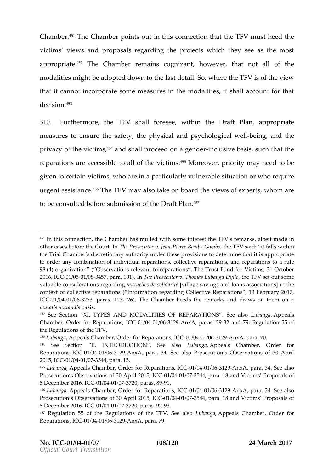Chamb  $46$   $^{\circ}$  TheChamb peotints out in this contrheec tTi**oFn Yush anteteled** victims vaenwels proposals regaproloidens withing hthese yet also most appropri<sup>ts o</sup>f The Chambeen nains cognizant evel ratnot all of the modalistmeight aboeoptel of wn to lahseletail Sowhertehe TFSV of the view that it cain  $\cot p$  or sect ne an easure is themodalistic shall account for that  $d$ ecisi $63n$ .

310. Furtherm othe TFS halflores eveithin the aft Plan propriate  $m$ easurt $e$ es nsurte e $s$ afett $e$  physicap sychologi calwell being and the privacoyf thveictin,†\*§and shparloiceed **ge**nad—enrclusibvaes,issuchthat the reparationers accessible II of tichte intensional priority may need to be given to certain victimspaw hice ud a glynvall nerable situation or who urgent assistence. Fin Vayalstake on buchaarde wosfexpertyds om are tobec on sult**be** fore submissi**D** na of  $R$  if an

452 SeeSection XI. TYPES AND MODALITIES OF SREE PALARIONARIONARION Sals Chamber, Order for Repe0r1a/t00441n/\$03611242900xA, para3.2 2991d R7e9gulation 55 of the Regulations of the TFV.

453Luban gapeals Chamber, Order for R0e1p/a044a teason 3A9 nl x2AC, para. 70.

 $451$ In this connection, the Chamber has mulled with  $\arctan \theta$  a hat erte sntatchee in FV other cases before the beCPonuorsted untoPrievr.releBaem bat Goen TbFoV said: it falls with the Trial Chamber s discretionary authority under these provisions to det to order any comobination dual reparations, collective reparations, and re 98(4) organization ( Observations relevant to reparations, The Trust Fu 2016, ICC IC6051/638457, para. Tible). Prionsecutor v. Thominipeshleu bTaFnVgas eDiyout some valuabdoensiderations renguatureling is de socilidage itséavings and loans association context of collective reparations ( Information regarding Collective Reparations ICE01/0041/066273 aras. -126 The Chamber heeds the remarks and draws on  $m$ utatis  $m$ ub $a$   $s$ .  $d$ s  $s$ 

<sup>454</sup> See Section II. INTRODUCTION uba \$ & ppealls chamber, Order for Reparations, 1/0041/03612-0nxA, rpaa 34. See also Prosecution s Observations  $2015$ ,  $-10000041 / 037544$ , para. 15.

<sup>455</sup>Lubangappeals Chamber, Order for ROe1p/a004af0861 BA9nl $\mathcal{L}\mathcal{A}$ Cpara. 34. See also Prosecution s Observations of 300/800pdr/i  $\frac{200}{4}$  5 and Sand Victims Proposals of 2016 8 December 200116/,0041C/0377 20, par-93. 89

<sup>456</sup>Lubangapeals Chamber, Order for ROep/20044 # 0861 & BunkCAC, para. 34. See also Prosecution s Observations of 300/80041r/1 4372 04 5 and Condet Victims Proposals 8 December 200116/,0041C/0377 20, par-98. 92

 $457R$ egulation 55 of the Regulations of the  $R$ en  $\frac{1}{2}$  the  $\frac{1}{2}$   $\frac{1}{2}$   $\frac{1}{2}$   $\frac{1}{2}$   $\frac{1}{2}$   $\frac{1}{2}$   $\frac{1}{2}$   $\frac{1}{2}$   $\frac{1}{2}$   $\frac{1}{2}$   $\frac{1}{2}$   $\frac{1}{2}$   $\frac{1}{2}$   $\frac{1}{2}$   $\frac{1}{2}$   $\frac{1}{$ Reparations0,1/000 / 0361 2AnxA, para. 79.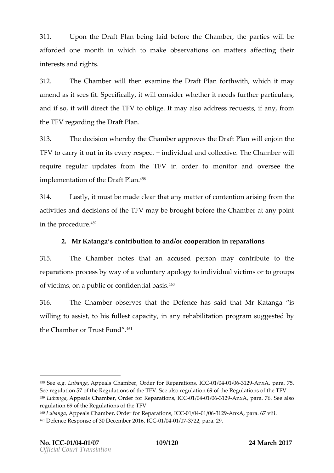311. UpontheDraft Phaening laiedfortene Chamber enartiews II be afford **e** one month in two himolal observations matters affecting the inter**s**and rights

312. The Chamwbidthenexamint hedDraft Pfanthwith which it may amenadsit sees  $S$ pfeitcific, a lity woild n sider the hieneed surthe particulars and if isto widdline theTFVtooblight may addsloe arse quests, iffroamy, the  $TF\&$ gard the  $D$ raft Plan

313. The diesion where bly e Chama begin weed the Draft Plan interval behavio the TF Vto carry it ino intervery respendentividament of levent  $\mathbb T$  he Chamwhield requirreegular updates from inth**e**rd TeFr Vm to monitor and websesthe implementaotfiothDeraft P.ªÞån

 $314.$  Lastliy, must be onhead leat am patter of conaleinstiinlorgon the activista **e** ddecisions the TVmay be brought these folme matte any point in thperocdeur.1e<sup>s 9</sup>

2. Mr Katangoan sriobutto ann dorcooperatio nepinarations

315. The Chambers thatan cacused person yor ontribute to the reparations process by way a poolegy of onitractividual victims or to of victims, on a public or  $c$ <sup>46</sup> $h$ fidential basis.

316. The Chamobles rerves the atDefelmacse said MthhakKatangsa willing to asbistfullest capacity, in any rehabilitation progra the  $Cha$ mobre $Trust$   $F^4$  $a^1$ nd

 $458$ See eLugbanga peals Chamber, Order for ROe1p/a0044  $t$ 1066n \$29 nl  $R$ CC, para. 75. See regulation 57 of the Regulations of the TFV. See also regulation 69 of 459Lubangapeals Chamber, Order for ROep/20044 #0861 & BunixOAC para. 76. See also regulation 69 of the Regulations of the TFV.  $460L$ ubanga peals Chamber, Order for ROeip 2004 at  $666h$   $3.9$  ml $c$   $C$ , para. 67 viii. 461Defence Response of 30, DkccCm 8041r/0307262, para. 29.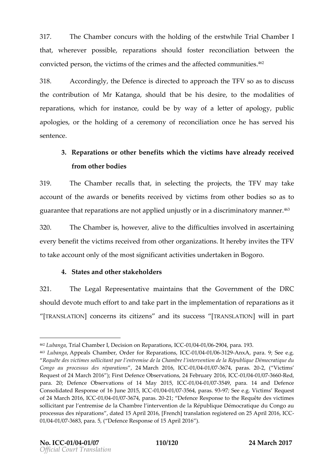317. The Chambolencurs whitch holdinton eoferstwhile Triall Chambe that wherever possepibalreations is ould fose conciliation between the short reconciliation between the short reconciliation. convicted person, the victims of the crimes and the affected

 $318.$  Accordinghing Defension ecteral proach TFN so as discussions in  $\overline{\phantom{a}}$ thecontributoioMir Kata, nsghaoultchat bheisdesi, reo thmeodalitienfs  $rep$  arations  $s$  ichfor instancele, could be way a afletter of apology, public reparations  $s$ apologies, or the hocledrieng on a free confriction of a chas served his sentence .

3. Reparation sthour benefits it the vsiblaime already received from other bodies

319. The Chammber its that selecting the theo Fermany take account of the awards or benefits received by swicatisms from guarant bet prærations not applied unjustly or in a discriminato

320. The Chamibs ehrowe vaaliy teo the difficultine volve da sine rifaing in every benhedvilictims ceived mothed gazaitions hereby vistel e TFV to take account only of the amobisytitus independing tare halo goro.

4. States and sot alke cholders

321. The Legal Represem bainthaintheat thGeovernment the DRC shoub devot meuch effoarthot boke piant the implement at to ana of foanssit  $ITRANSLATI@NDnce rint \ssc i$  itzensanditssucces  $TSRANSLATIOM$  ill in part

<sup>462</sup>LubangTarial Cohearml, Decision on Replation on  $\theta$ 26,9004C para. 193.

 $463$ Lubanga peals Chamber, Order for R@p/a0041  $t$ 10361 \$2011  $\mathcal{L}$ CC, para. 9; See e.g. Requête des victimes sollicitant par l entremise de la Démocratique de vention de la République de la République du Congo au processus des Allraémocalme a 2001 r6s0 11/06031 / 0376 74, para2s, (V2i0tims Request of 24 March 2016 ); First Defence ObservCatienals/, 037646 Feed, ruary 20 para. 20; Defence Observatio2n0s15of+0601476004141603754,9para. 14 and Defence Consolidated Response of 160 1J/06044 2575 654, Ip 2a 358 8 e.g. Victims Reques of 24 March 200116/,0041C/037674, par-2s: D2e0fence Response to the Requête des sollitant par l entremise de la Chambre l intervention de la République D processus des répobearteettilons nangentiques de not intensiation registere di Cola 25 Apri 01/0041/037683, p5a,ra. Defence Response 1c6f )1.5 April 20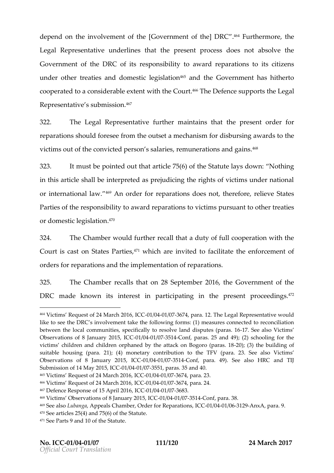dependon the involveme. [Integration of the measure of the  $\sim$   $^{464}$ Furtherm, ohre Legal Represeunt deinventes the preentprocesise snot absolve the  $G$  overnme on ft th Le R Co f it ree sponsi bit ty o a ward pare ations its citizens undeorthetre aties and domels gislat<sup>4</sup>i<sup>6</sup> of and the Government has hitherto cooepratetod a considerabwleithextobeonutr<sup>66</sup>The Defesnuppepo**r**thseLegal  $R$  e presenta $\operatorname{\mathsf{sat}}$  when is  $\mathbb{S}^4$  fo n

322. The Legal Representutrathier maintains the perfusion of der for reparatison mosulf of resferoem the o autrisode and show relision transmit and we had sto victimosat of the convicted persecomnuss aesta-ola neidensin<sup>t</sup>s .  $\sim$ 

323. It must pbenetdout the atticle 6705f (thSet ateultays downhathing in this article shall be interpreted as prejudicing the rights orinternationa<sup>469</sup>Anaw order r**iepa**ratiodho**es** snot therefroerleieve States Parties or fest he bilight o awardeparation outions to an to the er treaties or domes**gis**lbeet.fo<sup>o</sup>n

324. The Cham would further reased utthe a dution with the Court is cast on St,HatwebsidPharrelinevsiduto facilitudeeenforcement orders riepaar atiscam dheimplemantiom freparations.

325. The Chamber alls that  $8S$  exptember 6he Government the  $DRCmade$  known inittes restpanrticait  $p$  in the preentproceed  $\frac{1}{2}$   $\frac{1}{2}$   $\frac{1}{2}$   $\frac{1}{2}$ 

 $464V$ ictims Request of 24 M- $0.401d$   $0.042068767$   $0.46$  Ca. 12. The Legal Representative like to see the DRC s involvement take the following forms: (1) measure between the local communities,  $s$  os algo  $e$  claim coll by sto the set  $n$  as  $e$ . also Victims Observations of 8 Janua0rty/024014367514 Conf, paras. 25 and 49); (2) schoolin victims children and children orphaned by the  $a2t0a$ ;  $\forall x \in \mathbb{R}$  and  $\forall x \in \mathbb{R}$  as sutiable housing (para. 21); (4) monetary contribution to the TFV (parallel Observations of 8 Janua-0y1/20401/63751-406Cnf, para. 49). HSRe ahsob TIJ Submission of 14 INCaO, 12 00415/,0375 51, paras. 35 and 40.  $465V$ icitms Request of 24 March  $240$  166376 7, 24 pC ara. 23.  $466$ Victims Request of 24 M- $\theta$  1d  $\theta$ 042 00376 7, 4 pCaOra. 24. 467Defence Response of 115  $\bigoplus$  16704 2/09376 83 468Victims Observations of 8 CJ 2011 09041y/02751-63 onf, para. 38. 469See allsubanga peals Chamber, Order foli**c Boetp'ao4a teash 3**g nx Apara. 9.  $470S$ ee artic( $48$ ) and  $75(6)$  of the Statute. 471See Parts 9 and 10 of the Statute.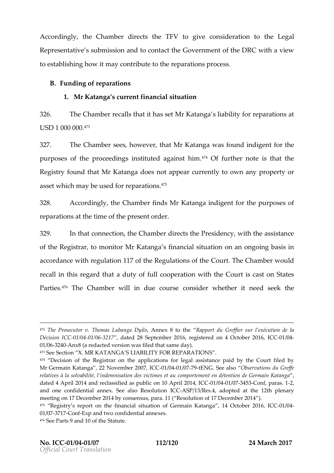According hy Chamobier ecthed FVtogiveconsideration heltogal Represent astuivbe missaional to contaGod viehrenmoe finith DeRGwith a view to establishing nahyo win thribute theop at the etiop moscess

B. Fundingofreparations

1. Mr Katang aurrent financial situation

326. The Chamberalls itth has Moret Katanshi ability repoarrations at  $U S D1000000$ 

327. The Chamsbeeg rshowe vten ra, Mr Katanwa pasfound indige from the purposoentsthe proceedings institute.4d4Qafgafiunrsthmentriensthat the Registry foun Motrin Katandomes not appeary to auror women ty property or asset which may bep**ase** bioffo $\mathbf{\bar{s}}$  re

328. Accordinghing Chamfored MrKatangradige frotr the purposes of reparationant sthe to im telpese se nortde.r

329. In the other connection of the Chamber directs the identity and the the assistance of the Registma on iMorr Katanga ain ancial sothu anthoon going basis in accordance revogiuth a tion 117 of the RegCuol attrTchnes Colf athwheceurid recall in this readent that full cooperation with the Court is Parti<sup>4</sup>e<sup>e</sup>s The Cham World in due coo $\omega$ m **s**edwe hethernetedseek the

472The Prosecutor v. Thomas AnLnubo an Bg ato Enter port du Greffier sur lexécution Décision 0 11 C 40241 / 6362 17 dated 28 September 2016, registered C 60 n / 644 October 01/03624Anx8 (a redacted version was filed that same day). 473See Section X. MR KATANGA S LIABILITY FOR REPARATIONS . 474 Decision of the Registrar on the applications for legal assistance p MrGermain Katanga, 22 Novem0ble 6042 090778t, ENCGC. See Cabiservations du Greffe relaves à la solvabilité, l indemnisation des victimes et au comportemen dated 4 April 2014 and reclassified as pub0ind 0641n/63784543pornif,2p0ar42aslC1C and one confidential annex. See  $C \otimes A \otimes C / R \otimes S \otimes C$  and  $O$  at the 12th plenary meeting on 17 December 2014 by consensus, para. 11 ( Resolution of 17 December 2014 ). <sup>475</sup> Registry s report on the financial situation14ofOGeborbmearin2-OK1be&Ga4nlgCaC 01/0377 1-Con Exp and town fidential annexes. 476See Parts 9 and 10 of the Statute.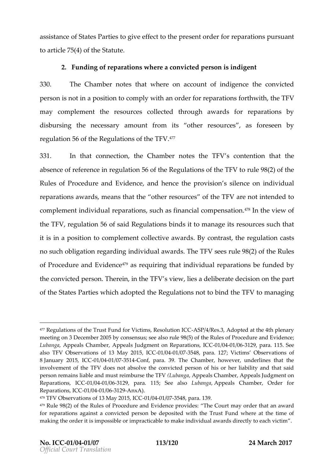assistant c & tataerstipes give effect to the mothele prie or reparations and t to articl4e) **75** (tShteateut

2. Fundino greparations hsere a convicted person is indigent 330. The Champoetsethat where account of intuities envected persoisn not in a positotric prior to complete for reparation to  $\mathbf{r}$  . The TFV maycomphenthe resources collected through awards for r disbursithenecessamy ounftromits other resources eforeseen by regulat $5$  confirm the equilations of  $\pmb{\cdot}$  the TFV . The  $\pmb{\cdot}$ 

 $331.$  In that ponnection  $e$  Champloenteethe TFs Vcontention the heat absence of refeeencets fotomic three quiations of the  $F(X)$  of the Rules of Procedure anad Euvidence provission ensomeindividual reparations anweards thatother resourfcers are not intended to complement indmepdauratiosnusch as financial competions antion of the  $FV$  regula<sup>5</sup> foot fis a idRegulation ims ds it to maneage urbeach that it is in a potssition to plement collect  $B$  we convent and set regulation for  $\mathbf s$ no succhligation arding ividual avant of  $S$ he TFV subenen and the Rueles of Procedure and  $47$  Eass retequionent hat ndividual paration en sfunded by theconvicted p $\overline{\Phi}$  hesone in het  $\overline{\Phi}$  and  $\overline{\Phi}$  is deliberated at  $\overline{\Phi}$  is in the part of theStat Peartiewshich adophteRde gulation to btimed  $TF\Delta'$  managing

<sup>477</sup>Regulations of the Trust Fund for VieAtSrnPs4/RessoButilochoptCeCd at the 4th pl meeting on 3 December 2005 by con9s8e(159) unst; tsheee Rauls on steep rocenture and E Lubang & ppeals Champbeals Judgment on RepCata 6004 bhas 6129, para. 115. See alsoTFV Observations of 1,3 CM30a1y/0240 /10375 48 para. 127; Victims Observatio 8January 201-01/0024 C/03751-Gonf, paraTh & 9h Camber, however, underlines that involvement of the TFV does not absolve the convicted person of his o person remains liable and must (Leuibnabnug/a per pehads TCF Mamber, Appeals Judgme Reparations-01/600C/0-8129 para. 115; SeLeubaalns Aopapeals Chamber, Order for Reparations, 1/0041/03612-8nx A.

 $478$ TFV Observations of  $11$  C  $300$   $4 \sqrt{0.24}$  10/03575 48 para. 139.  $479R$ ule 98(2) of the Rules of Procedure antible EQ incluent or endapy ro thin die san award for reparations against a convicted person be deposited with the Trust making the order it is impossible or impracticable to make individual awa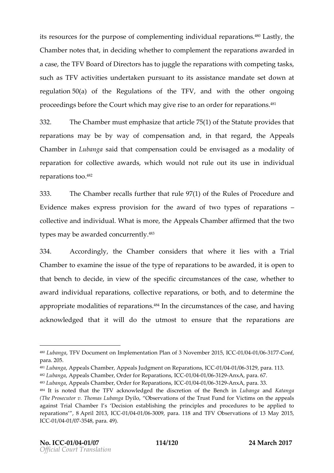itsre osurc  $\texttt{\'{e}}$  or the purp  $\texttt{o}$  os nen pod fe mine gindividual plaration  $\texttt{`A}$  as tlyh, et Chambre ortsethat note cidwinnether cotomple mtehnet eparatioanws ardenod a cashed FVBoard of Dirhearstortnoscy gtheoreparations with competing ta suchasTFVactivituensdertaken pursiutsansts itsot ameedastet down regulat $5$ @a) of thReegulations of ,thaend $\overline{w}$  FtW the othoerronoing proceedings tho eColou tew hich may give rois de etrofoan reparations . . . . . . 332. The Chammbues temposteats hiatticle  $75(1)$  of the Substitute provident that  $9.8$ reparatiom  $ay$  be by way of toi**onaphed in s**athategardt, he Appeals Chamber r Lubansgaaidthat ompens at bound be enviassage exchanged alioty reparatiofon rolle ctaiwe ard wo hich would runleat out its junsdeivindual reparationo ol<sup>82</sup>

333. TheChambre recalls furtheur further the les of Procedure and  $E$  videnmome kes express pro  $\nabla$   $\nabla$  is  $\Delta$  for the set of reparations colle ctain ein dividuMalhat is morAepptohaels Chaamfifbienn tehdat thueo. typemsay be awacrodnecolurre.<sup>4</sup>ñ<sup>3</sup>tly

334. According hye Chamboemsidethsatwheret lies waitThrial Chamber of xamine the issue by the the tep aratisot obeaward entires opeon that benocholocide in view of spulseific customancoefs the caws betheor award ndividual repacations ive reparations and to determene approprimato oed a litoide spearatisot°nfln theoirucmstancoefs the caansoobaving acknowledged that it will doo the ensure not the the arations are

<sup>480</sup>LubangTaFV Document on altmiphemPleant of 3 Novemboe1/200411/5936117GC7Conf para. 205.

<sup>481</sup>LubangAappeals Chamber, Appeals Judgment 06 heOR1e 60661r29 Pipcama, ICIG. 482LubangAappeals Chamber, Order floOrGPR1e/pG8411 al@G6062A9nxA, para. 67.  $483L$  whang a Appeals Chamber, Order floGG OR 1e/p98411 at  $6363$   $\Omega$  Ann  $\lambda$  Ann  $\lambda$ , para. 33.  $484$ It is noted that the TFV acknowledged the discurbeation and Katalmonga Bench (The Prosecutor v. ThomDaysid Qubane gyaations of the TrusttimFs unoden for revail peals against Trial Chamber I s Decision establishing the principles and pr reparation&pril8 2013-01 0004 1/036009, para. 118 and TFV Observations of 13  $IC@01/@041/@37548$ , para. 49).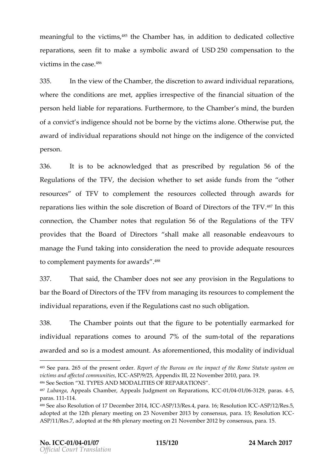meaningtfoutlhevictis,†↑<sup>85</sup>the Chamhbae,snin addition to d**edice**adteiove reparatisses  $n$  fotmakea symboal ward fUSD250 compensation to the victims in th<sup>e c</sup>ase

335. In the view of tham bleed is etrion to a warich dividua parations where to choen ditions are populeed sirrespective of stinhee a financial nota in  $\alpha$  is all person reldiable reparations. The rmore et Cohtamber in tote burden of a consinctigence should domotoly the exictimasion  $\Theta$  therwise theat award ionfolividual repasrhaotiudnotost hinge oinn dtihgeemofethoeon victed person .

336. It is bloeacknowledd to heaters prescribered gibly at i506 no fthe Requiations of the TulesM own hethersed asided from those her resourc**es** TFV to complem  $\bullet$  metresour considered through awards reparatisolnes with in tholes soleleoidBoo ard of Directors 4611 nthteh isTFV . connection  $e$  Chamboetres that reguidoaftion  $\text{Re}\, g$ ulations of the TFV  $\bm{\mathsf{p}}$  rovid $\bm{\mathsf{e}}$  is at the Board of **Bh**ræl $\bm{\mathsf{t}}$  to reasonable endeav manage the Fund taking into consideration the need to prov to complement payments<sup>48</sup>for awards

337. That sath de Chamobosers not as governo vision in the Regultantions batheBoard of Directors for the THIM fig. of the TFU from plement to  $\mathbf{F}$ individual reparations  $\mathbf k$  Reguls action in such obligation

338. The Champboeints out thfaileutribeared bepotentially earmarkford individual repa $\cos \theta$  mies  $\sin \theta$  comes to  $\sin \theta$  of the sum-total to the reparations award **a d** ds oisamode**s** thoun Ats aforemen, ttil oin seed dalid findividual

 $487$ Lubang Aappeals Chamber, Appeals Judgment -001n/09741e/196361\* 23 Pino ansa 45.1, C4C  $paras. -1114.$ 

<sup>485</sup>See pa2r65of the presenR opdetr. of the Bureau on the impact of the Rome victims and affected ICcOSSinPuShi2i5e, sAppendix III, 22 November 2010, para. 1 486Se Sectio Xnl. TYPES AND MODALITIES OF REPARATIONS

 $^{488}$ See also Resolution of 17 De $\&$  8 m/b1e37/R2 0 3 44, IQ aCra. 16;  $-R$  $\&$  B 61 alt Roens I  $\&$  C adopted at the 12th plenary meeting on 23 November 2013 by consensus ASP/11/Res.7, adopted at the 8th plenary meeting on 21 November 2012 by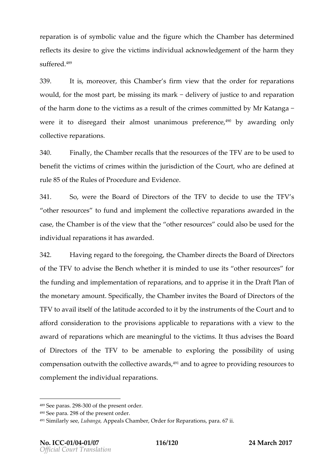reparatios nosfy m bolviacluaend thiegurwe hichhe Chamhbaesde te rmdine reflectsdesite give evictismindividual acknowled gheem bat mofthey s u f f e r<sup>4</sup>ê%d

339. It is moreovers Chamber ms view the oteler for reparations would, for the mostmipsials intitiation directivery of justice  $\phi$  at and reparation of of the harm doothevictomisas reesult the times commit Med K bay and  $\alpha$ were it dtiosregatmdeinelmost unanipmoneufiere,4n9cbey awardinognly collections.

 $340.$  Finalthe Chamber the acta the essources shift of Vareto be used to benfeat thevictismo fcrim ewsithin the jurisdict $G$  on out row the thead efine dat rule 80 ofthe Rules of Procedure and Evidence

341. Sowere the ard of Directors oth to the GMT West the TFV so other resout potens dand mplement to cllective reparations the cas the Chamber ithe thiat the other resource all so be used for the individual repaitahtaosna warded

342. Having regard to the the rechamulgies erts Bot and of Directors of the  $T\overline{\theta}$  Vadvibe Benwohlether intinissletop use other resourpores the funding and implementation and tree apprinsel Deraft Polan themonetry amouSopecificahlely Chaminhow risteh eBoard of Directors of th TF  $\forall$  o avail its ellation futual enection ded btythe instruments the Counted to afforodon siderattoitchneprovisioanpsplicablnep aorationnish a vietwheto award roepfarations his ich are meanointo hoid tismit thus adtyhidBeosard of Directors of thosole TFa. You en able exploit and the possibility ingeright compensactuotnwith the collect,†1∀1**a**nadwoaagrdose to pinogveio**s**lurc**e**os comphent heindividual reparations

<sup>489</sup>See pa2988.00f the present order.

<sup>490</sup>See pareaof the present order.

<sup>491</sup>Similarly Laubean Agapeals Chamber, Order for Reparations, para. 67 ii.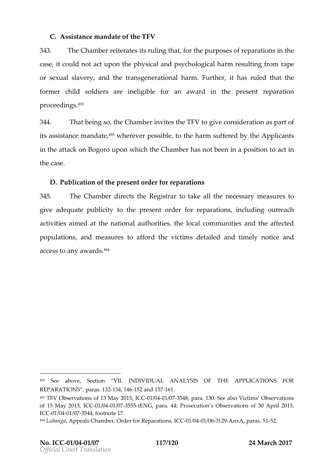$C.Assistance$  mandate V

343. The Chambet rates its haut king the purposes of retherations caset could and tup to hnephysical and psychologisaidhtg hfarrom rape or sexual slaanveethyetransgenerahtioonmaFlurthetr, harsuled that the former child sondelieers gibal feoran award the present reparation proceed.in<sup>2</sup>gs

 $344$ . That beinton  $\infty$  hambersthe TFN give consideration as part of  $344$ . its assistance,4°m?wahn**e.**laetveer po**ss**tihbehee,,rm sufferebdeAbpyplic**a**nt inthe attack on upsognoon  $\infty$  h the Chamber has not been clim a position to actinom to actinom to actinom to a thecase

D. Publication opfrethendrider for reparations

 $345.$  The Chamobie  $\epsilon$  cts the Registated that necessary measures give adequate ptooblic to theorder for repariant of bunds in goutreach activitaes and at the nautibonal ties, the local communities and the affection and the affection and the affect populations measure afford thes detailed and timely notice access to any.<sup>49</sup> awards

<sup>492</sup> See above, Section VII. INDIVIDUAL ANALYSIS OF THE APPL REPARATIONS ar a 3-213,414-6152and15-716.1

<sup>493</sup>TFV Observations of 113C @04y 00210/19575 48 para. 130. See also Victims Obse of 1May 2015, 010  $0.041$  /  $0.3755$   $5.0E$  NG, para Prossecution s Observations of 30 Apr IC  $@01/@041/@37544$  footnote 17.

<sup>494</sup> Lubang Appeals Chamber, Order floor GDR 1e/po2041 a 60360 22.99 n x A paras 525.1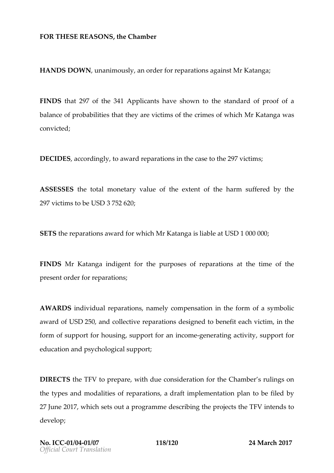FORTHESE REAS On Ne SChamber

HANDS DOWLIN animousch of for reparation is Katanga

FIND Shall 97 of  $344$   $\oplus$  pplicant ave shown to the atholear of prooffa balance of probabilitthey are victomism of whheindhr Katanwo as convicted ;

 $D$  ECIDES, a c c o r d in tool vaward repain the theorem statshes  $297$  ictims

ASSESSERS: tarthonetary voafit the extent of the harm suffered  $29$   $\overline{v}$  ictimas ble SD37582:0

SETS the reparations award or reforming the iable  $SAL00000;$ 0

FINDSMr Katangdigent the purposes of adeptate the method for preend rdefroreparations

AWARD Shidividual repansatmine the position in the forms yorh beoli award fUSD250, and ollective repulsation and to beneficitim, the form of support for suhoppunsting of an example enterating as thin point for education mobsychological pport

DIRECTIST FUTO preparent that due considertante of the common serulings thetype  $\sin$  dm odailestofreparations, aft implementattion beplanched  $27J$ un $201$ ,  $\overline{w}$  hichsestoutaprogram onhees cribiting optroptesthe TFN/ tends to devel;op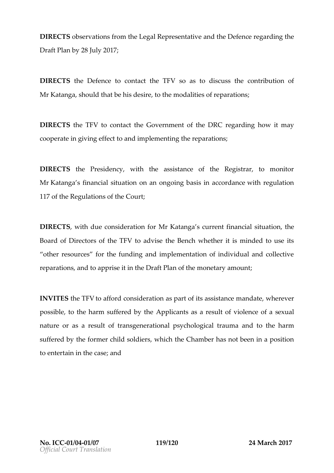$DIRECT\delta\$ Servations the Legal Representation  $\Phi$  efere geard the  $D \r{a}$  ft  $P$ b $\alpha$ 2n  $\alpha$ Jul $\alpha$ 01; 7

DIRECTtShe Defetrocomentatchte TFsVo as to discuss the contribut MrKatanga, should that be himsode siitriee, sptoof atheren ns

DIRECTISS eTF Vio contact the Governmente  $\boldsymbol{\mathsf{o}}\text{ at r}$  the integral  $\boldsymbol{\mathsf{E}}$  may  $\cos \theta$  cooperationg iving effect to and implemention there are  $\sin \theta$ 

DIRECTShe Presidency, with the assistance of the Registrary MrKatanga s financial situation on an ongowingh braesgiuslation condination on the metro 117 of the Regulations of the Court;

 $DIRECT\$  whith due consider Matrid Knat for  $G$  arrefining n cstatium at it blue Board of Directors of the TFV Benwork ther it is minded to use other resources for the funding and implementation of ind reparationstoapportise it Dorratfite Polianthe monetary, amount

INVITSEthe TFoV afford considesrpation mats its tance mandate er possibtloe, the harm suffer **Aeplo bix at the a** result to loe fince of a sexual naturoeras a resutintamosfigenerapticoyncahio logtiroaalma atothe harm suffered of the former child whichtothier Gibamber and theen in a position toentertain in the dcase